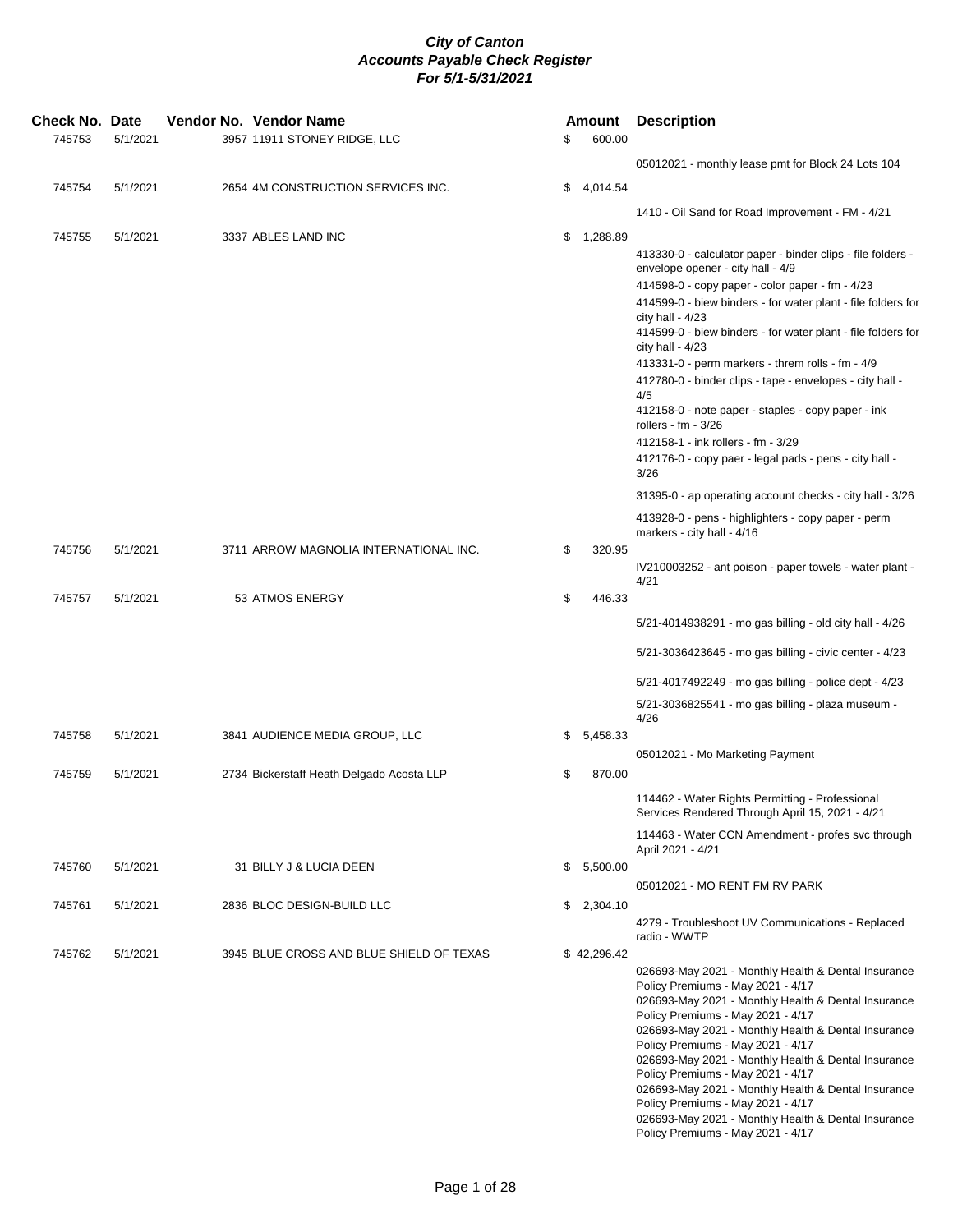| <b>Check No. Date</b><br>745753 | 5/1/2021 |  | Vendor No. Vendor Name<br>3957 11911 STONEY RIDGE, LLC | \$ | Amount<br>600.00 | <b>Description</b>                                                                                                                                                                                                                                                                                                                                                                                                                                                                                                                                                   |
|---------------------------------|----------|--|--------------------------------------------------------|----|------------------|----------------------------------------------------------------------------------------------------------------------------------------------------------------------------------------------------------------------------------------------------------------------------------------------------------------------------------------------------------------------------------------------------------------------------------------------------------------------------------------------------------------------------------------------------------------------|
|                                 |          |  |                                                        |    |                  | 05012021 - monthly lease pmt for Block 24 Lots 104                                                                                                                                                                                                                                                                                                                                                                                                                                                                                                                   |
| 745754                          | 5/1/2021 |  | 2654 4M CONSTRUCTION SERVICES INC.                     |    | \$4,014.54       |                                                                                                                                                                                                                                                                                                                                                                                                                                                                                                                                                                      |
|                                 |          |  |                                                        |    |                  | 1410 - Oil Sand for Road Improvement - FM - 4/21                                                                                                                                                                                                                                                                                                                                                                                                                                                                                                                     |
| 745755                          | 5/1/2021 |  | 3337 ABLES LAND INC                                    |    | \$1,288.89       | 413330-0 - calculator paper - binder clips - file folders -<br>envelope opener - city hall - 4/9<br>414598-0 - copy paper - color paper - fm - 4/23                                                                                                                                                                                                                                                                                                                                                                                                                  |
|                                 |          |  |                                                        |    |                  | 414599-0 - biew binders - for water plant - file folders for<br>city hall - $4/23$<br>414599-0 - biew binders - for water plant - file folders for<br>city hall - $4/23$                                                                                                                                                                                                                                                                                                                                                                                             |
|                                 |          |  |                                                        |    |                  | 413331-0 - perm markers - threm rolls - fm - 4/9                                                                                                                                                                                                                                                                                                                                                                                                                                                                                                                     |
|                                 |          |  |                                                        |    |                  | 412780-0 - binder clips - tape - envelopes - city hall -<br>4/5                                                                                                                                                                                                                                                                                                                                                                                                                                                                                                      |
|                                 |          |  |                                                        |    |                  | 412158-0 - note paper - staples - copy paper - ink<br>rollers - $fm - 3/26$                                                                                                                                                                                                                                                                                                                                                                                                                                                                                          |
|                                 |          |  |                                                        |    |                  | 412158-1 - ink rollers - fm - 3/29<br>412176-0 - copy paer - legal pads - pens - city hall -<br>3/26                                                                                                                                                                                                                                                                                                                                                                                                                                                                 |
|                                 |          |  |                                                        |    |                  | 31395-0 - ap operating account checks - city hall - 3/26                                                                                                                                                                                                                                                                                                                                                                                                                                                                                                             |
|                                 |          |  |                                                        |    |                  | 413928-0 - pens - highlighters - copy paper - perm<br>markers - city hall - 4/16                                                                                                                                                                                                                                                                                                                                                                                                                                                                                     |
| 745756                          | 5/1/2021 |  | 3711 ARROW MAGNOLIA INTERNATIONAL INC.                 | \$ | 320.95           | IV210003252 - ant poison - paper towels - water plant -                                                                                                                                                                                                                                                                                                                                                                                                                                                                                                              |
| 745757                          | 5/1/2021 |  | 53 ATMOS ENERGY                                        | \$ | 446.33           | 4/21                                                                                                                                                                                                                                                                                                                                                                                                                                                                                                                                                                 |
|                                 |          |  |                                                        |    |                  | 5/21-4014938291 - mo gas billing - old city hall - 4/26                                                                                                                                                                                                                                                                                                                                                                                                                                                                                                              |
|                                 |          |  |                                                        |    |                  | 5/21-3036423645 - mo gas billing - civic center - 4/23                                                                                                                                                                                                                                                                                                                                                                                                                                                                                                               |
|                                 |          |  |                                                        |    |                  | 5/21-4017492249 - mo gas billing - police dept - 4/23                                                                                                                                                                                                                                                                                                                                                                                                                                                                                                                |
|                                 |          |  |                                                        |    |                  | 5/21-3036825541 - mo gas billing - plaza museum -                                                                                                                                                                                                                                                                                                                                                                                                                                                                                                                    |
| 745758                          | 5/1/2021 |  | 3841 AUDIENCE MEDIA GROUP, LLC                         |    | \$5,458.33       | 4/26                                                                                                                                                                                                                                                                                                                                                                                                                                                                                                                                                                 |
|                                 |          |  |                                                        |    |                  | 05012021 - Mo Marketing Payment                                                                                                                                                                                                                                                                                                                                                                                                                                                                                                                                      |
| 745759                          | 5/1/2021 |  | 2734 Bickerstaff Heath Delgado Acosta LLP              | \$ | 870.00           |                                                                                                                                                                                                                                                                                                                                                                                                                                                                                                                                                                      |
|                                 |          |  |                                                        |    |                  | 114462 - Water Rights Permitting - Professional<br>Services Rendered Through April 15, 2021 - 4/21                                                                                                                                                                                                                                                                                                                                                                                                                                                                   |
|                                 |          |  |                                                        |    |                  | 114463 - Water CCN Amendment - profes svc through<br>April 2021 - 4/21                                                                                                                                                                                                                                                                                                                                                                                                                                                                                               |
| 745760                          | 5/1/2021 |  | 31 BILLY J & LUCIA DEEN                                |    | \$5,500.00       | 05012021 - MO RENT FM RV PARK                                                                                                                                                                                                                                                                                                                                                                                                                                                                                                                                        |
| 745761                          | 5/1/2021 |  | 2836 BLOC DESIGN-BUILD LLC                             |    | \$2,304.10       |                                                                                                                                                                                                                                                                                                                                                                                                                                                                                                                                                                      |
|                                 |          |  |                                                        |    |                  | 4279 - Troubleshoot UV Communications - Replaced<br>radio - WWTP                                                                                                                                                                                                                                                                                                                                                                                                                                                                                                     |
| 745762                          | 5/1/2021 |  | 3945 BLUE CROSS AND BLUE SHIELD OF TEXAS               |    | \$42,296.42      | 026693-May 2021 - Monthly Health & Dental Insurance<br>Policy Premiums - May 2021 - 4/17<br>026693-May 2021 - Monthly Health & Dental Insurance<br>Policy Premiums - May 2021 - 4/17<br>026693-May 2021 - Monthly Health & Dental Insurance<br>Policy Premiums - May 2021 - 4/17<br>026693-May 2021 - Monthly Health & Dental Insurance<br>Policy Premiums - May 2021 - 4/17<br>026693-May 2021 - Monthly Health & Dental Insurance<br>Policy Premiums - May 2021 - 4/17<br>026693-May 2021 - Monthly Health & Dental Insurance<br>Policy Premiums - May 2021 - 4/17 |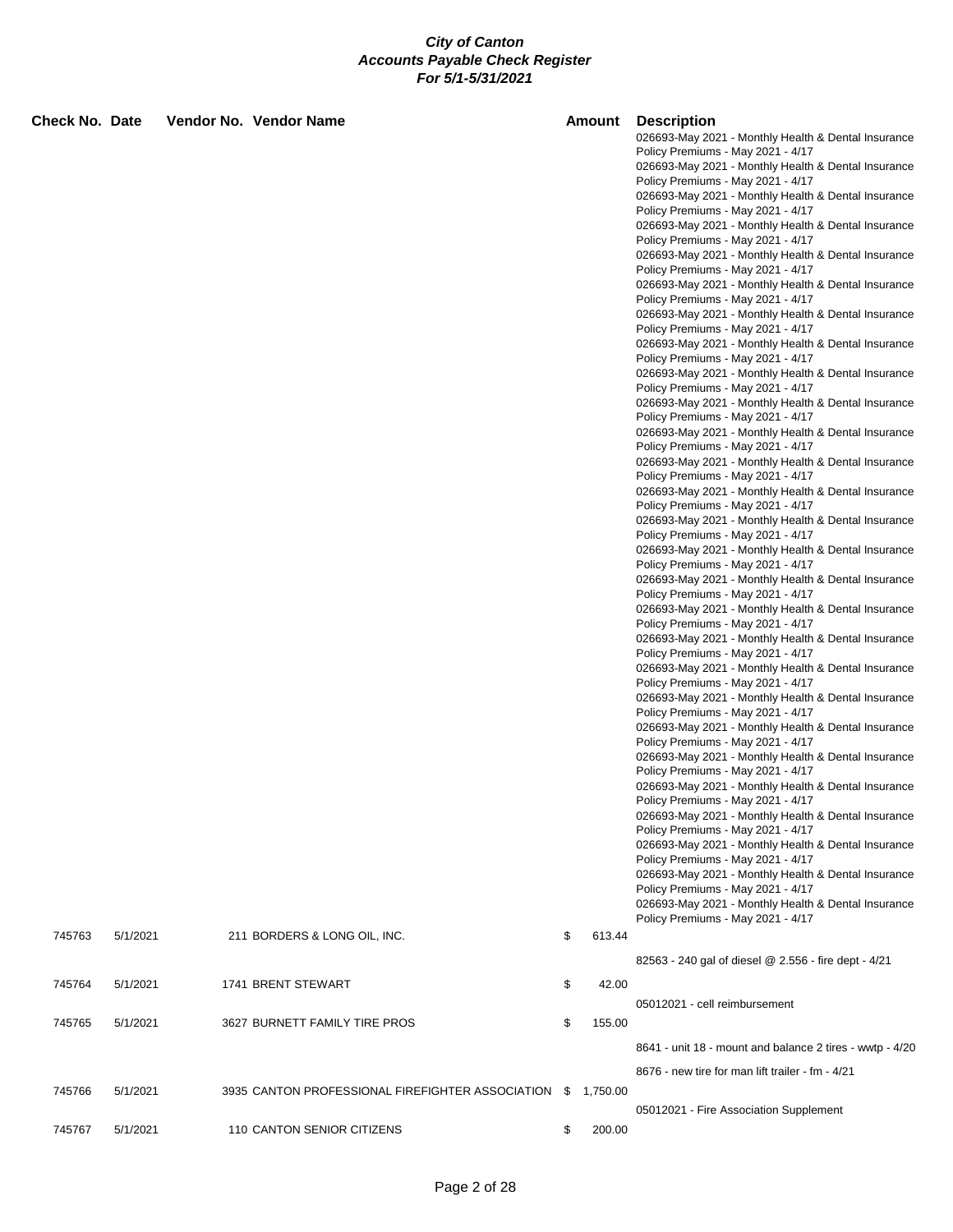| <b>Check No. Date</b> |          | Vendor No. Vendor Name                                       |    | <b>Amount</b> | <b>Description</b><br>026693-May 2021 - Monthly Health & Dental Insurance                |
|-----------------------|----------|--------------------------------------------------------------|----|---------------|------------------------------------------------------------------------------------------|
|                       |          |                                                              |    |               | Policy Premiums - May 2021 - 4/17                                                        |
|                       |          |                                                              |    |               | 026693-May 2021 - Monthly Health & Dental Insurance                                      |
|                       |          |                                                              |    |               | Policy Premiums - May 2021 - 4/17<br>026693-May 2021 - Monthly Health & Dental Insurance |
|                       |          |                                                              |    |               | Policy Premiums - May 2021 - 4/17                                                        |
|                       |          |                                                              |    |               | 026693-May 2021 - Monthly Health & Dental Insurance                                      |
|                       |          |                                                              |    |               | Policy Premiums - May 2021 - 4/17                                                        |
|                       |          |                                                              |    |               | 026693-May 2021 - Monthly Health & Dental Insurance<br>Policy Premiums - May 2021 - 4/17 |
|                       |          |                                                              |    |               | 026693-May 2021 - Monthly Health & Dental Insurance                                      |
|                       |          |                                                              |    |               | Policy Premiums - May 2021 - 4/17                                                        |
|                       |          |                                                              |    |               | 026693-May 2021 - Monthly Health & Dental Insurance                                      |
|                       |          |                                                              |    |               | Policy Premiums - May 2021 - 4/17<br>026693-May 2021 - Monthly Health & Dental Insurance |
|                       |          |                                                              |    |               | Policy Premiums - May 2021 - 4/17                                                        |
|                       |          |                                                              |    |               | 026693-May 2021 - Monthly Health & Dental Insurance                                      |
|                       |          |                                                              |    |               | Policy Premiums - May 2021 - 4/17                                                        |
|                       |          |                                                              |    |               | 026693-May 2021 - Monthly Health & Dental Insurance<br>Policy Premiums - May 2021 - 4/17 |
|                       |          |                                                              |    |               | 026693-May 2021 - Monthly Health & Dental Insurance                                      |
|                       |          |                                                              |    |               | Policy Premiums - May 2021 - 4/17                                                        |
|                       |          |                                                              |    |               | 026693-May 2021 - Monthly Health & Dental Insurance<br>Policy Premiums - May 2021 - 4/17 |
|                       |          |                                                              |    |               | 026693-May 2021 - Monthly Health & Dental Insurance                                      |
|                       |          |                                                              |    |               | Policy Premiums - May 2021 - 4/17                                                        |
|                       |          |                                                              |    |               | 026693-May 2021 - Monthly Health & Dental Insurance                                      |
|                       |          |                                                              |    |               | Policy Premiums - May 2021 - 4/17<br>026693-May 2021 - Monthly Health & Dental Insurance |
|                       |          |                                                              |    |               | Policy Premiums - May 2021 - 4/17                                                        |
|                       |          |                                                              |    |               | 026693-May 2021 - Monthly Health & Dental Insurance                                      |
|                       |          |                                                              |    |               | Policy Premiums - May 2021 - 4/17                                                        |
|                       |          |                                                              |    |               | 026693-May 2021 - Monthly Health & Dental Insurance<br>Policy Premiums - May 2021 - 4/17 |
|                       |          |                                                              |    |               | 026693-May 2021 - Monthly Health & Dental Insurance                                      |
|                       |          |                                                              |    |               | Policy Premiums - May 2021 - 4/17                                                        |
|                       |          |                                                              |    |               | 026693-May 2021 - Monthly Health & Dental Insurance<br>Policy Premiums - May 2021 - 4/17 |
|                       |          |                                                              |    |               | 026693-May 2021 - Monthly Health & Dental Insurance                                      |
|                       |          |                                                              |    |               | Policy Premiums - May 2021 - 4/17                                                        |
|                       |          |                                                              |    |               | 026693-May 2021 - Monthly Health & Dental Insurance                                      |
|                       |          |                                                              |    |               | Policy Premiums - May 2021 - 4/17<br>026693-May 2021 - Monthly Health & Dental Insurance |
|                       |          |                                                              |    |               | Policy Premiums - May 2021 - 4/17                                                        |
|                       |          |                                                              |    |               | 026693-May 2021 - Monthly Health & Dental Insurance                                      |
|                       |          |                                                              |    |               | Policy Premiums - May 2021 - 4/17<br>026693-May 2021 - Monthly Health & Dental Insurance |
|                       |          |                                                              |    |               | Policy Premiums - May 2021 - 4/17                                                        |
|                       |          |                                                              |    |               | 026693-May 2021 - Monthly Health & Dental Insurance                                      |
|                       |          |                                                              |    |               | Policy Premiums - May 2021 - 4/17                                                        |
|                       |          |                                                              |    |               | 026693-May 2021 - Monthly Health & Dental Insurance<br>Policy Premiums - May 2021 - 4/17 |
|                       |          |                                                              |    |               | 026693-May 2021 - Monthly Health & Dental Insurance                                      |
|                       |          |                                                              |    |               | Policy Premiums - May 2021 - 4/17                                                        |
| 745763                | 5/1/2021 | 211 BORDERS & LONG OIL, INC.                                 | \$ | 613.44        |                                                                                          |
|                       |          |                                                              |    |               | 82563 - 240 gal of diesel @ 2.556 - fire dept - 4/21                                     |
| 745764                | 5/1/2021 | 1741 BRENT STEWART                                           | \$ | 42.00         |                                                                                          |
|                       |          |                                                              |    |               | 05012021 - cell reimbursement                                                            |
| 745765                | 5/1/2021 | 3627 BURNETT FAMILY TIRE PROS                                | \$ | 155.00        |                                                                                          |
|                       |          |                                                              |    |               |                                                                                          |
|                       |          |                                                              |    |               | 8641 - unit 18 - mount and balance 2 tires - wwtp - 4/20                                 |
|                       |          |                                                              |    |               | 8676 - new tire for man lift trailer - fm - 4/21                                         |
| 745766                | 5/1/2021 | 3935 CANTON PROFESSIONAL FIREFIGHTER ASSOCIATION \$ 1,750.00 |    |               |                                                                                          |
|                       |          |                                                              |    |               | 05012021 - Fire Association Supplement                                                   |
| 745767                | 5/1/2021 | 110 CANTON SENIOR CITIZENS                                   | \$ | 200.00        |                                                                                          |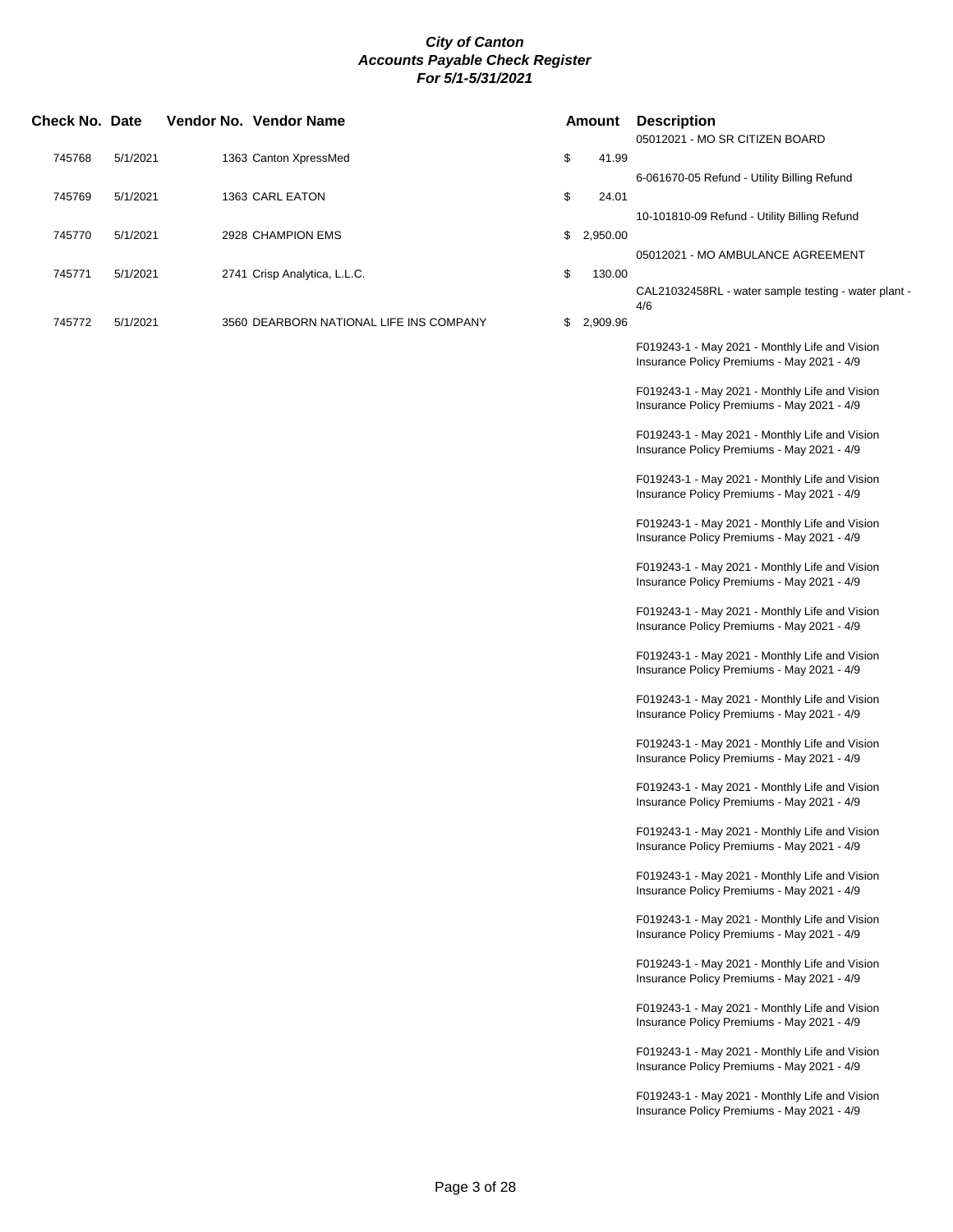| Check No. Date |          | Vendor No. Vendor Name                  | <b>Amount</b>  |          | <b>Description</b><br>05012021 - MO SR CITIZEN BOARD                                         |
|----------------|----------|-----------------------------------------|----------------|----------|----------------------------------------------------------------------------------------------|
| 745768         | 5/1/2021 | 1363 Canton XpressMed                   | \$             | 41.99    |                                                                                              |
| 745769         | 5/1/2021 | 1363 CARL EATON                         | \$             | 24.01    | 6-061670-05 Refund - Utility Billing Refund                                                  |
|                |          |                                         |                |          | 10-101810-09 Refund - Utility Billing Refund                                                 |
| 745770         | 5/1/2021 | 2928 CHAMPION EMS                       | \$             | 2,950.00 | 05012021 - MO AMBULANCE AGREEMENT                                                            |
| 745771         | 5/1/2021 | 2741 Crisp Analytica, L.L.C.            | \$             | 130.00   |                                                                                              |
|                |          |                                         |                |          | CAL21032458RL - water sample testing - water plant -<br>4/6                                  |
| 745772         | 5/1/2021 | 3560 DEARBORN NATIONAL LIFE INS COMPANY | \$<br>2,909.96 |          |                                                                                              |
|                |          |                                         |                |          | F019243-1 - May 2021 - Monthly Life and Vision<br>Insurance Policy Premiums - May 2021 - 4/9 |
|                |          |                                         |                |          | F019243-1 - May 2021 - Monthly Life and Vision<br>Insurance Policy Premiums - May 2021 - 4/9 |
|                |          |                                         |                |          | F019243-1 - May 2021 - Monthly Life and Vision<br>Insurance Policy Premiums - May 2021 - 4/9 |
|                |          |                                         |                |          | F019243-1 - May 2021 - Monthly Life and Vision<br>Insurance Policy Premiums - May 2021 - 4/9 |
|                |          |                                         |                |          | F019243-1 - May 2021 - Monthly Life and Vision<br>Insurance Policy Premiums - May 2021 - 4/9 |
|                |          |                                         |                |          | F019243-1 - May 2021 - Monthly Life and Vision<br>Insurance Policy Premiums - May 2021 - 4/9 |
|                |          |                                         |                |          | F019243-1 - May 2021 - Monthly Life and Vision<br>Insurance Policy Premiums - May 2021 - 4/9 |
|                |          |                                         |                |          | F019243-1 - May 2021 - Monthly Life and Vision<br>Insurance Policy Premiums - May 2021 - 4/9 |
|                |          |                                         |                |          | F019243-1 - May 2021 - Monthly Life and Vision<br>Insurance Policy Premiums - May 2021 - 4/9 |
|                |          |                                         |                |          | F019243-1 - May 2021 - Monthly Life and Vision<br>Insurance Policy Premiums - May 2021 - 4/9 |
|                |          |                                         |                |          | F019243-1 - May 2021 - Monthly Life and Vision<br>Insurance Policy Premiums - May 2021 - 4/9 |
|                |          |                                         |                |          | F019243-1 - May 2021 - Monthly Life and Vision<br>Insurance Policy Premiums - May 2021 - 4/9 |
|                |          |                                         |                |          | F019243-1 - May 2021 - Monthly Life and Vision<br>Insurance Policy Premiums - May 2021 - 4/9 |
|                |          |                                         |                |          | F019243-1 - May 2021 - Monthly Life and Vision<br>Insurance Policy Premiums - May 2021 - 4/9 |
|                |          |                                         |                |          | F019243-1 - May 2021 - Monthly Life and Vision<br>Insurance Policy Premiums - May 2021 - 4/9 |
|                |          |                                         |                |          | F019243-1 - May 2021 - Monthly Life and Vision<br>Insurance Policy Premiums - May 2021 - 4/9 |
|                |          |                                         |                |          | F019243-1 - May 2021 - Monthly Life and Vision<br>Insurance Policy Premiums - May 2021 - 4/9 |
|                |          |                                         |                |          | F019243-1 - May 2021 - Monthly Life and Vision<br>Insurance Policy Premiums - May 2021 - 4/9 |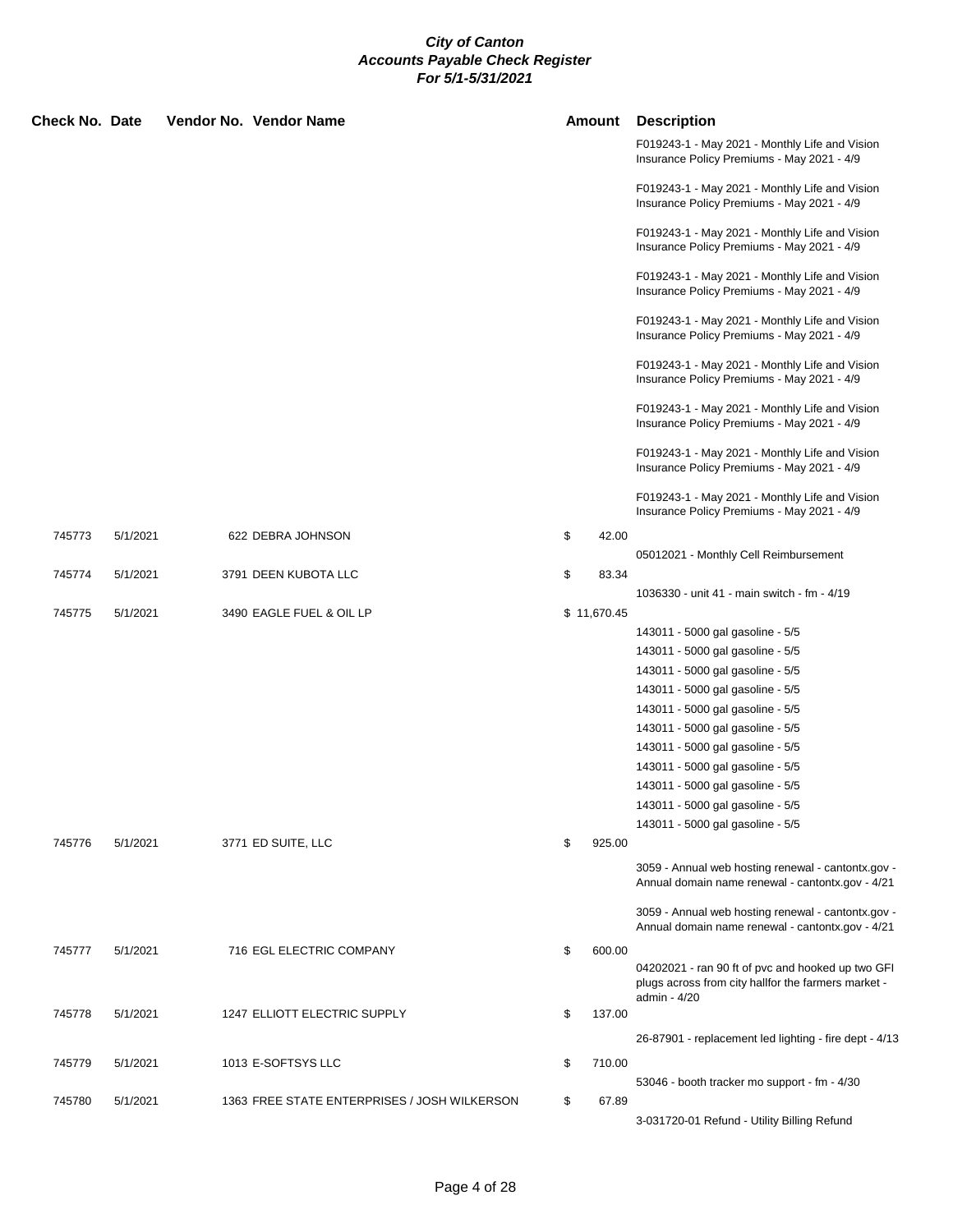| <b>Check No. Date</b> |          | Vendor No. Vendor Name                       | <b>Amount</b> |             | <b>Description</b>                                                                                                       |
|-----------------------|----------|----------------------------------------------|---------------|-------------|--------------------------------------------------------------------------------------------------------------------------|
|                       |          |                                              |               |             | F019243-1 - May 2021 - Monthly Life and Vision<br>Insurance Policy Premiums - May 2021 - 4/9                             |
|                       |          |                                              |               |             | F019243-1 - May 2021 - Monthly Life and Vision<br>Insurance Policy Premiums - May 2021 - 4/9                             |
|                       |          |                                              |               |             | F019243-1 - May 2021 - Monthly Life and Vision<br>Insurance Policy Premiums - May 2021 - 4/9                             |
|                       |          |                                              |               |             | F019243-1 - May 2021 - Monthly Life and Vision<br>Insurance Policy Premiums - May 2021 - 4/9                             |
|                       |          |                                              |               |             | F019243-1 - May 2021 - Monthly Life and Vision<br>Insurance Policy Premiums - May 2021 - 4/9                             |
|                       |          |                                              |               |             | F019243-1 - May 2021 - Monthly Life and Vision<br>Insurance Policy Premiums - May 2021 - 4/9                             |
|                       |          |                                              |               |             | F019243-1 - May 2021 - Monthly Life and Vision<br>Insurance Policy Premiums - May 2021 - 4/9                             |
|                       |          |                                              |               |             | F019243-1 - May 2021 - Monthly Life and Vision<br>Insurance Policy Premiums - May 2021 - 4/9                             |
|                       |          |                                              |               |             | F019243-1 - May 2021 - Monthly Life and Vision<br>Insurance Policy Premiums - May 2021 - 4/9                             |
| 745773                | 5/1/2021 | 622 DEBRA JOHNSON                            | \$            | 42.00       |                                                                                                                          |
|                       |          |                                              |               |             | 05012021 - Monthly Cell Reimbursement                                                                                    |
| 745774                | 5/1/2021 | 3791 DEEN KUBOTA LLC                         | \$            | 83.34       |                                                                                                                          |
|                       |          |                                              |               |             | 1036330 - unit 41 - main switch - fm - 4/19                                                                              |
| 745775                | 5/1/2021 | 3490 EAGLE FUEL & OIL LP                     |               | \$11,670.45 |                                                                                                                          |
|                       |          |                                              |               |             | 143011 - 5000 gal gasoline - 5/5                                                                                         |
|                       |          |                                              |               |             | 143011 - 5000 gal gasoline - 5/5                                                                                         |
|                       |          |                                              |               |             | 143011 - 5000 gal gasoline - 5/5                                                                                         |
|                       |          |                                              |               |             | 143011 - 5000 gal gasoline - 5/5                                                                                         |
|                       |          |                                              |               |             | 143011 - 5000 gal gasoline - 5/5                                                                                         |
|                       |          |                                              |               |             | 143011 - 5000 gal gasoline - 5/5                                                                                         |
|                       |          |                                              |               |             | 143011 - 5000 gal gasoline - 5/5                                                                                         |
|                       |          |                                              |               |             | 143011 - 5000 gal gasoline - 5/5                                                                                         |
|                       |          |                                              |               |             | 143011 - 5000 gal gasoline - 5/5                                                                                         |
|                       |          |                                              |               |             | 143011 - 5000 gal gasoline - 5/5                                                                                         |
|                       |          |                                              |               |             | 143011 - 5000 gal gasoline - 5/5                                                                                         |
| 745776                | 5/1/2021 | 3771 ED SUITE, LLC                           | \$            | 925.00      |                                                                                                                          |
|                       |          |                                              |               |             | 3059 - Annual web hosting renewal - cantontx.gov -<br>Annual domain name renewal - cantontx.gov - 4/21                   |
|                       |          |                                              |               |             | 3059 - Annual web hosting renewal - cantontx.gov -<br>Annual domain name renewal - cantontx.gov - 4/21                   |
| 745777                | 5/1/2021 | 716 EGL ELECTRIC COMPANY                     | \$            | 600.00      |                                                                                                                          |
|                       |          |                                              |               |             | 04202021 - ran 90 ft of pvc and hooked up two GFI<br>plugs across from city hallfor the farmers market -<br>admin - 4/20 |
| 745778                | 5/1/2021 | 1247 ELLIOTT ELECTRIC SUPPLY                 | \$            | 137.00      |                                                                                                                          |
|                       |          |                                              |               |             | 26-87901 - replacement led lighting - fire dept - 4/13                                                                   |
| 745779                | 5/1/2021 | 1013 E-SOFTSYS LLC                           | \$            | 710.00      |                                                                                                                          |
|                       |          |                                              |               |             | 53046 - booth tracker mo support - fm - 4/30                                                                             |
| 745780                | 5/1/2021 | 1363 FREE STATE ENTERPRISES / JOSH WILKERSON | \$            | 67.89       |                                                                                                                          |
|                       |          |                                              |               |             | 3-031720-01 Refund - Utility Billing Refund                                                                              |
|                       |          |                                              |               |             |                                                                                                                          |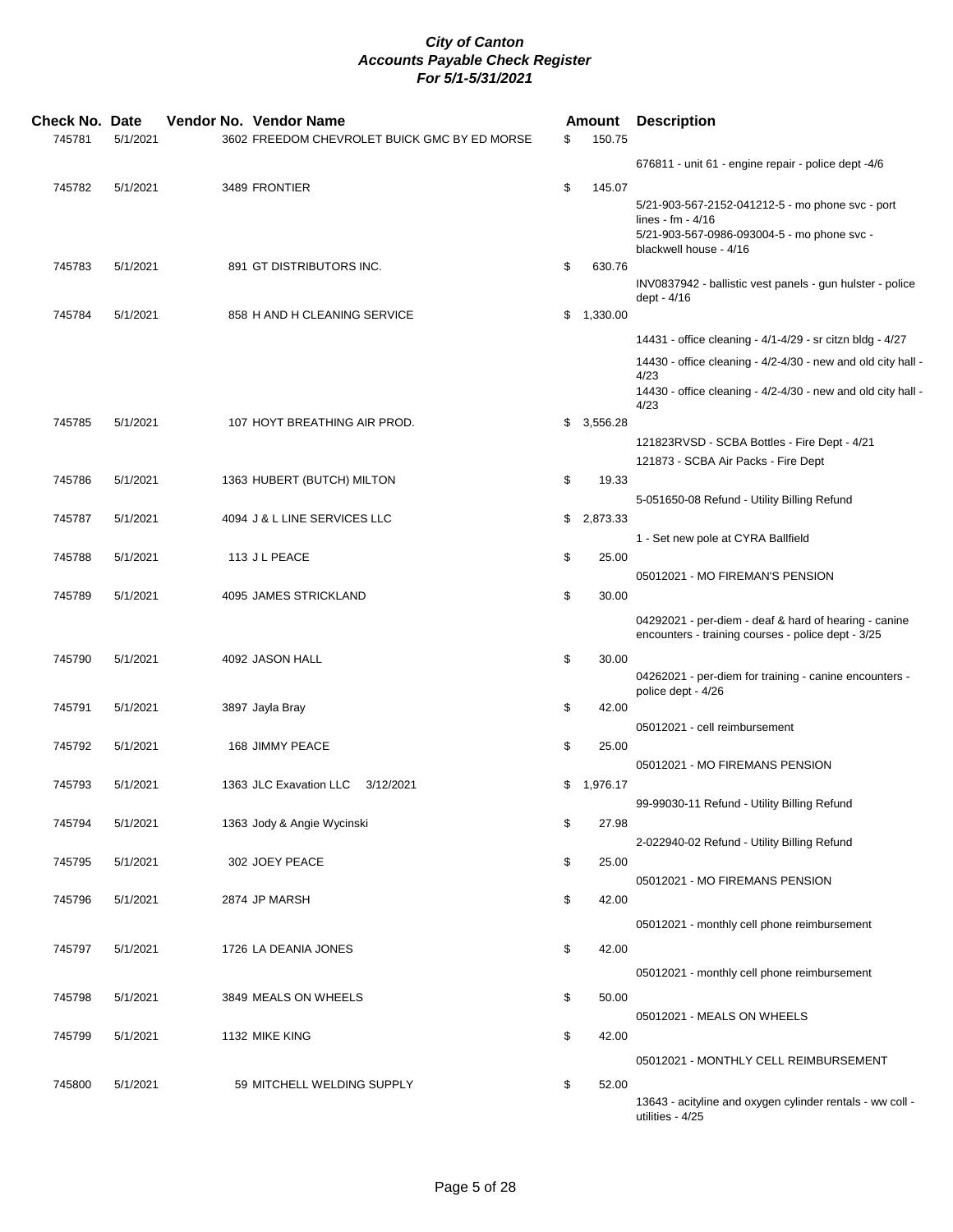| <b>Check No. Date</b><br>745781 | 5/1/2021 | Vendor No. Vendor Name<br>3602 FREEDOM CHEVROLET BUICK GMC BY ED MORSE | \$<br>Amount<br>150.75 | <b>Description</b>                                                                                                                               |
|---------------------------------|----------|------------------------------------------------------------------------|------------------------|--------------------------------------------------------------------------------------------------------------------------------------------------|
|                                 |          |                                                                        |                        | 676811 - unit 61 - engine repair - police dept -4/6                                                                                              |
| 745782                          | 5/1/2021 | 3489 FRONTIER                                                          | \$<br>145.07           | 5/21-903-567-2152-041212-5 - mo phone svc - port<br>lines - fm - $4/16$<br>5/21-903-567-0986-093004-5 - mo phone svc -<br>blackwell house - 4/16 |
| 745783                          | 5/1/2021 | 891 GT DISTRIBUTORS INC.                                               | \$<br>630.76           | INV0837942 - ballistic vest panels - gun hulster - police<br>dept - 4/16                                                                         |
| 745784                          | 5/1/2021 | 858 H AND H CLEANING SERVICE                                           | \$1,330.00             |                                                                                                                                                  |
|                                 |          |                                                                        |                        | 14431 - office cleaning - 4/1-4/29 - sr citzn bldg - 4/27                                                                                        |
|                                 |          |                                                                        |                        | 14430 - office cleaning - 4/2-4/30 - new and old city hall -<br>4/23<br>14430 - office cleaning - 4/2-4/30 - new and old city hall -<br>4/23     |
| 745785                          | 5/1/2021 | 107 HOYT BREATHING AIR PROD.                                           | \$<br>3,556.28         |                                                                                                                                                  |
|                                 |          |                                                                        |                        | 121823RVSD - SCBA Bottles - Fire Dept - 4/21<br>121873 - SCBA Air Packs - Fire Dept                                                              |
| 745786                          | 5/1/2021 | 1363 HUBERT (BUTCH) MILTON                                             | \$<br>19.33            |                                                                                                                                                  |
|                                 |          |                                                                        |                        | 5-051650-08 Refund - Utility Billing Refund                                                                                                      |
| 745787                          | 5/1/2021 | 4094 J & L LINE SERVICES LLC                                           | \$<br>2,873.33         |                                                                                                                                                  |
|                                 |          |                                                                        |                        | 1 - Set new pole at CYRA Ballfield                                                                                                               |
| 745788                          | 5/1/2021 | 113 J L PEACE                                                          | \$<br>25.00            | 05012021 - MO FIREMAN'S PENSION                                                                                                                  |
| 745789                          | 5/1/2021 | 4095 JAMES STRICKLAND                                                  | \$<br>30.00            |                                                                                                                                                  |
|                                 |          |                                                                        |                        | 04292021 - per-diem - deaf & hard of hearing - canine<br>encounters - training courses - police dept - 3/25                                      |
| 745790                          | 5/1/2021 | 4092 JASON HALL                                                        | \$<br>30.00            | 04262021 - per-diem for training - canine encounters -                                                                                           |
| 745791                          | 5/1/2021 | 3897 Jayla Bray                                                        | \$<br>42.00            | police dept - 4/26                                                                                                                               |
|                                 |          |                                                                        |                        | 05012021 - cell reimbursement                                                                                                                    |
| 745792                          | 5/1/2021 | 168 JIMMY PEACE                                                        | \$<br>25.00            | 05012021 - MO FIREMANS PENSION                                                                                                                   |
| 745793                          | 5/1/2021 | 1363 JLC Exavation LLC<br>3/12/2021                                    | \$1,976.17             |                                                                                                                                                  |
|                                 |          |                                                                        |                        | 99-99030-11 Refund - Utility Billing Refund                                                                                                      |
| 745794                          | 5/1/2021 | 1363 Jody & Angie Wycinski                                             | \$<br>27.98            |                                                                                                                                                  |
| 745795                          | 5/1/2021 | 302 JOEY PEACE                                                         | \$<br>25.00            | 2-022940-02 Refund - Utility Billing Refund                                                                                                      |
|                                 |          |                                                                        |                        | 05012021 - MO FIREMANS PENSION                                                                                                                   |
| 745796                          | 5/1/2021 | 2874 JP MARSH                                                          | \$<br>42.00            |                                                                                                                                                  |
|                                 |          |                                                                        |                        | 05012021 - monthly cell phone reimbursement                                                                                                      |
| 745797                          | 5/1/2021 | 1726 LA DEANIA JONES                                                   | \$<br>42.00            |                                                                                                                                                  |
|                                 |          |                                                                        |                        | 05012021 - monthly cell phone reimbursement                                                                                                      |
| 745798                          | 5/1/2021 | 3849 MEALS ON WHEELS                                                   | \$<br>50.00            |                                                                                                                                                  |
|                                 |          |                                                                        |                        | 05012021 - MEALS ON WHEELS                                                                                                                       |
| 745799                          | 5/1/2021 | 1132 MIKE KING                                                         | \$<br>42.00            |                                                                                                                                                  |
|                                 |          |                                                                        |                        | 05012021 - MONTHLY CELL REIMBURSEMENT                                                                                                            |
| 745800                          | 5/1/2021 | 59 MITCHELL WELDING SUPPLY                                             | \$<br>52.00            | 13643 - acityline and oxygen cylinder rentals - ww coll -<br>utilities - 4/25                                                                    |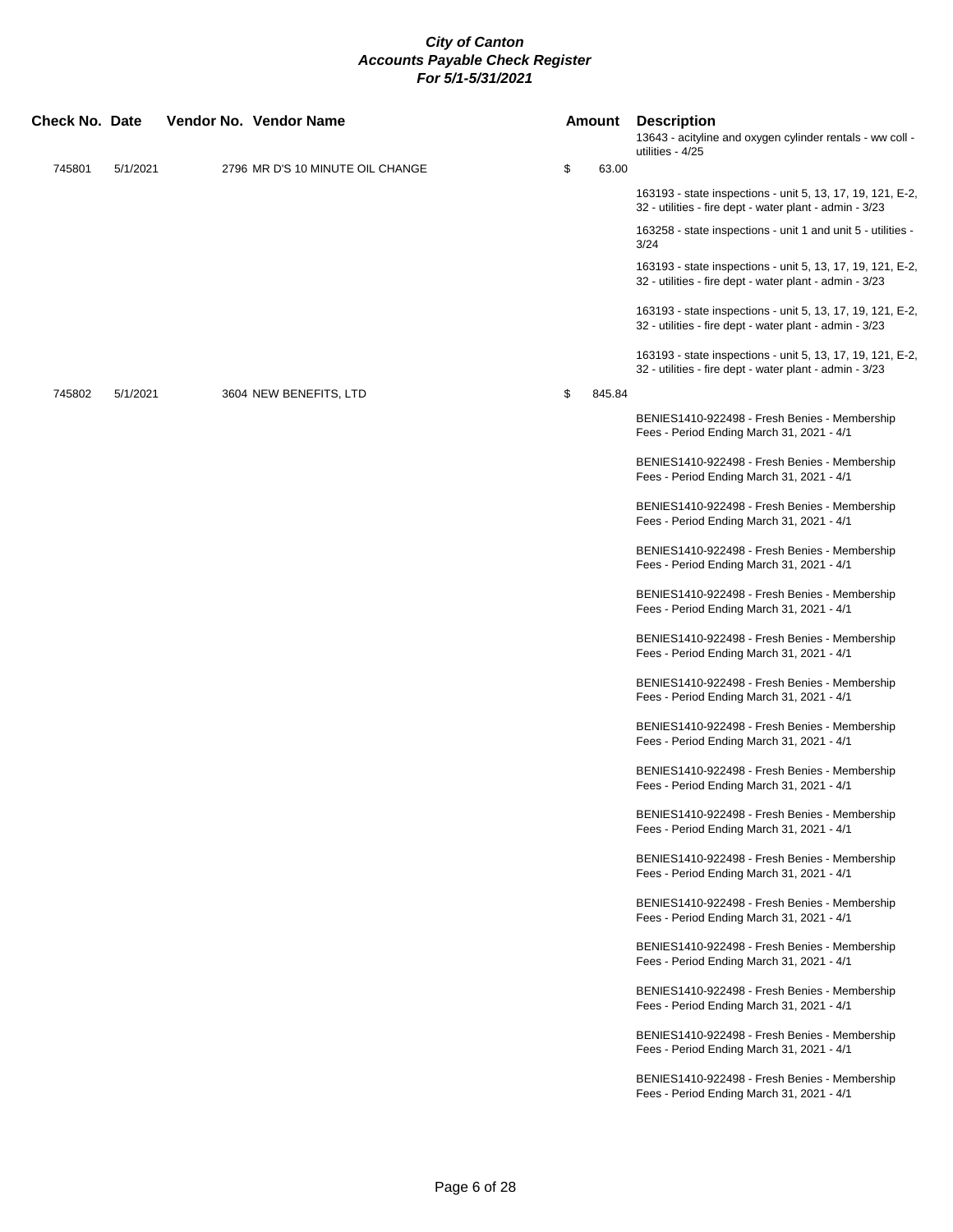| Check No. Date |          | Vendor No. Vendor Name           |    | Amount | <b>Description</b><br>13643 - acityline and oxygen cylinder rentals - ww coll -<br>utilities - 4/25                   |
|----------------|----------|----------------------------------|----|--------|-----------------------------------------------------------------------------------------------------------------------|
| 745801         | 5/1/2021 | 2796 MR D'S 10 MINUTE OIL CHANGE | \$ | 63.00  |                                                                                                                       |
|                |          |                                  |    |        | 163193 - state inspections - unit 5, 13, 17, 19, 121, E-2,<br>32 - utilities - fire dept - water plant - admin - 3/23 |
|                |          |                                  |    |        | 163258 - state inspections - unit 1 and unit 5 - utilities -<br>3/24                                                  |
|                |          |                                  |    |        | 163193 - state inspections - unit 5, 13, 17, 19, 121, E-2,<br>32 - utilities - fire dept - water plant - admin - 3/23 |
|                |          |                                  |    |        | 163193 - state inspections - unit 5, 13, 17, 19, 121, E-2,<br>32 - utilities - fire dept - water plant - admin - 3/23 |
|                |          |                                  |    |        | 163193 - state inspections - unit 5, 13, 17, 19, 121, E-2,<br>32 - utilities - fire dept - water plant - admin - 3/23 |
| 745802         | 5/1/2021 | 3604 NEW BENEFITS, LTD           | \$ | 845.84 |                                                                                                                       |
|                |          |                                  |    |        | BENIES1410-922498 - Fresh Benies - Membership<br>Fees - Period Ending March 31, 2021 - 4/1                            |
|                |          |                                  |    |        | BENIES1410-922498 - Fresh Benies - Membership<br>Fees - Period Ending March 31, 2021 - 4/1                            |
|                |          |                                  |    |        | BENIES1410-922498 - Fresh Benies - Membership<br>Fees - Period Ending March 31, 2021 - 4/1                            |
|                |          |                                  |    |        | BENIES1410-922498 - Fresh Benies - Membership<br>Fees - Period Ending March 31, 2021 - 4/1                            |
|                |          |                                  |    |        | BENIES1410-922498 - Fresh Benies - Membership<br>Fees - Period Ending March 31, 2021 - 4/1                            |
|                |          |                                  |    |        | BENIES1410-922498 - Fresh Benies - Membership<br>Fees - Period Ending March 31, 2021 - 4/1                            |
|                |          |                                  |    |        | BENIES1410-922498 - Fresh Benies - Membership<br>Fees - Period Ending March 31, 2021 - 4/1                            |
|                |          |                                  |    |        | BENIES1410-922498 - Fresh Benies - Membership<br>Fees - Period Ending March 31, 2021 - 4/1                            |
|                |          |                                  |    |        | BENIES1410-922498 - Fresh Benies - Membership<br>Fees - Period Ending March 31, 2021 - 4/1                            |
|                |          |                                  |    |        | BENIES1410-922498 - Fresh Benies - Membership<br>Fees - Period Ending March 31, 2021 - 4/1                            |
|                |          |                                  |    |        | BENIES1410-922498 - Fresh Benies - Membership<br>Fees - Period Ending March 31, 2021 - 4/1                            |
|                |          |                                  |    |        | BENIES1410-922498 - Fresh Benies - Membership<br>Fees - Period Ending March 31, 2021 - 4/1                            |
|                |          |                                  |    |        | BENIES1410-922498 - Fresh Benies - Membership<br>Fees - Period Ending March 31, 2021 - 4/1                            |
|                |          |                                  |    |        | BENIES1410-922498 - Fresh Benies - Membership<br>Fees - Period Ending March 31, 2021 - 4/1                            |
|                |          |                                  |    |        | BENIES1410-922498 - Fresh Benies - Membership<br>Fees - Period Ending March 31, 2021 - 4/1                            |
|                |          |                                  |    |        | BENIES1410-922498 - Fresh Benies - Membership<br>Fees - Period Ending March 31, 2021 - 4/1                            |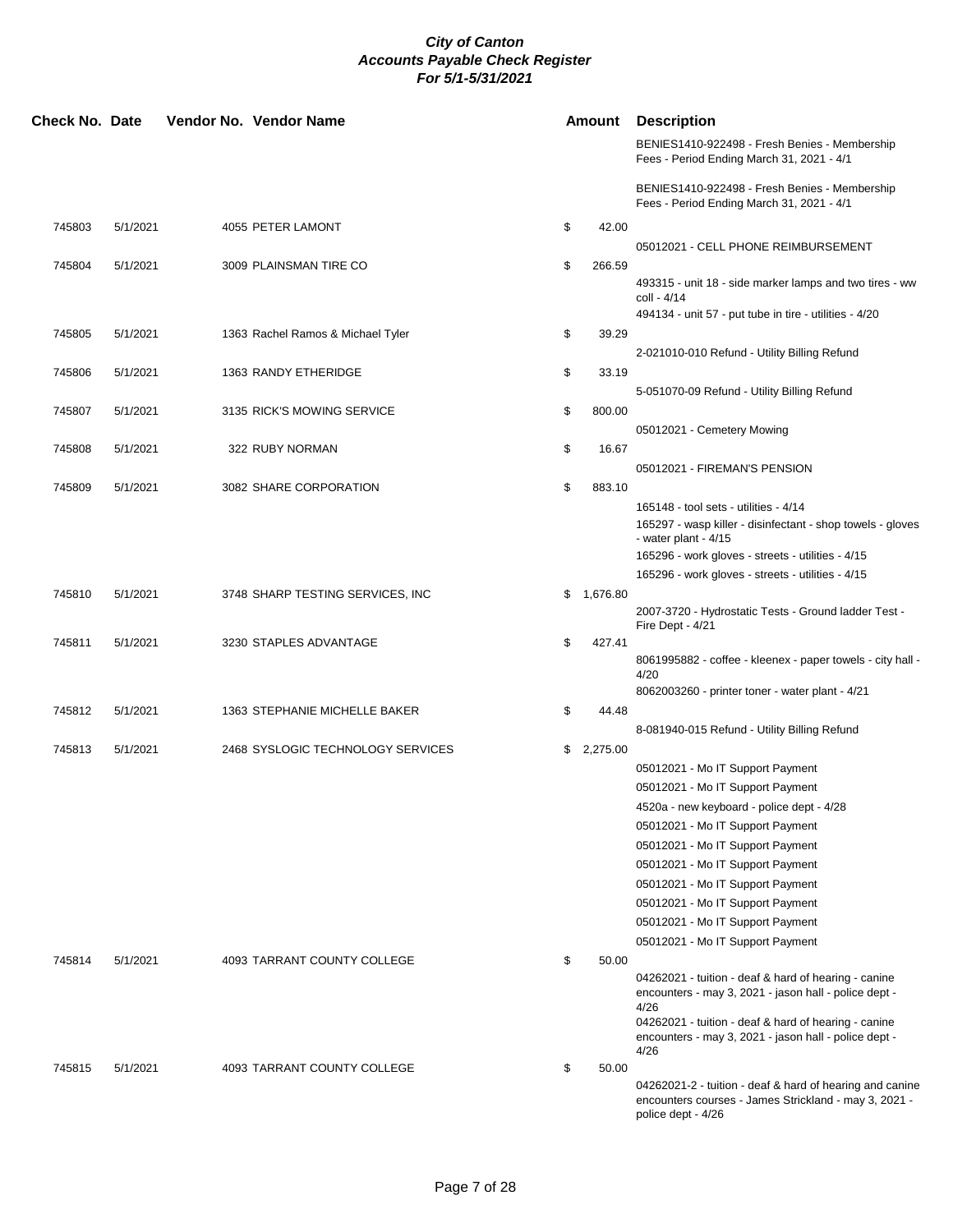| <b>Check No. Date</b> |          | Vendor No. Vendor Name            |    | Amount     | <b>Description</b>                                                                                                                                                                                                                             |
|-----------------------|----------|-----------------------------------|----|------------|------------------------------------------------------------------------------------------------------------------------------------------------------------------------------------------------------------------------------------------------|
|                       |          |                                   |    |            | BENIES1410-922498 - Fresh Benies - Membership<br>Fees - Period Ending March 31, 2021 - 4/1                                                                                                                                                     |
|                       |          |                                   |    |            | BENIES1410-922498 - Fresh Benies - Membership<br>Fees - Period Ending March 31, 2021 - 4/1                                                                                                                                                     |
| 745803                | 5/1/2021 | 4055 PETER LAMONT                 | \$ | 42.00      |                                                                                                                                                                                                                                                |
|                       |          |                                   |    |            | 05012021 - CELL PHONE REIMBURSEMENT                                                                                                                                                                                                            |
| 745804                | 5/1/2021 | 3009 PLAINSMAN TIRE CO            | \$ | 266.59     | 493315 - unit 18 - side marker lamps and two tires - ww<br>coll - 4/14<br>494134 - unit 57 - put tube in tire - utilities - 4/20                                                                                                               |
| 745805                | 5/1/2021 | 1363 Rachel Ramos & Michael Tyler | \$ | 39.29      |                                                                                                                                                                                                                                                |
|                       |          |                                   |    |            | 2-021010-010 Refund - Utility Billing Refund                                                                                                                                                                                                   |
| 745806                | 5/1/2021 | 1363 RANDY ETHERIDGE              | \$ | 33.19      |                                                                                                                                                                                                                                                |
|                       |          |                                   |    |            | 5-051070-09 Refund - Utility Billing Refund                                                                                                                                                                                                    |
| 745807                | 5/1/2021 | 3135 RICK'S MOWING SERVICE        | \$ | 800.00     |                                                                                                                                                                                                                                                |
|                       |          |                                   |    |            | 05012021 - Cemetery Mowing                                                                                                                                                                                                                     |
| 745808                | 5/1/2021 | 322 RUBY NORMAN                   | \$ | 16.67      |                                                                                                                                                                                                                                                |
|                       |          |                                   |    |            | 05012021 - FIREMAN'S PENSION                                                                                                                                                                                                                   |
| 745809                | 5/1/2021 | 3082 SHARE CORPORATION            | \$ | 883.10     |                                                                                                                                                                                                                                                |
|                       |          |                                   |    |            | 165148 - tool sets - utilities - 4/14<br>165297 - wasp killer - disinfectant - shop towels - gloves<br>- water plant - 4/15                                                                                                                    |
|                       |          |                                   |    |            | 165296 - work gloves - streets - utilities - 4/15                                                                                                                                                                                              |
|                       |          |                                   |    |            | 165296 - work gloves - streets - utilities - 4/15                                                                                                                                                                                              |
| 745810                | 5/1/2021 | 3748 SHARP TESTING SERVICES, INC  | \$ | 1,676.80   | 2007-3720 - Hydrostatic Tests - Ground ladder Test -<br>Fire Dept - 4/21                                                                                                                                                                       |
| 745811                | 5/1/2021 | 3230 STAPLES ADVANTAGE            | \$ | 427.41     | 8061995882 - coffee - kleenex - paper towels - city hall -<br>4/20                                                                                                                                                                             |
|                       |          |                                   |    |            | 8062003260 - printer toner - water plant - 4/21                                                                                                                                                                                                |
| 745812                | 5/1/2021 | 1363 STEPHANIE MICHELLE BAKER     | \$ | 44.48      |                                                                                                                                                                                                                                                |
|                       |          |                                   |    |            | 8-081940-015 Refund - Utility Billing Refund                                                                                                                                                                                                   |
| 745813                | 5/1/2021 | 2468 SYSLOGIC TECHNOLOGY SERVICES |    | \$2,275.00 |                                                                                                                                                                                                                                                |
|                       |          |                                   |    |            | 05012021 - Mo IT Support Payment                                                                                                                                                                                                               |
|                       |          |                                   |    |            | 05012021 - Mo IT Support Payment                                                                                                                                                                                                               |
|                       |          |                                   |    |            | 4520a - new keyboard - police dept - 4/28                                                                                                                                                                                                      |
|                       |          |                                   |    |            | 05012021 - Mo IT Support Payment                                                                                                                                                                                                               |
|                       |          |                                   |    |            | 05012021 - Mo IT Support Payment                                                                                                                                                                                                               |
|                       |          |                                   |    |            | 05012021 - Mo IT Support Payment                                                                                                                                                                                                               |
|                       |          |                                   |    |            | 05012021 - Mo IT Support Payment                                                                                                                                                                                                               |
|                       |          |                                   |    |            | 05012021 - Mo IT Support Payment<br>05012021 - Mo IT Support Payment                                                                                                                                                                           |
|                       |          |                                   |    |            | 05012021 - Mo IT Support Payment                                                                                                                                                                                                               |
| 745814                | 5/1/2021 | 4093 TARRANT COUNTY COLLEGE       | \$ | 50.00      |                                                                                                                                                                                                                                                |
|                       |          |                                   |    |            | 04262021 - tuition - deaf & hard of hearing - canine<br>encounters - may 3, 2021 - jason hall - police dept -<br>4/26<br>04262021 - tuition - deaf & hard of hearing - canine<br>encounters - may 3, 2021 - jason hall - police dept -<br>4/26 |
| 745815                | 5/1/2021 | 4093 TARRANT COUNTY COLLEGE       | \$ | 50.00      |                                                                                                                                                                                                                                                |
|                       |          |                                   |    |            | 04262021-2 - tuition - deaf & hard of hearing and canine<br>encounters courses - James Strickland - may 3, 2021 -<br>police dept - 4/26                                                                                                        |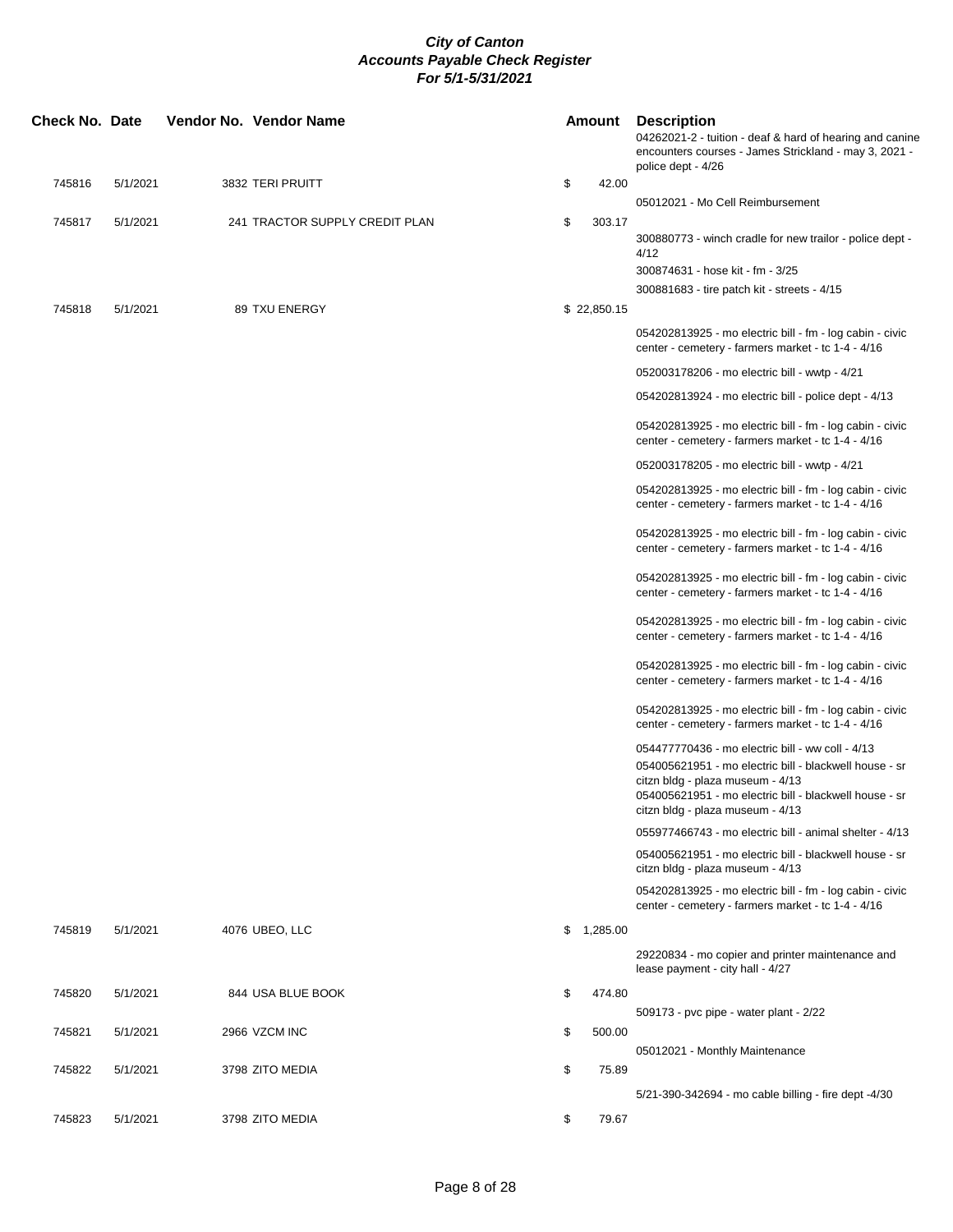| police dept - 4/26<br>745816<br>5/1/2021<br>3832 TERI PRUITT<br>\$<br>42.00<br>05012021 - Mo Cell Reimbursement<br>\$<br>745817<br>5/1/2021<br>241 TRACTOR SUPPLY CREDIT PLAN<br>303.17<br>300880773 - winch cradle for new trailor - police dept -<br>4/12<br>300874631 - hose kit - fm - 3/25<br>300881683 - tire patch kit - streets - 4/15<br>745818<br>5/1/2021<br>89 TXU ENERGY<br>\$22,850.15<br>054202813925 - mo electric bill - fm - log cabin - civic<br>center - cemetery - farmers market - tc 1-4 - 4/16<br>052003178206 - mo electric bill - wwtp - 4/21<br>054202813924 - mo electric bill - police dept - 4/13 | 04262021-2 - tuition - deaf & hard of hearing and canine<br>encounters courses - James Strickland - may 3, 2021 - |
|---------------------------------------------------------------------------------------------------------------------------------------------------------------------------------------------------------------------------------------------------------------------------------------------------------------------------------------------------------------------------------------------------------------------------------------------------------------------------------------------------------------------------------------------------------------------------------------------------------------------------------|-------------------------------------------------------------------------------------------------------------------|
|                                                                                                                                                                                                                                                                                                                                                                                                                                                                                                                                                                                                                                 |                                                                                                                   |
|                                                                                                                                                                                                                                                                                                                                                                                                                                                                                                                                                                                                                                 |                                                                                                                   |
|                                                                                                                                                                                                                                                                                                                                                                                                                                                                                                                                                                                                                                 |                                                                                                                   |
|                                                                                                                                                                                                                                                                                                                                                                                                                                                                                                                                                                                                                                 |                                                                                                                   |
|                                                                                                                                                                                                                                                                                                                                                                                                                                                                                                                                                                                                                                 |                                                                                                                   |
|                                                                                                                                                                                                                                                                                                                                                                                                                                                                                                                                                                                                                                 |                                                                                                                   |
|                                                                                                                                                                                                                                                                                                                                                                                                                                                                                                                                                                                                                                 |                                                                                                                   |
|                                                                                                                                                                                                                                                                                                                                                                                                                                                                                                                                                                                                                                 |                                                                                                                   |
| 054202813925 - mo electric bill - fm - log cabin - civic<br>center - cemetery - farmers market - tc 1-4 - 4/16                                                                                                                                                                                                                                                                                                                                                                                                                                                                                                                  |                                                                                                                   |
| 052003178205 - mo electric bill - wwtp - 4/21                                                                                                                                                                                                                                                                                                                                                                                                                                                                                                                                                                                   |                                                                                                                   |
| 054202813925 - mo electric bill - fm - log cabin - civic<br>center - cemetery - farmers market - tc 1-4 - 4/16                                                                                                                                                                                                                                                                                                                                                                                                                                                                                                                  |                                                                                                                   |
| 054202813925 - mo electric bill - fm - log cabin - civic<br>center - cemetery - farmers market - tc 1-4 - 4/16                                                                                                                                                                                                                                                                                                                                                                                                                                                                                                                  |                                                                                                                   |
| 054202813925 - mo electric bill - fm - log cabin - civic<br>center - cemetery - farmers market - tc 1-4 - 4/16                                                                                                                                                                                                                                                                                                                                                                                                                                                                                                                  |                                                                                                                   |
| 054202813925 - mo electric bill - fm - log cabin - civic<br>center - cemetery - farmers market - tc 1-4 - 4/16                                                                                                                                                                                                                                                                                                                                                                                                                                                                                                                  |                                                                                                                   |
| 054202813925 - mo electric bill - fm - log cabin - civic<br>center - cemetery - farmers market - tc 1-4 - 4/16                                                                                                                                                                                                                                                                                                                                                                                                                                                                                                                  |                                                                                                                   |
| 054202813925 - mo electric bill - fm - log cabin - civic<br>center - cemetery - farmers market - tc 1-4 - 4/16                                                                                                                                                                                                                                                                                                                                                                                                                                                                                                                  |                                                                                                                   |
| 054477770436 - mo electric bill - ww coll - 4/13                                                                                                                                                                                                                                                                                                                                                                                                                                                                                                                                                                                |                                                                                                                   |
| 054005621951 - mo electric bill - blackwell house - sr<br>citzn bldg - plaza museum - 4/13<br>054005621951 - mo electric bill - blackwell house - sr<br>citzn bldg - plaza museum - 4/13                                                                                                                                                                                                                                                                                                                                                                                                                                        |                                                                                                                   |
| 055977466743 - mo electric bill - animal shelter - 4/13                                                                                                                                                                                                                                                                                                                                                                                                                                                                                                                                                                         |                                                                                                                   |
| 054005621951 - mo electric bill - blackwell house - sr                                                                                                                                                                                                                                                                                                                                                                                                                                                                                                                                                                          |                                                                                                                   |
| citzn bldg - plaza museum - 4/13                                                                                                                                                                                                                                                                                                                                                                                                                                                                                                                                                                                                |                                                                                                                   |
| 054202813925 - mo electric bill - fm - log cabin - civic<br>center - cemetery - farmers market - tc 1-4 - 4/16                                                                                                                                                                                                                                                                                                                                                                                                                                                                                                                  |                                                                                                                   |
| 745819<br>5/1/2021<br>\$1,285.00<br>4076 UBEO, LLC                                                                                                                                                                                                                                                                                                                                                                                                                                                                                                                                                                              |                                                                                                                   |
| 29220834 - mo copier and printer maintenance and<br>lease payment - city hall - 4/27                                                                                                                                                                                                                                                                                                                                                                                                                                                                                                                                            |                                                                                                                   |
| 745820<br>5/1/2021<br>\$<br>474.80<br>844 USA BLUE BOOK                                                                                                                                                                                                                                                                                                                                                                                                                                                                                                                                                                         |                                                                                                                   |
| 509173 - pvc pipe - water plant - 2/22<br>2966 VZCM INC<br>500.00<br>745821<br>5/1/2021<br>\$                                                                                                                                                                                                                                                                                                                                                                                                                                                                                                                                   |                                                                                                                   |
| 05012021 - Monthly Maintenance                                                                                                                                                                                                                                                                                                                                                                                                                                                                                                                                                                                                  |                                                                                                                   |
| 745822<br>5/1/2021<br>3798 ZITO MEDIA<br>\$<br>75.89<br>5/21-390-342694 - mo cable billing - fire dept -4/30                                                                                                                                                                                                                                                                                                                                                                                                                                                                                                                    |                                                                                                                   |
| 5/1/2021<br>3798 ZITO MEDIA<br>\$<br>79.67<br>745823                                                                                                                                                                                                                                                                                                                                                                                                                                                                                                                                                                            |                                                                                                                   |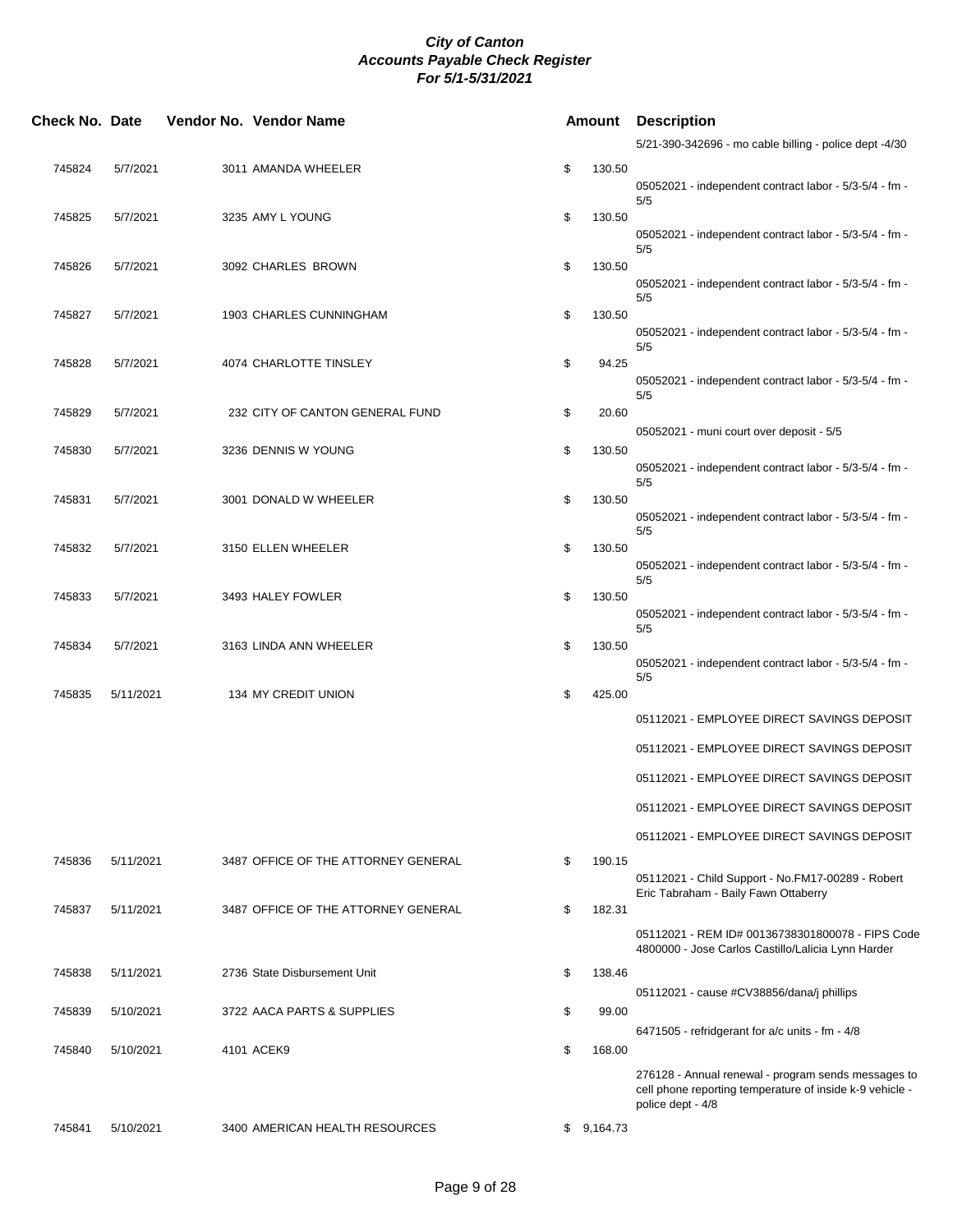| Check No. Date |           | Vendor No. Vendor Name              | Amount       | <b>Description</b>                                                                                                                   |
|----------------|-----------|-------------------------------------|--------------|--------------------------------------------------------------------------------------------------------------------------------------|
|                |           |                                     |              | 5/21-390-342696 - mo cable billing - police dept -4/30                                                                               |
| 745824         | 5/7/2021  | 3011 AMANDA WHEELER                 | \$<br>130.50 | 05052021 - independent contract labor - 5/3-5/4 - fm -                                                                               |
| 745825         | 5/7/2021  | 3235 AMY L YOUNG                    | \$<br>130.50 | 5/5                                                                                                                                  |
|                |           |                                     |              | 05052021 - independent contract labor - 5/3-5/4 - fm -<br>5/5                                                                        |
| 745826         | 5/7/2021  | 3092 CHARLES BROWN                  | \$<br>130.50 | 05052021 - independent contract labor - 5/3-5/4 - fm -<br>5/5                                                                        |
| 745827         | 5/7/2021  | 1903 CHARLES CUNNINGHAM             | \$<br>130.50 | 05052021 - independent contract labor - 5/3-5/4 - fm -                                                                               |
| 745828         | 5/7/2021  | 4074 CHARLOTTE TINSLEY              | \$<br>94.25  | 5/5<br>05052021 - independent contract labor - 5/3-5/4 - fm -                                                                        |
| 745829         | 5/7/2021  | 232 CITY OF CANTON GENERAL FUND     | \$<br>20.60  | 5/5                                                                                                                                  |
| 745830         | 5/7/2021  | 3236 DENNIS W YOUNG                 | \$<br>130.50 | 05052021 - muni court over deposit - 5/5                                                                                             |
|                |           |                                     |              | 05052021 - independent contract labor - 5/3-5/4 - fm -<br>5/5                                                                        |
| 745831         | 5/7/2021  | 3001 DONALD W WHEELER               | \$<br>130.50 | 05052021 - independent contract labor - 5/3-5/4 - fm -<br>5/5                                                                        |
| 745832         | 5/7/2021  | 3150 ELLEN WHEELER                  | \$<br>130.50 | 05052021 - independent contract labor - 5/3-5/4 - fm -<br>5/5                                                                        |
| 745833         | 5/7/2021  | 3493 HALEY FOWLER                   | \$<br>130.50 | 05052021 - independent contract labor - 5/3-5/4 - fm -                                                                               |
| 745834         | 5/7/2021  | 3163 LINDA ANN WHEELER              | \$<br>130.50 | 5/5                                                                                                                                  |
| 745835         | 5/11/2021 | 134 MY CREDIT UNION                 | \$<br>425.00 | 05052021 - independent contract labor - 5/3-5/4 - fm -<br>5/5                                                                        |
|                |           |                                     |              | 05112021 - EMPLOYEE DIRECT SAVINGS DEPOSIT                                                                                           |
|                |           |                                     |              | 05112021 - EMPLOYEE DIRECT SAVINGS DEPOSIT                                                                                           |
|                |           |                                     |              | 05112021 - EMPLOYEE DIRECT SAVINGS DEPOSIT                                                                                           |
|                |           |                                     |              | 05112021 - EMPLOYEE DIRECT SAVINGS DEPOSIT                                                                                           |
|                |           |                                     |              | 05112021 - EMPLOYEE DIRECT SAVINGS DEPOSIT                                                                                           |
| 745836         | 5/11/2021 | 3487 OFFICE OF THE ATTORNEY GENERAL | \$<br>190.15 | 05112021 - Child Support - No.FM17-00289 - Robert                                                                                    |
| 745837         | 5/11/2021 | 3487 OFFICE OF THE ATTORNEY GENERAL | \$<br>182.31 | Eric Tabraham - Baily Fawn Ottaberry                                                                                                 |
|                |           |                                     |              | 05112021 - REM ID# 00136738301800078 - FIPS Code<br>4800000 - Jose Carlos Castillo/Lalicia Lynn Harder                               |
| 745838         | 5/11/2021 | 2736 State Disbursement Unit        | \$<br>138.46 | 05112021 - cause #CV38856/dana/j phillips                                                                                            |
| 745839         | 5/10/2021 | 3722 AACA PARTS & SUPPLIES          | \$<br>99.00  |                                                                                                                                      |
| 745840         | 5/10/2021 | 4101 ACEK9                          | \$<br>168.00 | 6471505 - refridgerant for a/c units - fm - 4/8                                                                                      |
|                |           |                                     |              | 276128 - Annual renewal - program sends messages to<br>cell phone reporting temperature of inside k-9 vehicle -<br>police dept - 4/8 |
| 745841         | 5/10/2021 | 3400 AMERICAN HEALTH RESOURCES      | \$9,164.73   |                                                                                                                                      |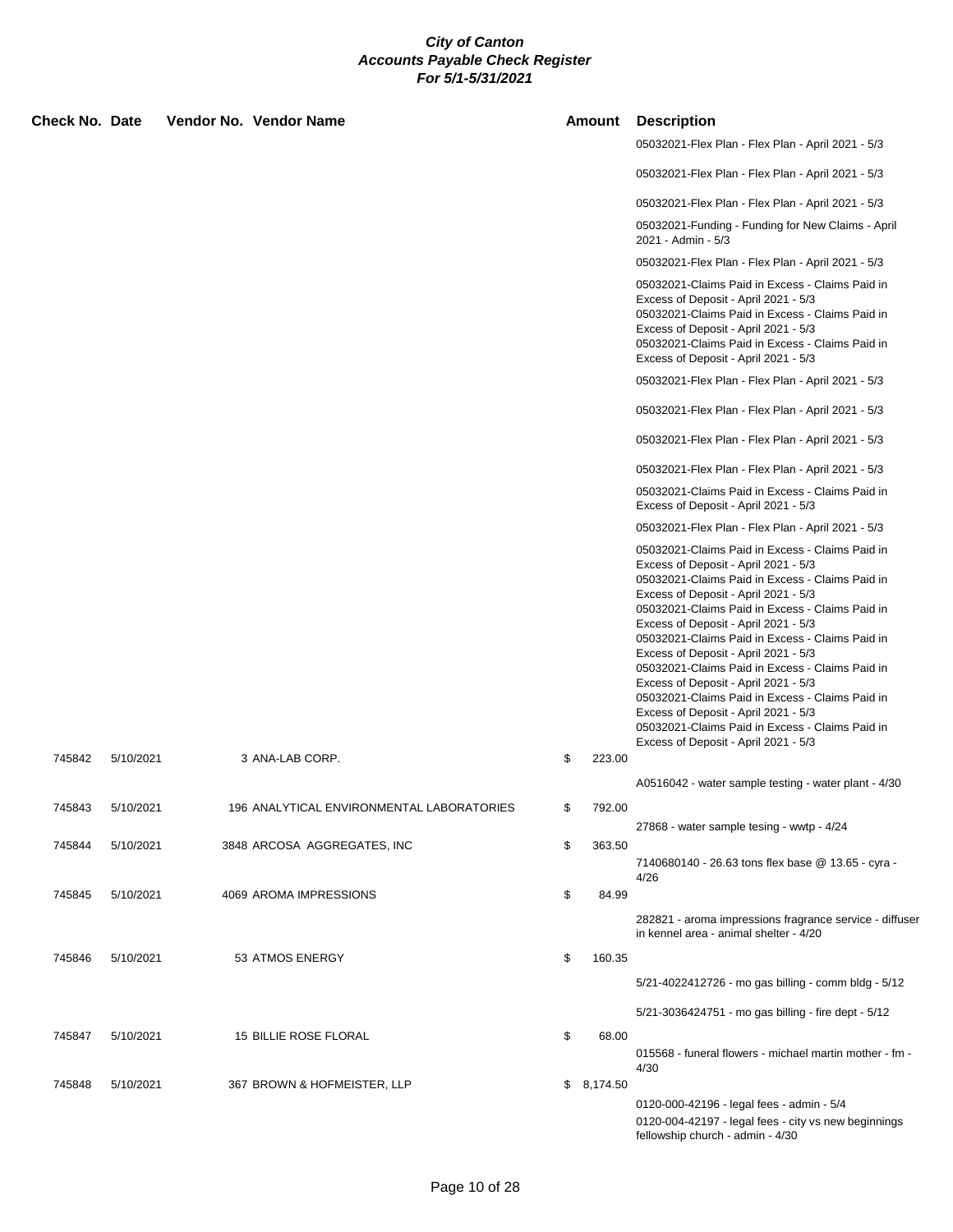| <b>Check No. Date</b> |           | Vendor No. Vendor Name                    |     | Amount     | <b>Description</b>                                                                                                                                                                                                                                                                                                                                                                                                                                                                                                                                                                                                                                        |
|-----------------------|-----------|-------------------------------------------|-----|------------|-----------------------------------------------------------------------------------------------------------------------------------------------------------------------------------------------------------------------------------------------------------------------------------------------------------------------------------------------------------------------------------------------------------------------------------------------------------------------------------------------------------------------------------------------------------------------------------------------------------------------------------------------------------|
|                       |           |                                           |     |            | 05032021-Flex Plan - Flex Plan - April 2021 - 5/3                                                                                                                                                                                                                                                                                                                                                                                                                                                                                                                                                                                                         |
|                       |           |                                           |     |            | 05032021-Flex Plan - Flex Plan - April 2021 - 5/3                                                                                                                                                                                                                                                                                                                                                                                                                                                                                                                                                                                                         |
|                       |           |                                           |     |            | 05032021-Flex Plan - Flex Plan - April 2021 - 5/3                                                                                                                                                                                                                                                                                                                                                                                                                                                                                                                                                                                                         |
|                       |           |                                           |     |            | 05032021-Funding - Funding for New Claims - April<br>2021 - Admin - 5/3                                                                                                                                                                                                                                                                                                                                                                                                                                                                                                                                                                                   |
|                       |           |                                           |     |            | 05032021-Flex Plan - Flex Plan - April 2021 - 5/3                                                                                                                                                                                                                                                                                                                                                                                                                                                                                                                                                                                                         |
|                       |           |                                           |     |            | 05032021-Claims Paid in Excess - Claims Paid in<br>Excess of Deposit - April 2021 - 5/3<br>05032021-Claims Paid in Excess - Claims Paid in<br>Excess of Deposit - April 2021 - 5/3<br>05032021-Claims Paid in Excess - Claims Paid in<br>Excess of Deposit - April 2021 - 5/3                                                                                                                                                                                                                                                                                                                                                                             |
|                       |           |                                           |     |            | 05032021-Flex Plan - Flex Plan - April 2021 - 5/3                                                                                                                                                                                                                                                                                                                                                                                                                                                                                                                                                                                                         |
|                       |           |                                           |     |            | 05032021-Flex Plan - Flex Plan - April 2021 - 5/3                                                                                                                                                                                                                                                                                                                                                                                                                                                                                                                                                                                                         |
|                       |           |                                           |     |            | 05032021-Flex Plan - Flex Plan - April 2021 - 5/3                                                                                                                                                                                                                                                                                                                                                                                                                                                                                                                                                                                                         |
|                       |           |                                           |     |            | 05032021-Flex Plan - Flex Plan - April 2021 - 5/3                                                                                                                                                                                                                                                                                                                                                                                                                                                                                                                                                                                                         |
|                       |           |                                           |     |            | 05032021-Claims Paid in Excess - Claims Paid in<br>Excess of Deposit - April 2021 - 5/3                                                                                                                                                                                                                                                                                                                                                                                                                                                                                                                                                                   |
|                       |           |                                           |     |            | 05032021-Flex Plan - Flex Plan - April 2021 - 5/3                                                                                                                                                                                                                                                                                                                                                                                                                                                                                                                                                                                                         |
|                       |           |                                           |     |            | 05032021-Claims Paid in Excess - Claims Paid in<br>Excess of Deposit - April 2021 - 5/3<br>05032021-Claims Paid in Excess - Claims Paid in<br>Excess of Deposit - April 2021 - 5/3<br>05032021-Claims Paid in Excess - Claims Paid in<br>Excess of Deposit - April 2021 - 5/3<br>05032021-Claims Paid in Excess - Claims Paid in<br>Excess of Deposit - April 2021 - 5/3<br>05032021-Claims Paid in Excess - Claims Paid in<br>Excess of Deposit - April 2021 - 5/3<br>05032021-Claims Paid in Excess - Claims Paid in<br>Excess of Deposit - April 2021 - 5/3<br>05032021-Claims Paid in Excess - Claims Paid in<br>Excess of Deposit - April 2021 - 5/3 |
| 745842                | 5/10/2021 | 3 ANA-LAB CORP.                           | \$  | 223.00     |                                                                                                                                                                                                                                                                                                                                                                                                                                                                                                                                                                                                                                                           |
|                       |           |                                           |     |            | A0516042 - water sample testing - water plant - 4/30                                                                                                                                                                                                                                                                                                                                                                                                                                                                                                                                                                                                      |
| 745843                | 5/10/2021 | 196 ANALYTICAL ENVIRONMENTAL LABORATORIES | SS. | 792.00     |                                                                                                                                                                                                                                                                                                                                                                                                                                                                                                                                                                                                                                                           |
| 745844                | 5/10/2021 | 3848 ARCOSA AGGREGATES, INC               | \$  | 363.50     | 27868 - water sample tesing - wwtp - 4/24                                                                                                                                                                                                                                                                                                                                                                                                                                                                                                                                                                                                                 |
|                       |           |                                           |     |            | 7140680140 - 26.63 tons flex base @ 13.65 - cyra -                                                                                                                                                                                                                                                                                                                                                                                                                                                                                                                                                                                                        |
| 745845                | 5/10/2021 | 4069 AROMA IMPRESSIONS                    | \$  | 84.99      | 4/26                                                                                                                                                                                                                                                                                                                                                                                                                                                                                                                                                                                                                                                      |
|                       |           |                                           |     |            | 282821 - aroma impressions fragrance service - diffuser<br>in kennel area - animal shelter - 4/20                                                                                                                                                                                                                                                                                                                                                                                                                                                                                                                                                         |
| 745846                | 5/10/2021 | 53 ATMOS ENERGY                           | \$  | 160.35     |                                                                                                                                                                                                                                                                                                                                                                                                                                                                                                                                                                                                                                                           |
|                       |           |                                           |     |            | 5/21-4022412726 - mo gas billing - comm bldg - 5/12                                                                                                                                                                                                                                                                                                                                                                                                                                                                                                                                                                                                       |
|                       |           |                                           |     |            | 5/21-3036424751 - mo gas billing - fire dept - 5/12                                                                                                                                                                                                                                                                                                                                                                                                                                                                                                                                                                                                       |
| 745847                | 5/10/2021 | 15 BILLIE ROSE FLORAL                     | \$  | 68.00      |                                                                                                                                                                                                                                                                                                                                                                                                                                                                                                                                                                                                                                                           |
|                       |           |                                           |     |            | 015568 - funeral flowers - michael martin mother - fm -<br>4/30                                                                                                                                                                                                                                                                                                                                                                                                                                                                                                                                                                                           |
| 745848                | 5/10/2021 | 367 BROWN & HOFMEISTER, LLP               |     | \$8,174.50 |                                                                                                                                                                                                                                                                                                                                                                                                                                                                                                                                                                                                                                                           |
|                       |           |                                           |     |            | 0120-000-42196 - legal fees - admin - 5/4<br>0120-004-42197 - legal fees - city vs new beginnings<br>fellowship church - admin - 4/30                                                                                                                                                                                                                                                                                                                                                                                                                                                                                                                     |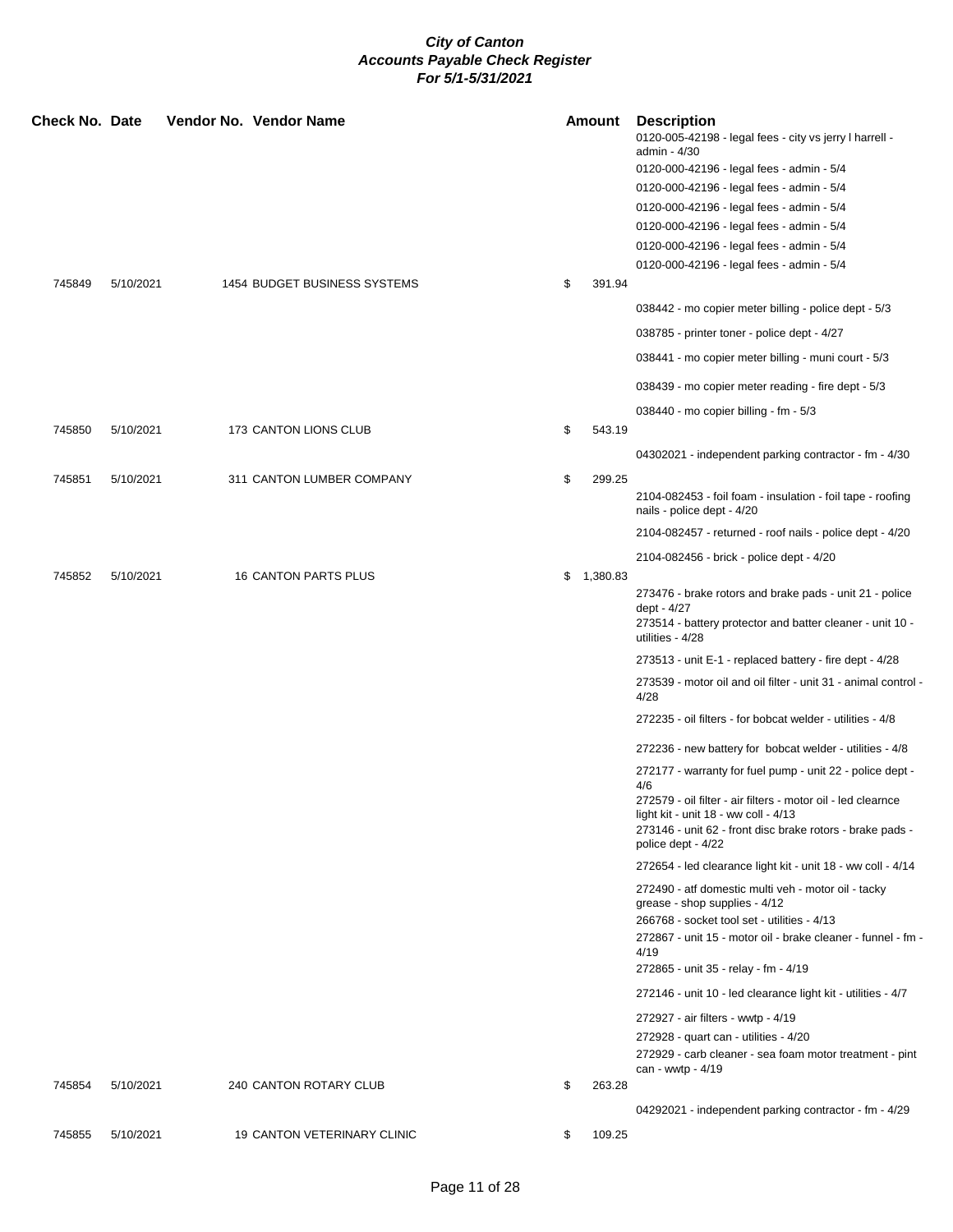| Check No. Date |           | Vendor No. Vendor Name       |    | Amount     | <b>Description</b><br>0120-005-42198 - legal fees - city vs jerry I harrell -<br>admin - 4/30<br>0120-000-42196 - legal fees - admin - 5/4                                              |
|----------------|-----------|------------------------------|----|------------|-----------------------------------------------------------------------------------------------------------------------------------------------------------------------------------------|
|                |           |                              |    |            | 0120-000-42196 - legal fees - admin - 5/4                                                                                                                                               |
|                |           |                              |    |            | 0120-000-42196 - legal fees - admin - 5/4                                                                                                                                               |
|                |           |                              |    |            | 0120-000-42196 - legal fees - admin - 5/4                                                                                                                                               |
|                |           |                              |    |            | 0120-000-42196 - legal fees - admin - 5/4                                                                                                                                               |
|                |           |                              |    |            | 0120-000-42196 - legal fees - admin - 5/4                                                                                                                                               |
| 745849         | 5/10/2021 | 1454 BUDGET BUSINESS SYSTEMS | \$ | 391.94     |                                                                                                                                                                                         |
|                |           |                              |    |            | 038442 - mo copier meter billing - police dept - 5/3                                                                                                                                    |
|                |           |                              |    |            | 038785 - printer toner - police dept - 4/27                                                                                                                                             |
|                |           |                              |    |            | 038441 - mo copier meter billing - muni court - 5/3                                                                                                                                     |
|                |           |                              |    |            | 038439 - mo copier meter reading - fire dept - 5/3                                                                                                                                      |
|                |           |                              |    |            |                                                                                                                                                                                         |
| 745850         | 5/10/2021 | 173 CANTON LIONS CLUB        | \$ | 543.19     | 038440 - mo copier billing - fm - 5/3                                                                                                                                                   |
|                |           |                              |    |            |                                                                                                                                                                                         |
|                |           |                              |    |            | 04302021 - independent parking contractor - fm - 4/30                                                                                                                                   |
| 745851         | 5/10/2021 | 311 CANTON LUMBER COMPANY    | \$ | 299.25     | 2104-082453 - foil foam - insulation - foil tape - roofing<br>nails - police dept - 4/20                                                                                                |
|                |           |                              |    |            | 2104-082457 - returned - roof nails - police dept - 4/20                                                                                                                                |
|                |           |                              |    |            | 2104-082456 - brick - police dept - 4/20                                                                                                                                                |
| 745852         | 5/10/2021 | 16 CANTON PARTS PLUS         |    | \$1,380.83 |                                                                                                                                                                                         |
|                |           |                              |    |            | 273476 - brake rotors and brake pads - unit 21 - police<br>dept - 4/27<br>273514 - battery protector and batter cleaner - unit 10 -<br>utilities - 4/28                                 |
|                |           |                              |    |            | 273513 - unit E-1 - replaced battery - fire dept - 4/28                                                                                                                                 |
|                |           |                              |    |            | 273539 - motor oil and oil filter - unit 31 - animal control -<br>4/28                                                                                                                  |
|                |           |                              |    |            | 272235 - oil filters - for bobcat welder - utilities - 4/8                                                                                                                              |
|                |           |                              |    |            | 272236 - new battery for bobcat welder - utilities - 4/8                                                                                                                                |
|                |           |                              |    |            | 272177 - warranty for fuel pump - unit 22 - police dept -<br>4/6                                                                                                                        |
|                |           |                              |    |            | 272579 - oil filter - air filters - motor oil - led clearnce<br>light kit - unit 18 - ww coll - 4/13<br>273146 - unit 62 - front disc brake rotors - brake pads -<br>police dept - 4/22 |
|                |           |                              |    |            | 272654 - led clearance light kit - unit 18 - ww coll - 4/14                                                                                                                             |
|                |           |                              |    |            | 272490 - atf domestic multi veh - motor oil - tacky<br>grease - shop supplies - 4/12                                                                                                    |
|                |           |                              |    |            | 266768 - socket tool set - utilities - 4/13<br>272867 - unit 15 - motor oil - brake cleaner - funnel - fm -<br>4/19                                                                     |
|                |           |                              |    |            | 272865 - unit 35 - relay - fm - 4/19                                                                                                                                                    |
|                |           |                              |    |            | 272146 - unit 10 - led clearance light kit - utilities - 4/7                                                                                                                            |
|                |           |                              |    |            | 272927 - air filters - wwtp - 4/19                                                                                                                                                      |
|                |           |                              |    |            | 272928 - quart can - utilities - 4/20                                                                                                                                                   |
|                |           |                              |    |            | 272929 - carb cleaner - sea foam motor treatment - pint                                                                                                                                 |
|                |           |                              |    |            | can - wwtp - 4/19                                                                                                                                                                       |
| 745854         | 5/10/2021 | 240 CANTON ROTARY CLUB       | \$ | 263.28     |                                                                                                                                                                                         |
|                |           |                              |    |            | 04292021 - independent parking contractor - fm - 4/29                                                                                                                                   |
| 745855         | 5/10/2021 | 19 CANTON VETERINARY CLINIC  | \$ | 109.25     |                                                                                                                                                                                         |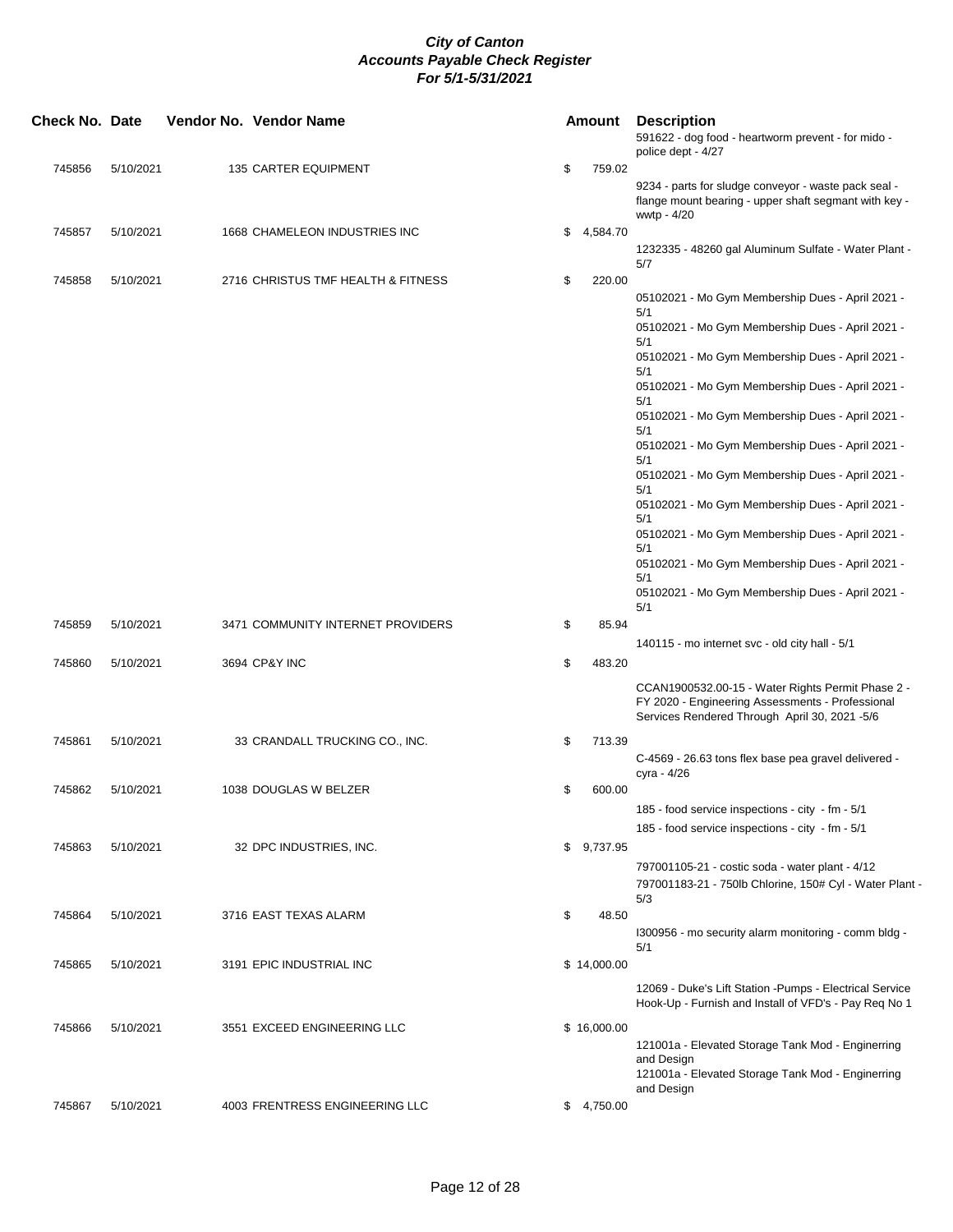| <b>Check No. Date</b> |           | Vendor No. Vendor Name             |    | <b>Amount</b> | <b>Description</b><br>591622 - dog food - heartworm prevent - for mido -<br>police dept - 4/27                                                         |
|-----------------------|-----------|------------------------------------|----|---------------|--------------------------------------------------------------------------------------------------------------------------------------------------------|
| 745856                | 5/10/2021 | 135 CARTER EQUIPMENT               | \$ | 759.02        |                                                                                                                                                        |
|                       |           |                                    |    |               | 9234 - parts for sludge conveyor - waste pack seal -<br>flange mount bearing - upper shaft segmant with key -<br>wwtp - 4/20                           |
| 745857                | 5/10/2021 | 1668 CHAMELEON INDUSTRIES INC      | \$ | 4,584.70      |                                                                                                                                                        |
|                       |           |                                    |    |               | 1232335 - 48260 gal Aluminum Sulfate - Water Plant -<br>5/7                                                                                            |
| 745858                | 5/10/2021 | 2716 CHRISTUS TMF HEALTH & FITNESS | \$ | 220.00        |                                                                                                                                                        |
|                       |           |                                    |    |               | 05102021 - Mo Gym Membership Dues - April 2021 -<br>5/1                                                                                                |
|                       |           |                                    |    |               | 05102021 - Mo Gym Membership Dues - April 2021 -<br>5/1                                                                                                |
|                       |           |                                    |    |               | 05102021 - Mo Gym Membership Dues - April 2021 -<br>5/1                                                                                                |
|                       |           |                                    |    |               | 05102021 - Mo Gym Membership Dues - April 2021 -<br>5/1                                                                                                |
|                       |           |                                    |    |               | 05102021 - Mo Gym Membership Dues - April 2021 -<br>5/1                                                                                                |
|                       |           |                                    |    |               | 05102021 - Mo Gym Membership Dues - April 2021 -<br>5/1                                                                                                |
|                       |           |                                    |    |               | 05102021 - Mo Gym Membership Dues - April 2021 -<br>5/1                                                                                                |
|                       |           |                                    |    |               | 05102021 - Mo Gym Membership Dues - April 2021 -<br>5/1                                                                                                |
|                       |           |                                    |    |               | 05102021 - Mo Gym Membership Dues - April 2021 -<br>5/1                                                                                                |
|                       |           |                                    |    |               | 05102021 - Mo Gym Membership Dues - April 2021 -                                                                                                       |
|                       |           |                                    |    |               | 5/1<br>05102021 - Mo Gym Membership Dues - April 2021 -<br>5/1                                                                                         |
| 745859                | 5/10/2021 | 3471 COMMUNITY INTERNET PROVIDERS  | \$ | 85.94         |                                                                                                                                                        |
| 745860                | 5/10/2021 | 3694 CP&Y INC                      | \$ | 483.20        | 140115 - mo internet svc - old city hall - 5/1                                                                                                         |
|                       |           |                                    |    |               |                                                                                                                                                        |
|                       |           |                                    |    |               | CCAN1900532.00-15 - Water Rights Permit Phase 2 -<br>FY 2020 - Engineering Assessments - Professional<br>Services Rendered Through April 30, 2021 -5/6 |
| 745861                | 5/10/2021 | 33 CRANDALL TRUCKING CO., INC.     | \$ | 713.39        |                                                                                                                                                        |
|                       |           |                                    |    |               | C-4569 - 26.63 tons flex base pea gravel delivered -<br>cyra - 4/26                                                                                    |
| 745862                | 5/10/2021 | 1038 DOUGLAS W BELZER              | \$ | 600.00        |                                                                                                                                                        |
|                       |           |                                    |    |               | 185 - food service inspections - city - fm - 5/1                                                                                                       |
|                       |           |                                    |    |               | 185 - food service inspections - city - fm - 5/1                                                                                                       |
| 745863                | 5/10/2021 | 32 DPC INDUSTRIES, INC.            |    | \$9,737.95    |                                                                                                                                                        |
|                       |           |                                    |    |               | 797001105-21 - costic soda - water plant - 4/12<br>797001183-21 - 750lb Chlorine, 150# Cyl - Water Plant -                                             |
| 745864                | 5/10/2021 | 3716 EAST TEXAS ALARM              | \$ | 48.50         | 5/3                                                                                                                                                    |
|                       |           |                                    |    |               | 1300956 - mo security alarm monitoring - comm bldg -<br>5/1                                                                                            |
| 745865                | 5/10/2021 | 3191 EPIC INDUSTRIAL INC           |    | \$14,000.00   |                                                                                                                                                        |
|                       |           |                                    |    |               | 12069 - Duke's Lift Station - Pumps - Electrical Service<br>Hook-Up - Furnish and Install of VFD's - Pay Req No 1                                      |
| 745866                | 5/10/2021 | 3551 EXCEED ENGINEERING LLC        |    | \$16,000.00   |                                                                                                                                                        |
|                       |           |                                    |    |               | 121001a - Elevated Storage Tank Mod - Enginerring<br>and Design                                                                                        |
|                       |           |                                    |    |               | 121001a - Elevated Storage Tank Mod - Enginerring<br>and Design                                                                                        |
| 745867                | 5/10/2021 | 4003 FRENTRESS ENGINEERING LLC     |    | \$4,750.00    |                                                                                                                                                        |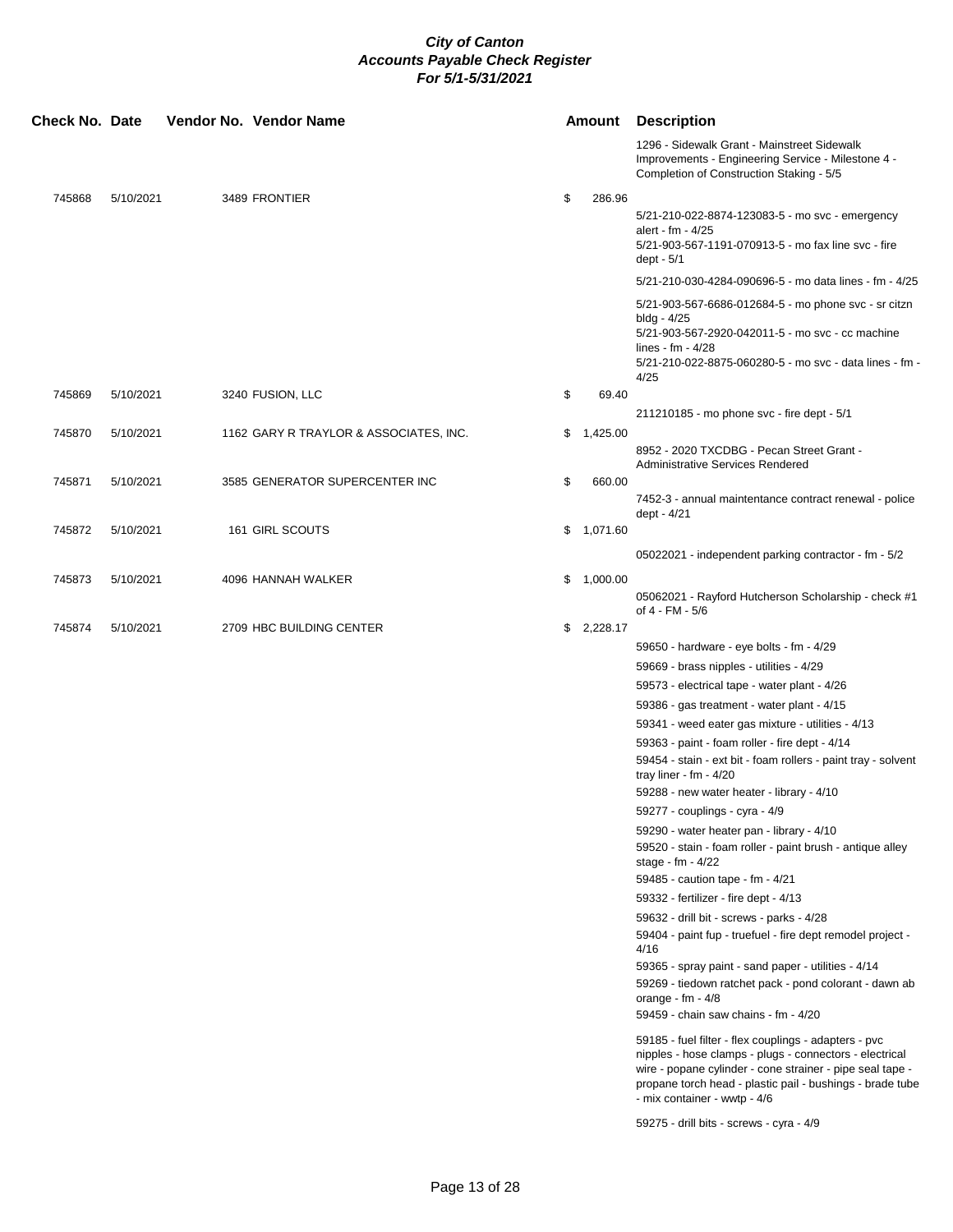| <b>Check No. Date</b> |           |  | Vendor No. Vendor Name                 |    | <b>Amount</b> | <b>Description</b>                                                                                                                                                                                                                                                         |
|-----------------------|-----------|--|----------------------------------------|----|---------------|----------------------------------------------------------------------------------------------------------------------------------------------------------------------------------------------------------------------------------------------------------------------------|
|                       |           |  |                                        |    |               | 1296 - Sidewalk Grant - Mainstreet Sidewalk<br>Improvements - Engineering Service - Milestone 4 -<br>Completion of Construction Staking - 5/5                                                                                                                              |
| 745868                | 5/10/2021 |  | 3489 FRONTIER                          | \$ | 286.96        | 5/21-210-022-8874-123083-5 - mo svc - emergency<br>alert - fm - 4/25<br>5/21-903-567-1191-070913-5 - mo fax line svc - fire<br>dept - 5/1                                                                                                                                  |
|                       |           |  |                                        |    |               | 5/21-210-030-4284-090696-5 - mo data lines - fm - 4/25                                                                                                                                                                                                                     |
|                       |           |  |                                        |    |               | 5/21-903-567-6686-012684-5 - mo phone svc - sr citzn<br>bldg - 4/25<br>5/21-903-567-2920-042011-5 - mo svc - cc machine<br>lines - $fm - 4/28$<br>5/21-210-022-8875-060280-5 - mo svc - data lines - fm -<br>4/25                                                          |
| 745869                | 5/10/2021 |  | 3240 FUSION, LLC                       | \$ | 69.40         |                                                                                                                                                                                                                                                                            |
|                       |           |  |                                        |    |               | 211210185 - mo phone svc - fire dept - 5/1                                                                                                                                                                                                                                 |
| 745870                | 5/10/2021 |  | 1162 GARY R TRAYLOR & ASSOCIATES, INC. | \$ | 1,425.00      | 8952 - 2020 TXCDBG - Pecan Street Grant -<br><b>Administrative Services Rendered</b>                                                                                                                                                                                       |
| 745871                | 5/10/2021 |  | 3585 GENERATOR SUPERCENTER INC         | \$ | 660.00        | 7452-3 - annual maintentance contract renewal - police<br>dept - 4/21                                                                                                                                                                                                      |
| 745872                | 5/10/2021 |  | 161 GIRL SCOUTS                        |    | \$1,071.60    |                                                                                                                                                                                                                                                                            |
|                       |           |  |                                        |    |               | 05022021 - independent parking contractor - fm - 5/2                                                                                                                                                                                                                       |
| 745873                | 5/10/2021 |  | 4096 HANNAH WALKER                     |    | \$1,000.00    | 05062021 - Rayford Hutcherson Scholarship - check #1<br>of 4 - FM - 5/6                                                                                                                                                                                                    |
| 745874                | 5/10/2021 |  | 2709 HBC BUILDING CENTER               |    | \$2,228.17    |                                                                                                                                                                                                                                                                            |
|                       |           |  |                                        |    |               | 59650 - hardware - eye bolts - fm - 4/29                                                                                                                                                                                                                                   |
|                       |           |  |                                        |    |               | 59669 - brass nipples - utilities - 4/29                                                                                                                                                                                                                                   |
|                       |           |  |                                        |    |               | 59573 - electrical tape - water plant - 4/26                                                                                                                                                                                                                               |
|                       |           |  |                                        |    |               | 59386 - gas treatment - water plant - 4/15                                                                                                                                                                                                                                 |
|                       |           |  |                                        |    |               | 59341 - weed eater gas mixture - utilities - 4/13<br>59363 - paint - foam roller - fire dept - 4/14                                                                                                                                                                        |
|                       |           |  |                                        |    |               | 59454 - stain - ext bit - foam rollers - paint tray - solvent<br>tray liner - $fm - 4/20$                                                                                                                                                                                  |
|                       |           |  |                                        |    |               | 59288 - new water heater - library - 4/10                                                                                                                                                                                                                                  |
|                       |           |  |                                        |    |               | 59277 - couplings - cyra - 4/9                                                                                                                                                                                                                                             |
|                       |           |  |                                        |    |               | 59290 - water heater pan - library - 4/10<br>59520 - stain - foam roller - paint brush - antique alley<br>stage - fm - 4/22                                                                                                                                                |
|                       |           |  |                                        |    |               | 59485 - caution tape - fm - 4/21<br>59332 - fertilizer - fire dept - 4/13                                                                                                                                                                                                  |
|                       |           |  |                                        |    |               | 59632 - drill bit - screws - parks - 4/28                                                                                                                                                                                                                                  |
|                       |           |  |                                        |    |               | 59404 - paint fup - truefuel - fire dept remodel project -<br>4/16<br>59365 - spray paint - sand paper - utilities - 4/14                                                                                                                                                  |
|                       |           |  |                                        |    |               | 59269 - tiedown ratchet pack - pond colorant - dawn ab<br>orange - $fm - 4/8$<br>59459 - chain saw chains - fm - 4/20                                                                                                                                                      |
|                       |           |  |                                        |    |               | 59185 - fuel filter - flex couplings - adapters - pvc<br>nipples - hose clamps - plugs - connectors - electrical<br>wire - popane cylinder - cone strainer - pipe seal tape -<br>propane torch head - plastic pail - bushings - brade tube<br>- mix container - wwtp - 4/6 |
|                       |           |  |                                        |    |               | 59275 - drill bits - screws - cyra - 4/9                                                                                                                                                                                                                                   |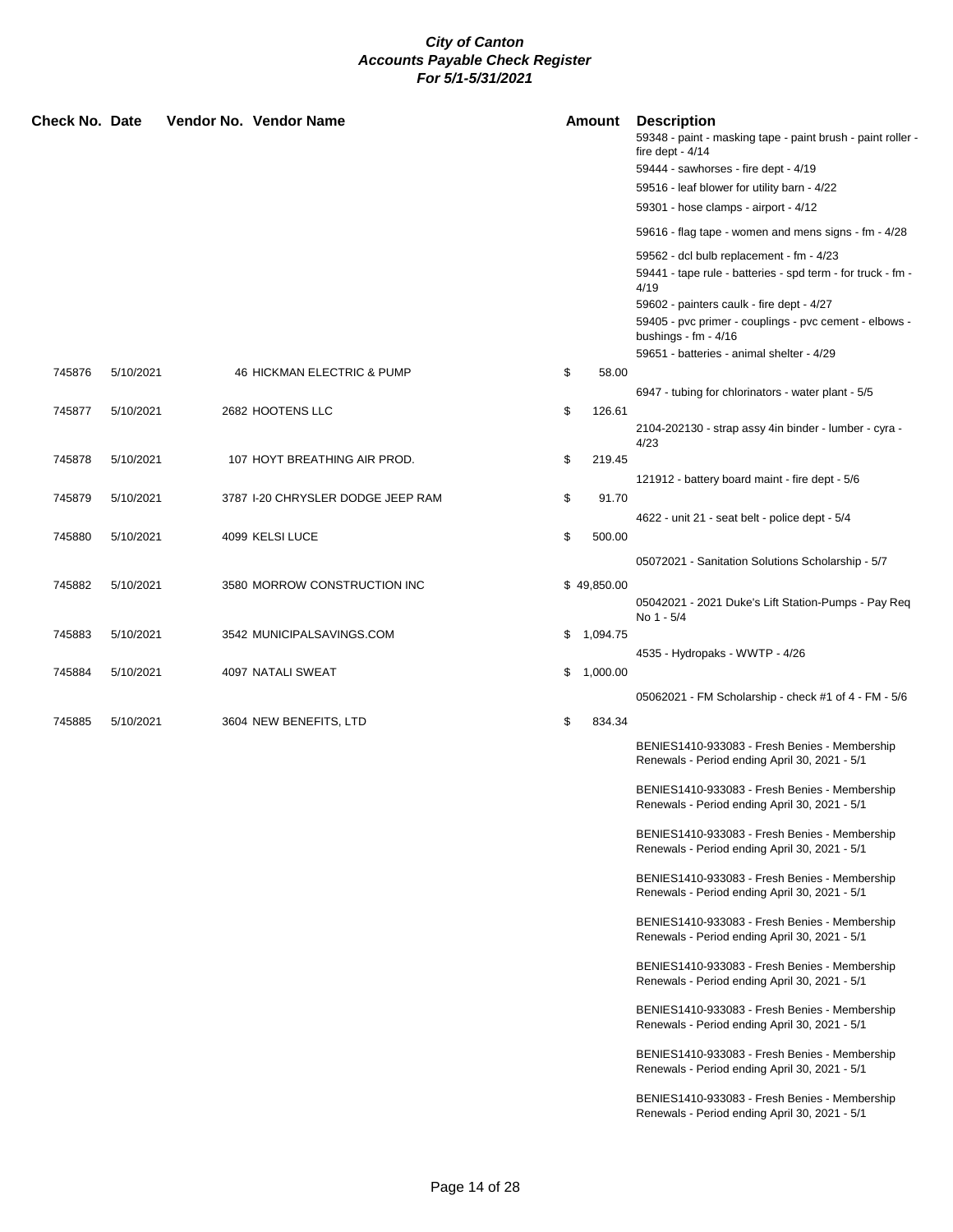| Check No. Date |           |  | Vendor No. Vendor Name            |    | <b>Amount</b> | <b>Description</b><br>59348 - paint - masking tape - paint brush - paint roller -<br>fire dept - $4/14$<br>59444 - sawhorses - fire dept - 4/19 |
|----------------|-----------|--|-----------------------------------|----|---------------|-------------------------------------------------------------------------------------------------------------------------------------------------|
|                |           |  |                                   |    |               | 59516 - leaf blower for utility barn - 4/22                                                                                                     |
|                |           |  |                                   |    |               | 59301 - hose clamps - airport - 4/12                                                                                                            |
|                |           |  |                                   |    |               | 59616 - flag tape - women and mens signs - fm - 4/28                                                                                            |
|                |           |  |                                   |    |               | 59562 - dcl bulb replacement - fm - 4/23<br>59441 - tape rule - batteries - spd term - for truck - fm -                                         |
|                |           |  |                                   |    |               | 4/19                                                                                                                                            |
|                |           |  |                                   |    |               | 59602 - painters caulk - fire dept - 4/27<br>59405 - pvc primer - couplings - pvc cement - elbows -<br>bushings - $fm - 4/16$                   |
|                |           |  |                                   |    |               | 59651 - batteries - animal shelter - 4/29                                                                                                       |
| 745876         | 5/10/2021 |  | 46 HICKMAN ELECTRIC & PUMP        | \$ | 58.00         | 6947 - tubing for chlorinators - water plant - 5/5                                                                                              |
| 745877         | 5/10/2021 |  | 2682 HOOTENS LLC                  | \$ | 126.61        |                                                                                                                                                 |
|                |           |  |                                   |    |               | 2104-202130 - strap assy 4in binder - lumber - cyra -<br>4/23                                                                                   |
| 745878         | 5/10/2021 |  | 107 HOYT BREATHING AIR PROD.      | \$ | 219.45        |                                                                                                                                                 |
|                |           |  |                                   |    |               | 121912 - battery board maint - fire dept - 5/6                                                                                                  |
| 745879         | 5/10/2021 |  | 3787 I-20 CHRYSLER DODGE JEEP RAM | \$ | 91.70         |                                                                                                                                                 |
| 745880         | 5/10/2021 |  | 4099 KELSI LUCE                   | \$ | 500.00        | 4622 - unit 21 - seat belt - police dept - 5/4                                                                                                  |
|                |           |  |                                   |    |               |                                                                                                                                                 |
|                |           |  |                                   |    |               | 05072021 - Sanitation Solutions Scholarship - 5/7                                                                                               |
| 745882         | 5/10/2021 |  | 3580 MORROW CONSTRUCTION INC      |    | \$49,850.00   | 05042021 - 2021 Duke's Lift Station-Pumps - Pay Req<br>No 1 - 5/4                                                                               |
| 745883         | 5/10/2021 |  | 3542 MUNICIPALSAVINGS.COM         |    | \$1,094.75    |                                                                                                                                                 |
|                |           |  |                                   |    |               | 4535 - Hydropaks - WWTP - 4/26                                                                                                                  |
| 745884         | 5/10/2021 |  | 4097 NATALI SWEAT                 | \$ | 1,000.00      |                                                                                                                                                 |
|                |           |  |                                   |    |               | 05062021 - FM Scholarship - check #1 of 4 - FM - 5/6                                                                                            |
| 745885         | 5/10/2021 |  | 3604 NEW BENEFITS, LTD            | \$ | 834.34        |                                                                                                                                                 |
|                |           |  |                                   |    |               | BENIES1410-933083 - Fresh Benies - Membership<br>Renewals - Period ending April 30, 2021 - 5/1                                                  |
|                |           |  |                                   |    |               | BENIES1410-933083 - Fresh Benies - Membership<br>Renewals - Period ending April 30, 2021 - 5/1                                                  |
|                |           |  |                                   |    |               | BENIES1410-933083 - Fresh Benies - Membership<br>Renewals - Period ending April 30, 2021 - 5/1                                                  |
|                |           |  |                                   |    |               | BENIES1410-933083 - Fresh Benies - Membership<br>Renewals - Period ending April 30, 2021 - 5/1                                                  |
|                |           |  |                                   |    |               | BENIES1410-933083 - Fresh Benies - Membership<br>Renewals - Period ending April 30, 2021 - 5/1                                                  |
|                |           |  |                                   |    |               | BENIES1410-933083 - Fresh Benies - Membership<br>Renewals - Period ending April 30, 2021 - 5/1                                                  |
|                |           |  |                                   |    |               | BENIES1410-933083 - Fresh Benies - Membership<br>Renewals - Period ending April 30, 2021 - 5/1                                                  |
|                |           |  |                                   |    |               | BENIES1410-933083 - Fresh Benies - Membership<br>Renewals - Period ending April 30, 2021 - 5/1                                                  |
|                |           |  |                                   |    |               | BENIES1410-933083 - Fresh Benies - Membership<br>Renewals - Period ending April 30, 2021 - 5/1                                                  |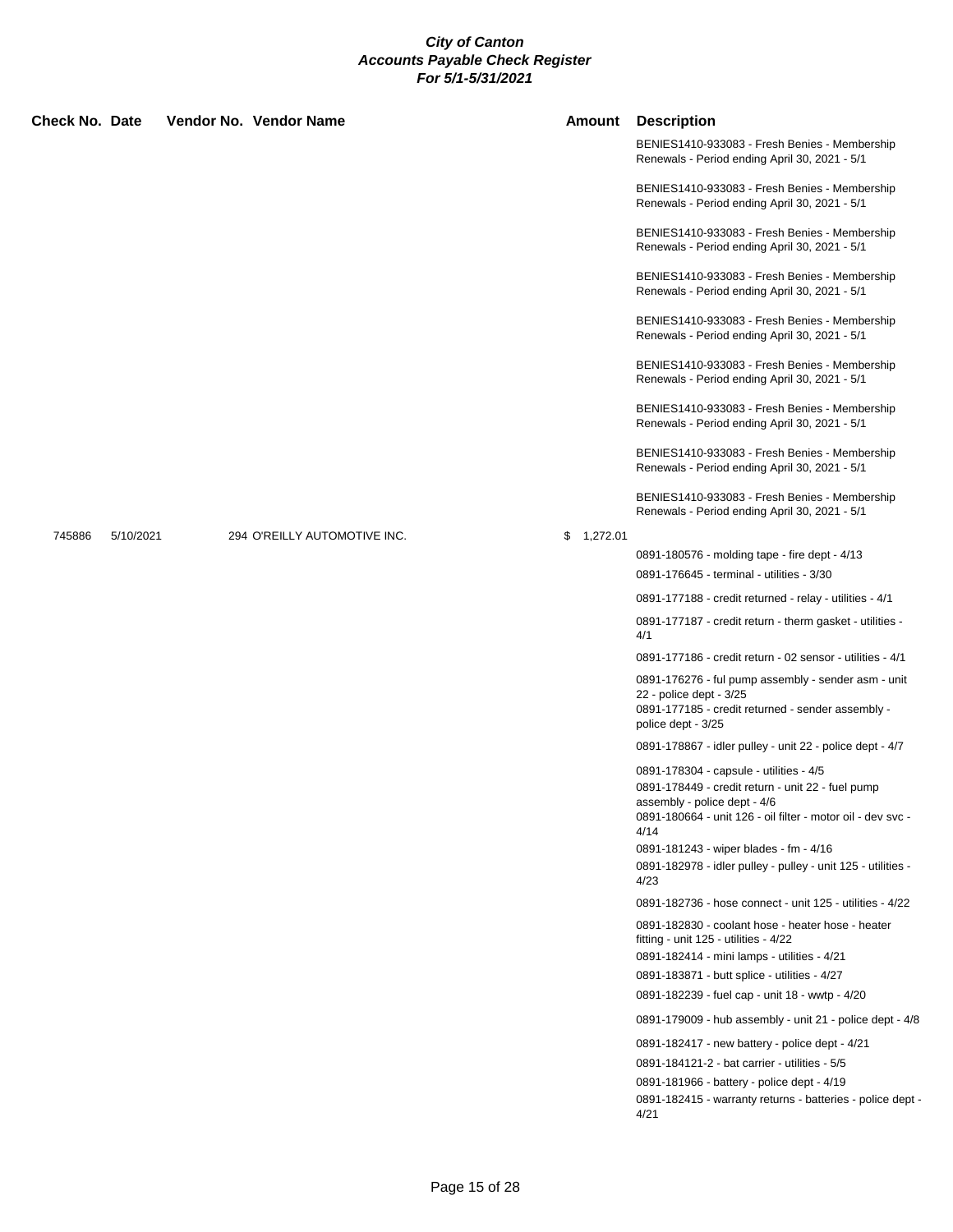| <b>Check No. Date</b> |           | Vendor No. Vendor Name       |            | <b>Amount Description</b>                                                                                                                                 |
|-----------------------|-----------|------------------------------|------------|-----------------------------------------------------------------------------------------------------------------------------------------------------------|
|                       |           |                              |            | BENIES1410-933083 - Fresh Benies - Membership<br>Renewals - Period ending April 30, 2021 - 5/1                                                            |
|                       |           |                              |            | BENIES1410-933083 - Fresh Benies - Membership<br>Renewals - Period ending April 30, 2021 - 5/1                                                            |
|                       |           |                              |            | BENIES1410-933083 - Fresh Benies - Membership<br>Renewals - Period ending April 30, 2021 - 5/1                                                            |
|                       |           |                              |            | BENIES1410-933083 - Fresh Benies - Membership<br>Renewals - Period ending April 30, 2021 - 5/1                                                            |
|                       |           |                              |            | BENIES1410-933083 - Fresh Benies - Membership<br>Renewals - Period ending April 30, 2021 - 5/1                                                            |
|                       |           |                              |            | BENIES1410-933083 - Fresh Benies - Membership<br>Renewals - Period ending April 30, 2021 - 5/1                                                            |
|                       |           |                              |            | BENIES1410-933083 - Fresh Benies - Membership<br>Renewals - Period ending April 30, 2021 - 5/1                                                            |
|                       |           |                              |            | BENIES1410-933083 - Fresh Benies - Membership<br>Renewals - Period ending April 30, 2021 - 5/1                                                            |
|                       |           |                              |            | BENIES1410-933083 - Fresh Benies - Membership<br>Renewals - Period ending April 30, 2021 - 5/1                                                            |
| 745886                | 5/10/2021 | 294 O'REILLY AUTOMOTIVE INC. | \$1,272.01 |                                                                                                                                                           |
|                       |           |                              |            | 0891-180576 - molding tape - fire dept - 4/13                                                                                                             |
|                       |           |                              |            | 0891-176645 - terminal - utilities - 3/30                                                                                                                 |
|                       |           |                              |            | 0891-177188 - credit returned - relay - utilities - 4/1                                                                                                   |
|                       |           |                              |            | 0891-177187 - credit return - therm gasket - utilities -<br>4/1                                                                                           |
|                       |           |                              |            | 0891-177186 - credit return - 02 sensor - utilities - 4/1                                                                                                 |
|                       |           |                              |            | 0891-176276 - ful pump assembly - sender asm - unit<br>22 - police dept - 3/25<br>0891-177185 - credit returned - sender assembly -<br>police dept - 3/25 |
|                       |           |                              |            | 0891-178867 - idler pulley - unit 22 - police dept - 4/7                                                                                                  |
|                       |           |                              |            | 0891-178304 - capsule - utilities - 4/5                                                                                                                   |
|                       |           |                              |            | 0891-178449 - credit return - unit 22 - fuel pump<br>assembly - police dept - 4/6<br>0891-180664 - unit 126 - oil filter - motor oil - dev svc -<br>4/14  |
|                       |           |                              |            | 0891-181243 - wiper blades - fm - 4/16                                                                                                                    |
|                       |           |                              |            | 0891-182978 - idler pulley - pulley - unit 125 - utilities -<br>4/23                                                                                      |
|                       |           |                              |            | 0891-182736 - hose connect - unit 125 - utilities - 4/22                                                                                                  |
|                       |           |                              |            | 0891-182830 - coolant hose - heater hose - heater<br>fitting - unit 125 - utilities - 4/22                                                                |
|                       |           |                              |            | 0891-182414 - mini lamps - utilities - 4/21                                                                                                               |
|                       |           |                              |            | 0891-183871 - butt splice - utilities - 4/27                                                                                                              |
|                       |           |                              |            | 0891-182239 - fuel cap - unit 18 - wwtp - 4/20                                                                                                            |
|                       |           |                              |            | 0891-179009 - hub assembly - unit 21 - police dept - 4/8                                                                                                  |
|                       |           |                              |            | 0891-182417 - new battery - police dept - 4/21                                                                                                            |
|                       |           |                              |            | 0891-184121-2 - bat carrier - utilities - 5/5                                                                                                             |
|                       |           |                              |            | 0891-181966 - battery - police dept - 4/19<br>0891-182415 - warranty returns - batteries - police dept -<br>4/21                                          |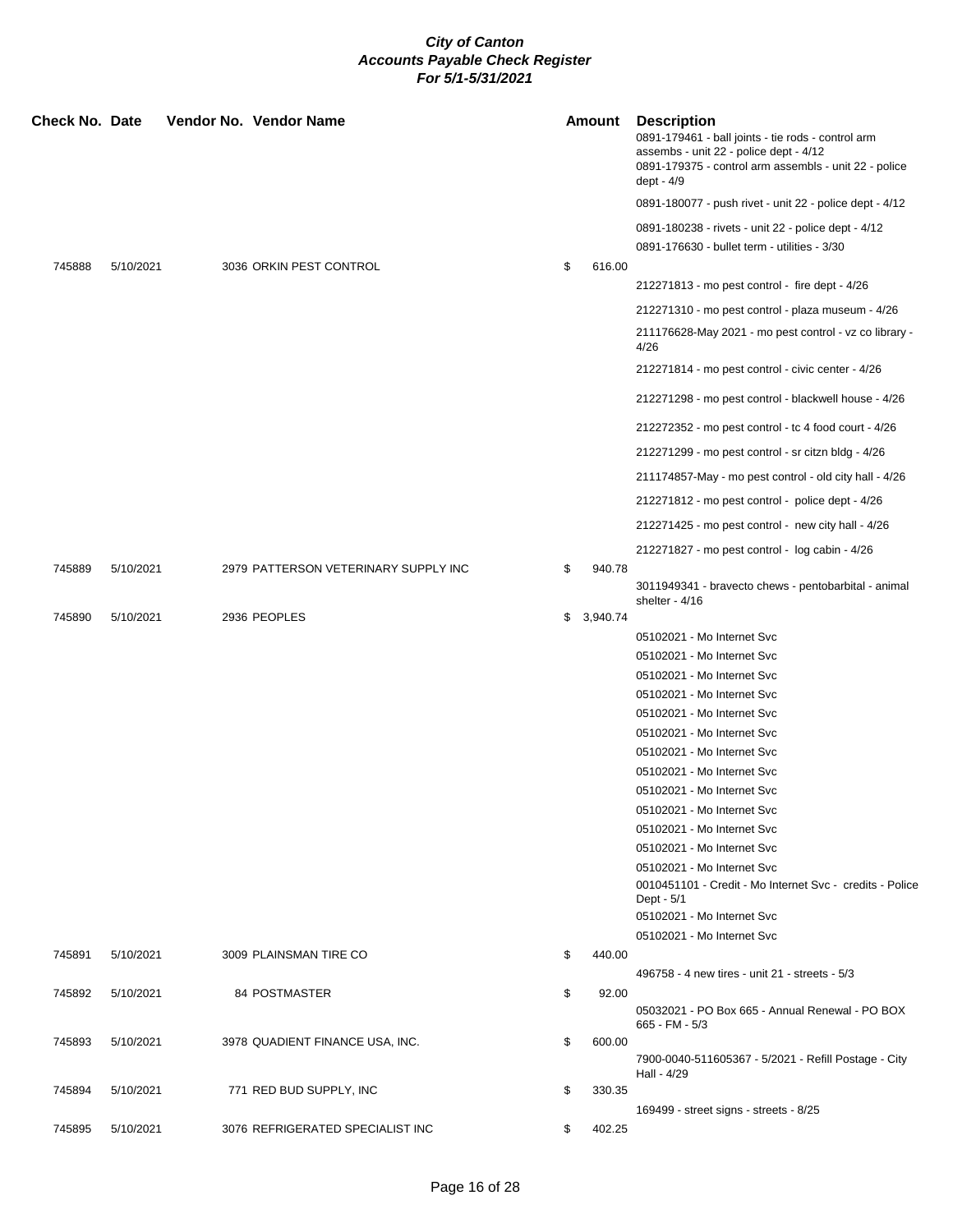| <b>Check No. Date</b> |           |  | Vendor No. Vendor Name               | Amount       | <b>Description</b><br>0891-179461 - ball joints - tie rods - control arm<br>assembs - unit 22 - police dept - 4/12<br>0891-179375 - control arm assembls - unit 22 - police<br>dept - 4/9 |
|-----------------------|-----------|--|--------------------------------------|--------------|-------------------------------------------------------------------------------------------------------------------------------------------------------------------------------------------|
|                       |           |  |                                      |              | 0891-180077 - push rivet - unit 22 - police dept - 4/12                                                                                                                                   |
|                       |           |  |                                      |              | 0891-180238 - rivets - unit 22 - police dept - 4/12                                                                                                                                       |
|                       |           |  |                                      |              | 0891-176630 - bullet term - utilities - 3/30                                                                                                                                              |
| 745888                | 5/10/2021 |  | 3036 ORKIN PEST CONTROL              | \$<br>616.00 |                                                                                                                                                                                           |
|                       |           |  |                                      |              | 212271813 - mo pest control - fire dept - 4/26                                                                                                                                            |
|                       |           |  |                                      |              | 212271310 - mo pest control - plaza museum - 4/26                                                                                                                                         |
|                       |           |  |                                      |              | 211176628-May 2021 - mo pest control - vz co library -<br>4/26                                                                                                                            |
|                       |           |  |                                      |              | 212271814 - mo pest control - civic center - 4/26                                                                                                                                         |
|                       |           |  |                                      |              | 212271298 - mo pest control - blackwell house - 4/26                                                                                                                                      |
|                       |           |  |                                      |              | 212272352 - mo pest control - tc 4 food court - 4/26                                                                                                                                      |
|                       |           |  |                                      |              | 212271299 - mo pest control - sr citzn bldg - 4/26                                                                                                                                        |
|                       |           |  |                                      |              | 211174857-May - mo pest control - old city hall - 4/26                                                                                                                                    |
|                       |           |  |                                      |              | 212271812 - mo pest control - police dept - 4/26                                                                                                                                          |
|                       |           |  |                                      |              |                                                                                                                                                                                           |
|                       |           |  |                                      |              | 212271425 - mo pest control - new city hall - 4/26                                                                                                                                        |
|                       |           |  | 2979 PATTERSON VETERINARY SUPPLY INC | 940.78       | 212271827 - mo pest control - log cabin - 4/26                                                                                                                                            |
| 745889                | 5/10/2021 |  |                                      | \$           | 3011949341 - bravecto chews - pentobarbital - animal<br>shelter - $4/16$                                                                                                                  |
| 745890                | 5/10/2021 |  | 2936 PEOPLES                         | \$3,940.74   |                                                                                                                                                                                           |
|                       |           |  |                                      |              | 05102021 - Mo Internet Svc                                                                                                                                                                |
|                       |           |  |                                      |              | 05102021 - Mo Internet Svc                                                                                                                                                                |
|                       |           |  |                                      |              | 05102021 - Mo Internet Svc                                                                                                                                                                |
|                       |           |  |                                      |              | 05102021 - Mo Internet Svc                                                                                                                                                                |
|                       |           |  |                                      |              | 05102021 - Mo Internet Svc                                                                                                                                                                |
|                       |           |  |                                      |              | 05102021 - Mo Internet Svc<br>05102021 - Mo Internet Svc                                                                                                                                  |
|                       |           |  |                                      |              | 05102021 - Mo Internet Svc                                                                                                                                                                |
|                       |           |  |                                      |              | 05102021 - Mo Internet Svc                                                                                                                                                                |
|                       |           |  |                                      |              | 05102021 - Mo Internet Svc                                                                                                                                                                |
|                       |           |  |                                      |              | 05102021 - Mo Internet Svc                                                                                                                                                                |
|                       |           |  |                                      |              | 05102021 - Mo Internet Svc                                                                                                                                                                |
|                       |           |  |                                      |              | 05102021 - Mo Internet Svc                                                                                                                                                                |
|                       |           |  |                                      |              | 0010451101 - Credit - Mo Internet Svc - credits - Police<br>Dept - 5/1                                                                                                                    |
|                       |           |  |                                      |              | 05102021 - Mo Internet Svc                                                                                                                                                                |
| 745891                | 5/10/2021 |  | 3009 PLAINSMAN TIRE CO               | \$<br>440.00 | 05102021 - Mo Internet Svc                                                                                                                                                                |
|                       |           |  |                                      |              | 496758 - 4 new tires - unit 21 - streets - 5/3                                                                                                                                            |
| 745892                | 5/10/2021 |  | 84 POSTMASTER                        | \$<br>92.00  |                                                                                                                                                                                           |
|                       |           |  |                                      |              | 05032021 - PO Box 665 - Annual Renewal - PO BOX<br>665 - FM - 5/3                                                                                                                         |
| 745893                | 5/10/2021 |  | 3978 QUADIENT FINANCE USA, INC.      | \$<br>600.00 | 7900-0040-511605367 - 5/2021 - Refill Postage - City<br>Hall - 4/29                                                                                                                       |
| 745894                | 5/10/2021 |  | 771 RED BUD SUPPLY, INC              | \$<br>330.35 |                                                                                                                                                                                           |
|                       |           |  |                                      |              | 169499 - street signs - streets - 8/25                                                                                                                                                    |
| 745895                | 5/10/2021 |  | 3076 REFRIGERATED SPECIALIST INC     | \$<br>402.25 |                                                                                                                                                                                           |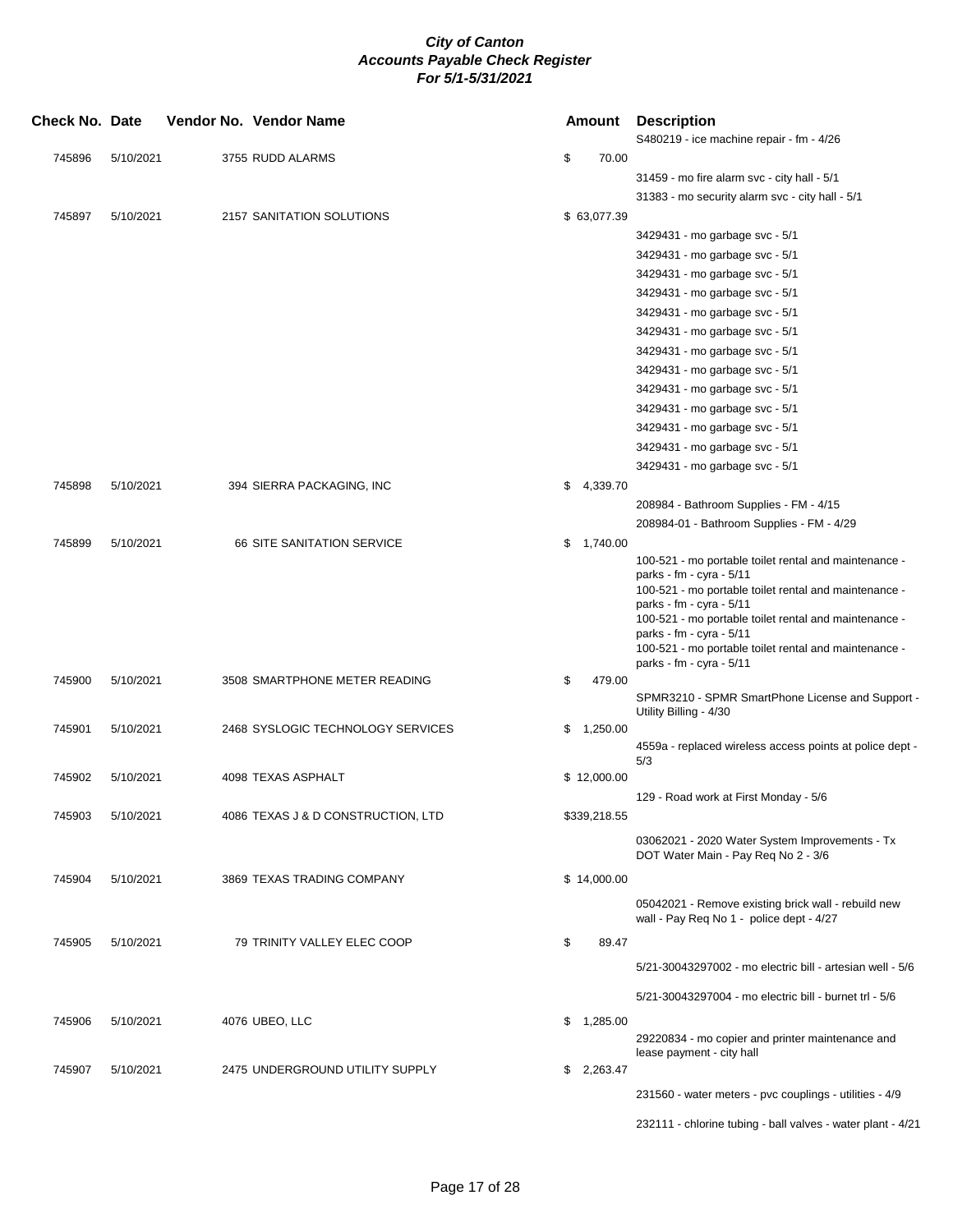| <b>Check No. Date</b> |           | Vendor No. Vendor Name             |    | Amount       | <b>Description</b><br>S480219 - ice machine repair - fm - 4/26                        |
|-----------------------|-----------|------------------------------------|----|--------------|---------------------------------------------------------------------------------------|
| 745896                | 5/10/2021 | 3755 RUDD ALARMS                   | \$ | 70.00        |                                                                                       |
|                       |           |                                    |    |              | 31459 - mo fire alarm svc - city hall - 5/1                                           |
|                       |           |                                    |    |              | 31383 - mo security alarm svc - city hall - 5/1                                       |
| 745897                | 5/10/2021 | 2157 SANITATION SOLUTIONS          |    | \$ 63,077.39 |                                                                                       |
|                       |           |                                    |    |              | 3429431 - mo garbage svc - 5/1                                                        |
|                       |           |                                    |    |              | 3429431 - mo garbage svc - 5/1                                                        |
|                       |           |                                    |    |              | 3429431 - mo garbage svc - 5/1                                                        |
|                       |           |                                    |    |              | 3429431 - mo garbage svc - 5/1                                                        |
|                       |           |                                    |    |              | 3429431 - mo garbage svc - 5/1                                                        |
|                       |           |                                    |    |              | 3429431 - mo garbage svc - 5/1                                                        |
|                       |           |                                    |    |              | 3429431 - mo garbage svc - 5/1                                                        |
|                       |           |                                    |    |              | 3429431 - mo garbage svc - 5/1                                                        |
|                       |           |                                    |    |              | 3429431 - mo garbage svc - 5/1                                                        |
|                       |           |                                    |    |              | 3429431 - mo garbage svc - 5/1                                                        |
|                       |           |                                    |    |              | 3429431 - mo garbage svc - 5/1                                                        |
|                       |           |                                    |    |              | 3429431 - mo garbage svc - 5/1                                                        |
|                       |           |                                    |    |              | 3429431 - mo garbage svc - 5/1                                                        |
| 745898                | 5/10/2021 | 394 SIERRA PACKAGING, INC          | \$ | 4,339.70     |                                                                                       |
|                       |           |                                    |    |              | 208984 - Bathroom Supplies - FM - 4/15                                                |
|                       |           |                                    |    |              | 208984-01 - Bathroom Supplies - FM - 4/29                                             |
| 745899                | 5/10/2021 | <b>66 SITE SANITATION SERVICE</b>  |    | \$1,740.00   |                                                                                       |
|                       |           |                                    |    |              | 100-521 - mo portable toilet rental and maintenance -                                 |
|                       |           |                                    |    |              | parks - fm - cyra - 5/11                                                              |
|                       |           |                                    |    |              | 100-521 - mo portable toilet rental and maintenance -<br>parks - fm - cyra - 5/11     |
|                       |           |                                    |    |              | 100-521 - mo portable toilet rental and maintenance -                                 |
|                       |           |                                    |    |              | parks - fm - cyra - 5/11                                                              |
|                       |           |                                    |    |              | 100-521 - mo portable toilet rental and maintenance -                                 |
| 745900                | 5/10/2021 | 3508 SMARTPHONE METER READING      | \$ | 479.00       | parks - fm - cyra - $5/11$                                                            |
|                       |           |                                    |    |              | SPMR3210 - SPMR SmartPhone License and Support -                                      |
|                       |           |                                    |    |              | Utility Billing - 4/30                                                                |
| 745901                | 5/10/2021 | 2468 SYSLOGIC TECHNOLOGY SERVICES  | \$ | 1,250.00     |                                                                                       |
|                       |           |                                    |    |              | 4559a - replaced wireless access points at police dept -                              |
| 745902                | 5/10/2021 | 4098 TEXAS ASPHALT                 |    | \$12,000.00  | 5/3                                                                                   |
|                       |           |                                    |    |              | 129 - Road work at First Monday - 5/6                                                 |
| 745903                | 5/10/2021 | 4086 TEXAS J & D CONSTRUCTION, LTD |    | \$339,218.55 |                                                                                       |
|                       |           |                                    |    |              |                                                                                       |
|                       |           |                                    |    |              | 03062021 - 2020 Water System Improvements - Tx<br>DOT Water Main - Pay Req No 2 - 3/6 |
|                       |           |                                    |    |              |                                                                                       |
| 745904                | 5/10/2021 | 3869 TEXAS TRADING COMPANY         |    | \$14,000.00  |                                                                                       |
|                       |           |                                    |    |              | 05042021 - Remove existing brick wall - rebuild new                                   |
|                       |           |                                    |    |              | wall - Pay Req No 1 - police dept - 4/27                                              |
| 745905                | 5/10/2021 | 79 TRINITY VALLEY ELEC COOP        | \$ | 89.47        |                                                                                       |
|                       |           |                                    |    |              | 5/21-30043297002 - mo electric bill - artesian well - 5/6                             |
|                       |           |                                    |    |              | 5/21-30043297004 - mo electric bill - burnet trl - 5/6                                |
|                       |           |                                    |    |              |                                                                                       |
| 745906                | 5/10/2021 | 4076 UBEO, LLC                     |    | \$1,285.00   |                                                                                       |
|                       |           |                                    |    |              | 29220834 - mo copier and printer maintenance and<br>lease payment - city hall         |
| 745907                | 5/10/2021 | 2475 UNDERGROUND UTILITY SUPPLY    |    | \$2,263.47   |                                                                                       |
|                       |           |                                    |    |              | 231560 - water meters - pvc couplings - utilities - 4/9                               |
|                       |           |                                    |    |              |                                                                                       |
|                       |           |                                    |    |              | 232111 - chlorine tubing - ball valves - water plant - 4/21                           |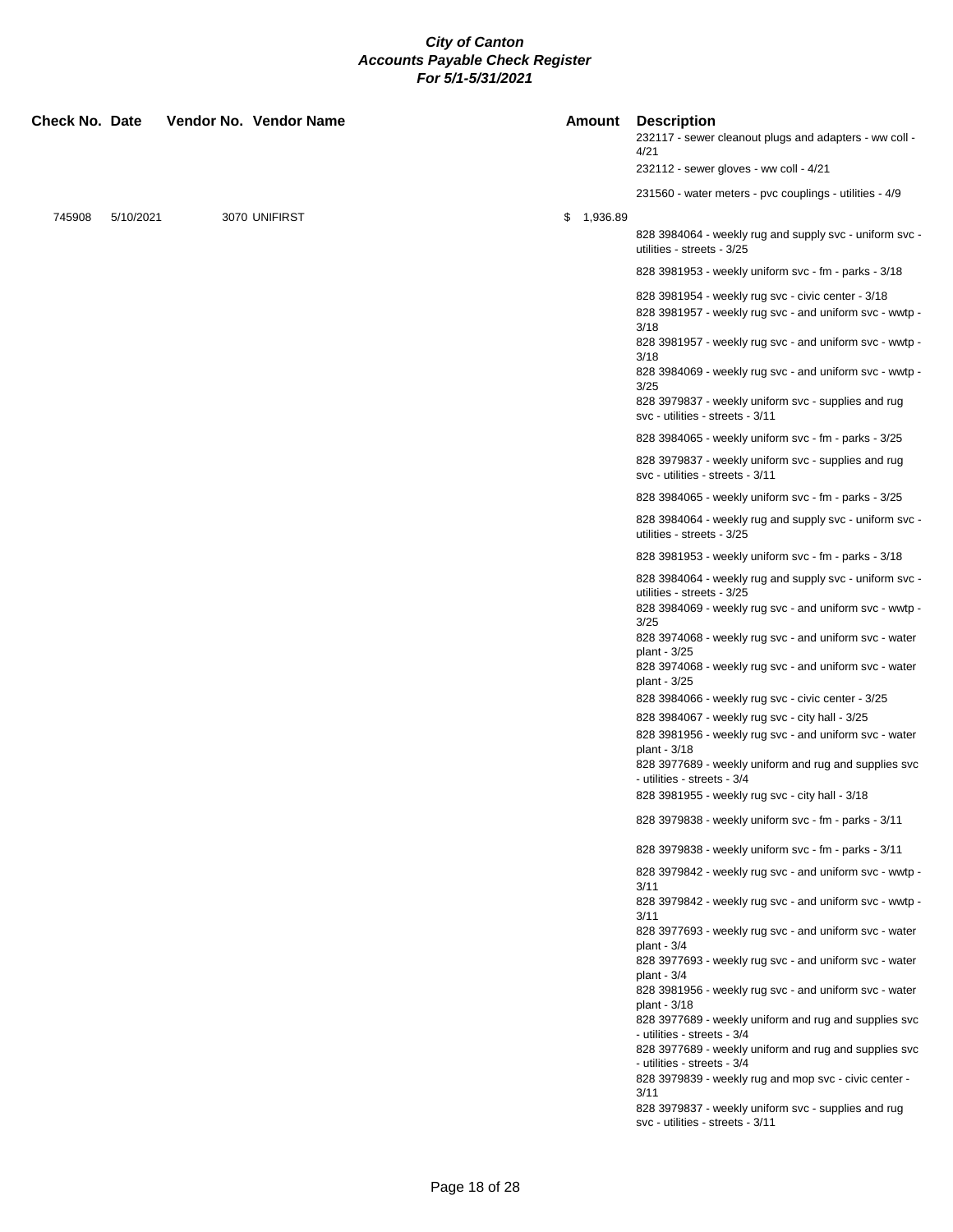| <b>Check No. Date</b> |           |  | Vendor No. Vendor Name |  | Amount     | <b>Description</b><br>232117 - sewer cleanout plugs and adapters - ww coll -<br>4/21<br>232112 - sewer gloves - ww coll - 4/21                                                                                                                                                               |
|-----------------------|-----------|--|------------------------|--|------------|----------------------------------------------------------------------------------------------------------------------------------------------------------------------------------------------------------------------------------------------------------------------------------------------|
| 745908                | 5/10/2021 |  | 3070 UNIFIRST          |  | \$1,936.89 | 231560 - water meters - pvc couplings - utilities - 4/9<br>828 3984064 - weekly rug and supply svc - uniform svc -                                                                                                                                                                           |
|                       |           |  |                        |  |            | utilities - streets - 3/25                                                                                                                                                                                                                                                                   |
|                       |           |  |                        |  |            | 828 3981953 - weekly uniform svc - fm - parks - 3/18                                                                                                                                                                                                                                         |
|                       |           |  |                        |  |            | 828 3981954 - weekly rug svc - civic center - 3/18<br>828 3981957 - weekly rug svc - and uniform svc - wwtp -<br>3/18                                                                                                                                                                        |
|                       |           |  |                        |  |            | 828 3981957 - weekly rug svc - and uniform svc - wwtp -<br>3/18                                                                                                                                                                                                                              |
|                       |           |  |                        |  |            | 828 3984069 - weekly rug svc - and uniform svc - wwtp -<br>3/25                                                                                                                                                                                                                              |
|                       |           |  |                        |  |            | 828 3979837 - weekly uniform svc - supplies and rug<br>svc - utilities - streets - 3/11                                                                                                                                                                                                      |
|                       |           |  |                        |  |            | 828 3984065 - weekly uniform svc - fm - parks - 3/25                                                                                                                                                                                                                                         |
|                       |           |  |                        |  |            | 828 3979837 - weekly uniform svc - supplies and rug<br>svc - utilities - streets - 3/11                                                                                                                                                                                                      |
|                       |           |  |                        |  |            | 828 3984065 - weekly uniform svc - fm - parks - 3/25                                                                                                                                                                                                                                         |
|                       |           |  |                        |  |            | 828 3984064 - weekly rug and supply svc - uniform svc -<br>utilities - streets - 3/25                                                                                                                                                                                                        |
|                       |           |  |                        |  |            | 828 3981953 - weekly uniform svc - fm - parks - 3/18                                                                                                                                                                                                                                         |
|                       |           |  |                        |  |            | 828 3984064 - weekly rug and supply svc - uniform svc -<br>utilities - streets - 3/25<br>828 3984069 - weekly rug svc - and uniform svc - wwtp -<br>3/25<br>828 3974068 - weekly rug svc - and uniform svc - water<br>plant - 3/25<br>828 3974068 - weekly rug svc - and uniform svc - water |
|                       |           |  |                        |  |            | plant - 3/25<br>828 3984066 - weekly rug svc - civic center - 3/25                                                                                                                                                                                                                           |
|                       |           |  |                        |  |            | 828 3984067 - weekly rug svc - city hall - 3/25                                                                                                                                                                                                                                              |
|                       |           |  |                        |  |            | 828 3981956 - weekly rug svc - and uniform svc - water<br>plant - 3/18<br>828 3977689 - weekly uniform and rug and supplies svc                                                                                                                                                              |
|                       |           |  |                        |  |            | - utilities - streets - 3/4<br>828 3981955 - weekly rug svc - city hall - 3/18                                                                                                                                                                                                               |
|                       |           |  |                        |  |            | 828 3979838 - weekly uniform svc - fm - parks - 3/11                                                                                                                                                                                                                                         |
|                       |           |  |                        |  |            | 828 3979838 - weekly uniform svc - fm - parks - 3/11                                                                                                                                                                                                                                         |
|                       |           |  |                        |  |            | 828 3979842 - weekly rug svc - and uniform svc - wwtp -<br>3/11                                                                                                                                                                                                                              |
|                       |           |  |                        |  |            | 828 3979842 - weekly rug svc - and uniform svc - wwtp -<br>3/11                                                                                                                                                                                                                              |
|                       |           |  |                        |  |            | 828 3977693 - weekly rug svc - and uniform svc - water<br>plant - $3/4$                                                                                                                                                                                                                      |
|                       |           |  |                        |  |            | 828 3977693 - weekly rug svc - and uniform svc - water<br>plant - $3/4$<br>828 3981956 - weekly rug svc - and uniform svc - water                                                                                                                                                            |
|                       |           |  |                        |  |            | plant - 3/18<br>828 3977689 - weekly uniform and rug and supplies svc                                                                                                                                                                                                                        |
|                       |           |  |                        |  |            | - utilities - streets - 3/4<br>828 3977689 - weekly uniform and rug and supplies svc                                                                                                                                                                                                         |
|                       |           |  |                        |  |            | - utilities - streets - 3/4<br>828 3979839 - weekly rug and mop svc - civic center -                                                                                                                                                                                                         |
|                       |           |  |                        |  |            | 3/11<br>828 3979837 - weekly uniform svc - supplies and rug<br>svc - utilities - streets - 3/11                                                                                                                                                                                              |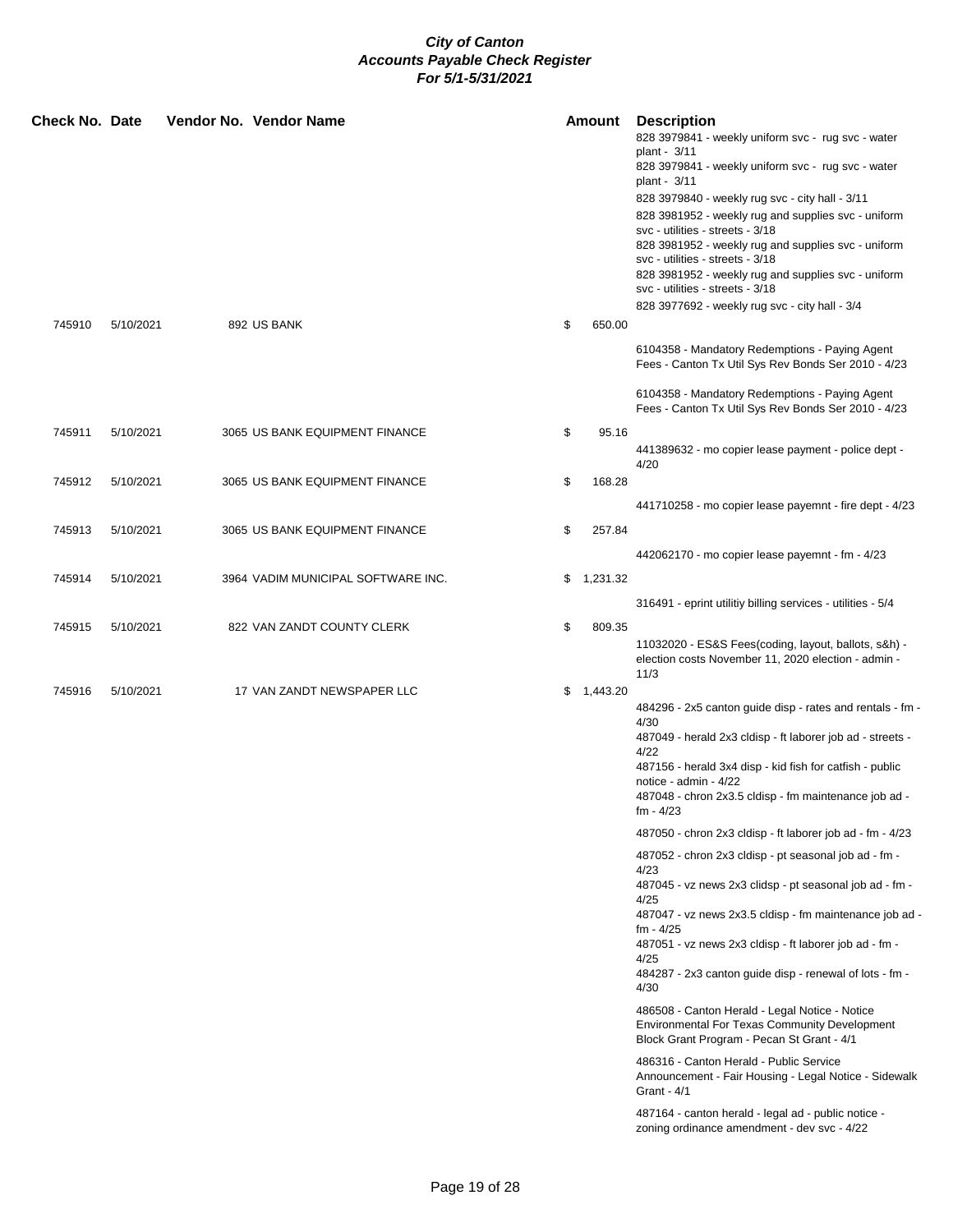| Check No. Date |           | Vendor No. Vendor Name             |    | Amount     | <b>Description</b><br>828 3979841 - weekly uniform svc - rug svc - water<br>plant - 3/11<br>828 3979841 - weekly uniform svc - rug svc - water<br>plant - 3/11<br>828 3979840 - weekly rug svc - city hall - 3/11<br>828 3981952 - weekly rug and supplies svc - uniform<br>svc - utilities - streets - 3/18<br>828 3981952 - weekly rug and supplies svc - uniform<br>svc - utilities - streets - 3/18<br>828 3981952 - weekly rug and supplies svc - uniform<br>svc - utilities - streets - 3/18                                                                                                                                                                                                                                                                                                                                                                                                                                                                                                                                                                                                |
|----------------|-----------|------------------------------------|----|------------|---------------------------------------------------------------------------------------------------------------------------------------------------------------------------------------------------------------------------------------------------------------------------------------------------------------------------------------------------------------------------------------------------------------------------------------------------------------------------------------------------------------------------------------------------------------------------------------------------------------------------------------------------------------------------------------------------------------------------------------------------------------------------------------------------------------------------------------------------------------------------------------------------------------------------------------------------------------------------------------------------------------------------------------------------------------------------------------------------|
| 745910         | 5/10/2021 | 892 US BANK                        | \$ | 650.00     | 828 3977692 - weekly rug svc - city hall - 3/4<br>6104358 - Mandatory Redemptions - Paying Agent                                                                                                                                                                                                                                                                                                                                                                                                                                                                                                                                                                                                                                                                                                                                                                                                                                                                                                                                                                                                  |
|                |           |                                    |    |            | Fees - Canton Tx Util Sys Rev Bonds Ser 2010 - 4/23<br>6104358 - Mandatory Redemptions - Paying Agent<br>Fees - Canton Tx Util Sys Rev Bonds Ser 2010 - 4/23                                                                                                                                                                                                                                                                                                                                                                                                                                                                                                                                                                                                                                                                                                                                                                                                                                                                                                                                      |
| 745911         | 5/10/2021 | 3065 US BANK EQUIPMENT FINANCE     | \$ | 95.16      | 441389632 - mo copier lease payment - police dept -<br>4/20                                                                                                                                                                                                                                                                                                                                                                                                                                                                                                                                                                                                                                                                                                                                                                                                                                                                                                                                                                                                                                       |
| 745912         | 5/10/2021 | 3065 US BANK EQUIPMENT FINANCE     | \$ | 168.28     | 441710258 - mo copier lease payemnt - fire dept - 4/23                                                                                                                                                                                                                                                                                                                                                                                                                                                                                                                                                                                                                                                                                                                                                                                                                                                                                                                                                                                                                                            |
| 745913         | 5/10/2021 | 3065 US BANK EQUIPMENT FINANCE     | \$ | 257.84     | 442062170 - mo copier lease payemnt - fm - 4/23                                                                                                                                                                                                                                                                                                                                                                                                                                                                                                                                                                                                                                                                                                                                                                                                                                                                                                                                                                                                                                                   |
| 745914         | 5/10/2021 | 3964 VADIM MUNICIPAL SOFTWARE INC. |    | \$1,231.32 | 316491 - eprint utilitiy billing services - utilities - 5/4                                                                                                                                                                                                                                                                                                                                                                                                                                                                                                                                                                                                                                                                                                                                                                                                                                                                                                                                                                                                                                       |
| 745915         | 5/10/2021 | 822 VAN ZANDT COUNTY CLERK         | \$ | 809.35     | 11032020 - ES&S Fees(coding, layout, ballots, s&h) -<br>election costs November 11, 2020 election - admin -<br>11/3                                                                                                                                                                                                                                                                                                                                                                                                                                                                                                                                                                                                                                                                                                                                                                                                                                                                                                                                                                               |
| 745916         | 5/10/2021 | 17 VAN ZANDT NEWSPAPER LLC         | \$ | 1,443.20   | 484296 - 2x5 canton guide disp - rates and rentals - fm -<br>4/30<br>487049 - herald 2x3 cldisp - ft laborer job ad - streets -<br>4/22<br>487156 - herald 3x4 disp - kid fish for catfish - public<br>notice - admin - 4/22<br>487048 - chron 2x3.5 cldisp - fm maintenance job ad -<br>fm - 4/23<br>487050 - chron 2x3 cldisp - ft laborer job ad - fm - 4/23<br>487052 - chron 2x3 cldisp - pt seasonal job ad - fm -<br>4/23<br>487045 - vz news 2x3 clidsp - pt seasonal job ad - fm -<br>4/25<br>487047 - vz news 2x3.5 cldisp - fm maintenance job ad -<br>fm - 4/25<br>487051 - vz news 2x3 cldisp - ft laborer job ad - fm -<br>4/25<br>484287 - 2x3 canton guide disp - renewal of lots - fm -<br>4/30<br>486508 - Canton Herald - Legal Notice - Notice<br><b>Environmental For Texas Community Development</b><br>Block Grant Program - Pecan St Grant - 4/1<br>486316 - Canton Herald - Public Service<br>Announcement - Fair Housing - Legal Notice - Sidewalk<br>Grant - 4/1<br>487164 - canton herald - legal ad - public notice -<br>zoning ordinance amendment - dev svc - 4/22 |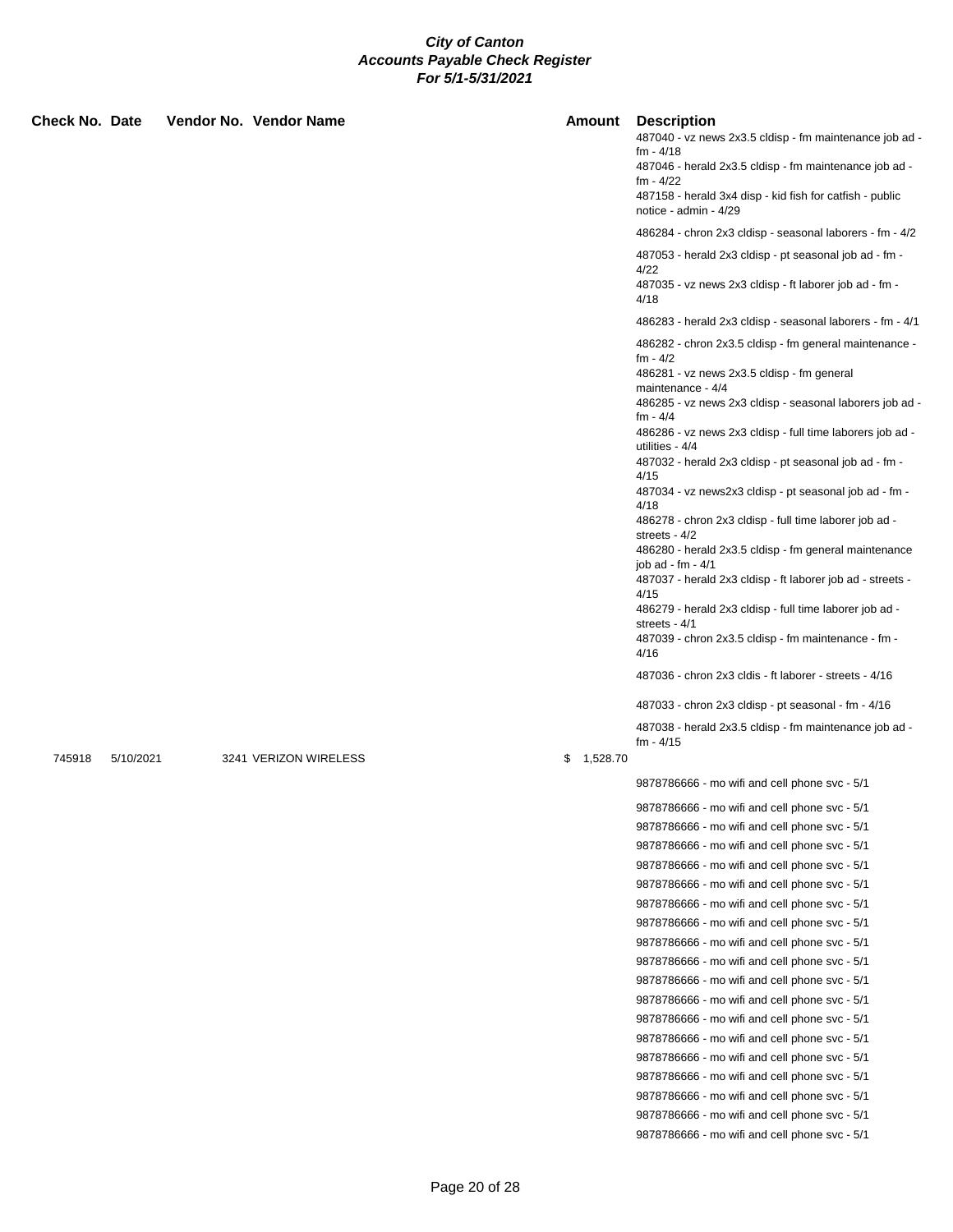| fm - 4/18<br>487046 - herald 2x3.5 cldisp - fm maintenance job ad -<br>fm - 4/22<br>487158 - herald 3x4 disp - kid fish for catfish - public<br>notice - admin - 4/29<br>486284 - chron 2x3 cldisp - seasonal laborers - fm - 4/2<br>487053 - herald 2x3 cldisp - pt seasonal job ad - fm -<br>4/22<br>487035 - vz news 2x3 cldisp - ft laborer job ad - fm -<br>4/18<br>486283 - herald 2x3 cldisp - seasonal laborers - fm - 4/1<br>486282 - chron 2x3.5 cldisp - fm general maintenance -<br>fm - 4/2<br>486281 - vz news 2x3.5 cldisp - fm general<br>maintenance - 4/4<br>486285 - vz news 2x3 cldisp - seasonal laborers job ad -<br>fm - 4/4<br>486286 - vz news 2x3 cldisp - full time laborers job ad -<br>utilities - 4/4<br>487032 - herald 2x3 cldisp - pt seasonal job ad - fm -<br>4/15<br>487034 - vz news2x3 cldisp - pt seasonal job ad - fm -<br>4/18<br>486278 - chron 2x3 cldisp - full time laborer job ad -<br>streets - 4/2<br>486280 - herald 2x3.5 cldisp - fm general maintenance<br>job ad - fm - $4/1$<br>487037 - herald 2x3 cldisp - ft laborer job ad - streets -<br>4/15<br>486279 - herald 2x3 cldisp - full time laborer job ad -<br>streets - 4/1<br>487039 - chron 2x3.5 cldisp - fm maintenance - fm -<br>4/16<br>487036 - chron 2x3 cldis - ft laborer - streets - 4/16<br>487033 - chron 2x3 cldisp - pt seasonal - fm - 4/16<br>487038 - herald 2x3.5 cldisp - fm maintenance job ad -<br>$fm - 4/15$<br>745918<br>3241 VERIZON WIRELESS<br>\$1,528.70<br>5/10/2021<br>9878786666 - mo wifi and cell phone svc - 5/1<br>9878786666 - mo wifi and cell phone svc - 5/1<br>9878786666 - mo wifi and cell phone svc - 5/1<br>9878786666 - mo wifi and cell phone svc - 5/1<br>9878786666 - mo wifi and cell phone svc - 5/1<br>9878786666 - mo wifi and cell phone svc - 5/1<br>9878786666 - mo wifi and cell phone svc - 5/1<br>9878786666 - mo wifi and cell phone svc - 5/1<br>9878786666 - mo wifi and cell phone svc - 5/1<br>9878786666 - mo wifi and cell phone svc - 5/1<br>9878786666 - mo wifi and cell phone svc - 5/1<br>9878786666 - mo wifi and cell phone svc - 5/1<br>9878786666 - mo wifi and cell phone svc - 5/1<br>9878786666 - mo wifi and cell phone svc - 5/1<br>9878786666 - mo wifi and cell phone svc - 5/1<br>9878786666 - mo wifi and cell phone svc - 5/1 | <b>Check No. Date</b> |  | Vendor No. Vendor Name | <b>Amount</b> Description                               |
|-----------------------------------------------------------------------------------------------------------------------------------------------------------------------------------------------------------------------------------------------------------------------------------------------------------------------------------------------------------------------------------------------------------------------------------------------------------------------------------------------------------------------------------------------------------------------------------------------------------------------------------------------------------------------------------------------------------------------------------------------------------------------------------------------------------------------------------------------------------------------------------------------------------------------------------------------------------------------------------------------------------------------------------------------------------------------------------------------------------------------------------------------------------------------------------------------------------------------------------------------------------------------------------------------------------------------------------------------------------------------------------------------------------------------------------------------------------------------------------------------------------------------------------------------------------------------------------------------------------------------------------------------------------------------------------------------------------------------------------------------------------------------------------------------------------------------------------------------------------------------------------------------------------------------------------------------------------------------------------------------------------------------------------------------------------------------------------------------------------------------------------------------------------------------------------------------------------------------------------------------------------------------------------------------------------------------------|-----------------------|--|------------------------|---------------------------------------------------------|
|                                                                                                                                                                                                                                                                                                                                                                                                                                                                                                                                                                                                                                                                                                                                                                                                                                                                                                                                                                                                                                                                                                                                                                                                                                                                                                                                                                                                                                                                                                                                                                                                                                                                                                                                                                                                                                                                                                                                                                                                                                                                                                                                                                                                                                                                                                                             |                       |  |                        | 487040 - vz news 2x3.5 cldisp - fm maintenance job ad - |
|                                                                                                                                                                                                                                                                                                                                                                                                                                                                                                                                                                                                                                                                                                                                                                                                                                                                                                                                                                                                                                                                                                                                                                                                                                                                                                                                                                                                                                                                                                                                                                                                                                                                                                                                                                                                                                                                                                                                                                                                                                                                                                                                                                                                                                                                                                                             |                       |  |                        |                                                         |
|                                                                                                                                                                                                                                                                                                                                                                                                                                                                                                                                                                                                                                                                                                                                                                                                                                                                                                                                                                                                                                                                                                                                                                                                                                                                                                                                                                                                                                                                                                                                                                                                                                                                                                                                                                                                                                                                                                                                                                                                                                                                                                                                                                                                                                                                                                                             |                       |  |                        |                                                         |
|                                                                                                                                                                                                                                                                                                                                                                                                                                                                                                                                                                                                                                                                                                                                                                                                                                                                                                                                                                                                                                                                                                                                                                                                                                                                                                                                                                                                                                                                                                                                                                                                                                                                                                                                                                                                                                                                                                                                                                                                                                                                                                                                                                                                                                                                                                                             |                       |  |                        |                                                         |
|                                                                                                                                                                                                                                                                                                                                                                                                                                                                                                                                                                                                                                                                                                                                                                                                                                                                                                                                                                                                                                                                                                                                                                                                                                                                                                                                                                                                                                                                                                                                                                                                                                                                                                                                                                                                                                                                                                                                                                                                                                                                                                                                                                                                                                                                                                                             |                       |  |                        |                                                         |
|                                                                                                                                                                                                                                                                                                                                                                                                                                                                                                                                                                                                                                                                                                                                                                                                                                                                                                                                                                                                                                                                                                                                                                                                                                                                                                                                                                                                                                                                                                                                                                                                                                                                                                                                                                                                                                                                                                                                                                                                                                                                                                                                                                                                                                                                                                                             |                       |  |                        |                                                         |
|                                                                                                                                                                                                                                                                                                                                                                                                                                                                                                                                                                                                                                                                                                                                                                                                                                                                                                                                                                                                                                                                                                                                                                                                                                                                                                                                                                                                                                                                                                                                                                                                                                                                                                                                                                                                                                                                                                                                                                                                                                                                                                                                                                                                                                                                                                                             |                       |  |                        |                                                         |
|                                                                                                                                                                                                                                                                                                                                                                                                                                                                                                                                                                                                                                                                                                                                                                                                                                                                                                                                                                                                                                                                                                                                                                                                                                                                                                                                                                                                                                                                                                                                                                                                                                                                                                                                                                                                                                                                                                                                                                                                                                                                                                                                                                                                                                                                                                                             |                       |  |                        |                                                         |
|                                                                                                                                                                                                                                                                                                                                                                                                                                                                                                                                                                                                                                                                                                                                                                                                                                                                                                                                                                                                                                                                                                                                                                                                                                                                                                                                                                                                                                                                                                                                                                                                                                                                                                                                                                                                                                                                                                                                                                                                                                                                                                                                                                                                                                                                                                                             |                       |  |                        |                                                         |
|                                                                                                                                                                                                                                                                                                                                                                                                                                                                                                                                                                                                                                                                                                                                                                                                                                                                                                                                                                                                                                                                                                                                                                                                                                                                                                                                                                                                                                                                                                                                                                                                                                                                                                                                                                                                                                                                                                                                                                                                                                                                                                                                                                                                                                                                                                                             |                       |  |                        |                                                         |
|                                                                                                                                                                                                                                                                                                                                                                                                                                                                                                                                                                                                                                                                                                                                                                                                                                                                                                                                                                                                                                                                                                                                                                                                                                                                                                                                                                                                                                                                                                                                                                                                                                                                                                                                                                                                                                                                                                                                                                                                                                                                                                                                                                                                                                                                                                                             |                       |  |                        |                                                         |
|                                                                                                                                                                                                                                                                                                                                                                                                                                                                                                                                                                                                                                                                                                                                                                                                                                                                                                                                                                                                                                                                                                                                                                                                                                                                                                                                                                                                                                                                                                                                                                                                                                                                                                                                                                                                                                                                                                                                                                                                                                                                                                                                                                                                                                                                                                                             |                       |  |                        |                                                         |
|                                                                                                                                                                                                                                                                                                                                                                                                                                                                                                                                                                                                                                                                                                                                                                                                                                                                                                                                                                                                                                                                                                                                                                                                                                                                                                                                                                                                                                                                                                                                                                                                                                                                                                                                                                                                                                                                                                                                                                                                                                                                                                                                                                                                                                                                                                                             |                       |  |                        |                                                         |
|                                                                                                                                                                                                                                                                                                                                                                                                                                                                                                                                                                                                                                                                                                                                                                                                                                                                                                                                                                                                                                                                                                                                                                                                                                                                                                                                                                                                                                                                                                                                                                                                                                                                                                                                                                                                                                                                                                                                                                                                                                                                                                                                                                                                                                                                                                                             |                       |  |                        |                                                         |
|                                                                                                                                                                                                                                                                                                                                                                                                                                                                                                                                                                                                                                                                                                                                                                                                                                                                                                                                                                                                                                                                                                                                                                                                                                                                                                                                                                                                                                                                                                                                                                                                                                                                                                                                                                                                                                                                                                                                                                                                                                                                                                                                                                                                                                                                                                                             |                       |  |                        |                                                         |
|                                                                                                                                                                                                                                                                                                                                                                                                                                                                                                                                                                                                                                                                                                                                                                                                                                                                                                                                                                                                                                                                                                                                                                                                                                                                                                                                                                                                                                                                                                                                                                                                                                                                                                                                                                                                                                                                                                                                                                                                                                                                                                                                                                                                                                                                                                                             |                       |  |                        |                                                         |
|                                                                                                                                                                                                                                                                                                                                                                                                                                                                                                                                                                                                                                                                                                                                                                                                                                                                                                                                                                                                                                                                                                                                                                                                                                                                                                                                                                                                                                                                                                                                                                                                                                                                                                                                                                                                                                                                                                                                                                                                                                                                                                                                                                                                                                                                                                                             |                       |  |                        |                                                         |
|                                                                                                                                                                                                                                                                                                                                                                                                                                                                                                                                                                                                                                                                                                                                                                                                                                                                                                                                                                                                                                                                                                                                                                                                                                                                                                                                                                                                                                                                                                                                                                                                                                                                                                                                                                                                                                                                                                                                                                                                                                                                                                                                                                                                                                                                                                                             |                       |  |                        |                                                         |
|                                                                                                                                                                                                                                                                                                                                                                                                                                                                                                                                                                                                                                                                                                                                                                                                                                                                                                                                                                                                                                                                                                                                                                                                                                                                                                                                                                                                                                                                                                                                                                                                                                                                                                                                                                                                                                                                                                                                                                                                                                                                                                                                                                                                                                                                                                                             |                       |  |                        |                                                         |
|                                                                                                                                                                                                                                                                                                                                                                                                                                                                                                                                                                                                                                                                                                                                                                                                                                                                                                                                                                                                                                                                                                                                                                                                                                                                                                                                                                                                                                                                                                                                                                                                                                                                                                                                                                                                                                                                                                                                                                                                                                                                                                                                                                                                                                                                                                                             |                       |  |                        |                                                         |
|                                                                                                                                                                                                                                                                                                                                                                                                                                                                                                                                                                                                                                                                                                                                                                                                                                                                                                                                                                                                                                                                                                                                                                                                                                                                                                                                                                                                                                                                                                                                                                                                                                                                                                                                                                                                                                                                                                                                                                                                                                                                                                                                                                                                                                                                                                                             |                       |  |                        |                                                         |
|                                                                                                                                                                                                                                                                                                                                                                                                                                                                                                                                                                                                                                                                                                                                                                                                                                                                                                                                                                                                                                                                                                                                                                                                                                                                                                                                                                                                                                                                                                                                                                                                                                                                                                                                                                                                                                                                                                                                                                                                                                                                                                                                                                                                                                                                                                                             |                       |  |                        |                                                         |
|                                                                                                                                                                                                                                                                                                                                                                                                                                                                                                                                                                                                                                                                                                                                                                                                                                                                                                                                                                                                                                                                                                                                                                                                                                                                                                                                                                                                                                                                                                                                                                                                                                                                                                                                                                                                                                                                                                                                                                                                                                                                                                                                                                                                                                                                                                                             |                       |  |                        |                                                         |
|                                                                                                                                                                                                                                                                                                                                                                                                                                                                                                                                                                                                                                                                                                                                                                                                                                                                                                                                                                                                                                                                                                                                                                                                                                                                                                                                                                                                                                                                                                                                                                                                                                                                                                                                                                                                                                                                                                                                                                                                                                                                                                                                                                                                                                                                                                                             |                       |  |                        |                                                         |
|                                                                                                                                                                                                                                                                                                                                                                                                                                                                                                                                                                                                                                                                                                                                                                                                                                                                                                                                                                                                                                                                                                                                                                                                                                                                                                                                                                                                                                                                                                                                                                                                                                                                                                                                                                                                                                                                                                                                                                                                                                                                                                                                                                                                                                                                                                                             |                       |  |                        |                                                         |
|                                                                                                                                                                                                                                                                                                                                                                                                                                                                                                                                                                                                                                                                                                                                                                                                                                                                                                                                                                                                                                                                                                                                                                                                                                                                                                                                                                                                                                                                                                                                                                                                                                                                                                                                                                                                                                                                                                                                                                                                                                                                                                                                                                                                                                                                                                                             |                       |  |                        |                                                         |
|                                                                                                                                                                                                                                                                                                                                                                                                                                                                                                                                                                                                                                                                                                                                                                                                                                                                                                                                                                                                                                                                                                                                                                                                                                                                                                                                                                                                                                                                                                                                                                                                                                                                                                                                                                                                                                                                                                                                                                                                                                                                                                                                                                                                                                                                                                                             |                       |  |                        |                                                         |
|                                                                                                                                                                                                                                                                                                                                                                                                                                                                                                                                                                                                                                                                                                                                                                                                                                                                                                                                                                                                                                                                                                                                                                                                                                                                                                                                                                                                                                                                                                                                                                                                                                                                                                                                                                                                                                                                                                                                                                                                                                                                                                                                                                                                                                                                                                                             |                       |  |                        |                                                         |
|                                                                                                                                                                                                                                                                                                                                                                                                                                                                                                                                                                                                                                                                                                                                                                                                                                                                                                                                                                                                                                                                                                                                                                                                                                                                                                                                                                                                                                                                                                                                                                                                                                                                                                                                                                                                                                                                                                                                                                                                                                                                                                                                                                                                                                                                                                                             |                       |  |                        |                                                         |
|                                                                                                                                                                                                                                                                                                                                                                                                                                                                                                                                                                                                                                                                                                                                                                                                                                                                                                                                                                                                                                                                                                                                                                                                                                                                                                                                                                                                                                                                                                                                                                                                                                                                                                                                                                                                                                                                                                                                                                                                                                                                                                                                                                                                                                                                                                                             |                       |  |                        |                                                         |
|                                                                                                                                                                                                                                                                                                                                                                                                                                                                                                                                                                                                                                                                                                                                                                                                                                                                                                                                                                                                                                                                                                                                                                                                                                                                                                                                                                                                                                                                                                                                                                                                                                                                                                                                                                                                                                                                                                                                                                                                                                                                                                                                                                                                                                                                                                                             |                       |  |                        |                                                         |
|                                                                                                                                                                                                                                                                                                                                                                                                                                                                                                                                                                                                                                                                                                                                                                                                                                                                                                                                                                                                                                                                                                                                                                                                                                                                                                                                                                                                                                                                                                                                                                                                                                                                                                                                                                                                                                                                                                                                                                                                                                                                                                                                                                                                                                                                                                                             |                       |  |                        |                                                         |
|                                                                                                                                                                                                                                                                                                                                                                                                                                                                                                                                                                                                                                                                                                                                                                                                                                                                                                                                                                                                                                                                                                                                                                                                                                                                                                                                                                                                                                                                                                                                                                                                                                                                                                                                                                                                                                                                                                                                                                                                                                                                                                                                                                                                                                                                                                                             |                       |  |                        |                                                         |
|                                                                                                                                                                                                                                                                                                                                                                                                                                                                                                                                                                                                                                                                                                                                                                                                                                                                                                                                                                                                                                                                                                                                                                                                                                                                                                                                                                                                                                                                                                                                                                                                                                                                                                                                                                                                                                                                                                                                                                                                                                                                                                                                                                                                                                                                                                                             |                       |  |                        |                                                         |
|                                                                                                                                                                                                                                                                                                                                                                                                                                                                                                                                                                                                                                                                                                                                                                                                                                                                                                                                                                                                                                                                                                                                                                                                                                                                                                                                                                                                                                                                                                                                                                                                                                                                                                                                                                                                                                                                                                                                                                                                                                                                                                                                                                                                                                                                                                                             |                       |  |                        |                                                         |
|                                                                                                                                                                                                                                                                                                                                                                                                                                                                                                                                                                                                                                                                                                                                                                                                                                                                                                                                                                                                                                                                                                                                                                                                                                                                                                                                                                                                                                                                                                                                                                                                                                                                                                                                                                                                                                                                                                                                                                                                                                                                                                                                                                                                                                                                                                                             |                       |  |                        |                                                         |
|                                                                                                                                                                                                                                                                                                                                                                                                                                                                                                                                                                                                                                                                                                                                                                                                                                                                                                                                                                                                                                                                                                                                                                                                                                                                                                                                                                                                                                                                                                                                                                                                                                                                                                                                                                                                                                                                                                                                                                                                                                                                                                                                                                                                                                                                                                                             |                       |  |                        |                                                         |
|                                                                                                                                                                                                                                                                                                                                                                                                                                                                                                                                                                                                                                                                                                                                                                                                                                                                                                                                                                                                                                                                                                                                                                                                                                                                                                                                                                                                                                                                                                                                                                                                                                                                                                                                                                                                                                                                                                                                                                                                                                                                                                                                                                                                                                                                                                                             |                       |  |                        |                                                         |
|                                                                                                                                                                                                                                                                                                                                                                                                                                                                                                                                                                                                                                                                                                                                                                                                                                                                                                                                                                                                                                                                                                                                                                                                                                                                                                                                                                                                                                                                                                                                                                                                                                                                                                                                                                                                                                                                                                                                                                                                                                                                                                                                                                                                                                                                                                                             |                       |  |                        |                                                         |
|                                                                                                                                                                                                                                                                                                                                                                                                                                                                                                                                                                                                                                                                                                                                                                                                                                                                                                                                                                                                                                                                                                                                                                                                                                                                                                                                                                                                                                                                                                                                                                                                                                                                                                                                                                                                                                                                                                                                                                                                                                                                                                                                                                                                                                                                                                                             |                       |  |                        |                                                         |
|                                                                                                                                                                                                                                                                                                                                                                                                                                                                                                                                                                                                                                                                                                                                                                                                                                                                                                                                                                                                                                                                                                                                                                                                                                                                                                                                                                                                                                                                                                                                                                                                                                                                                                                                                                                                                                                                                                                                                                                                                                                                                                                                                                                                                                                                                                                             |                       |  |                        |                                                         |
|                                                                                                                                                                                                                                                                                                                                                                                                                                                                                                                                                                                                                                                                                                                                                                                                                                                                                                                                                                                                                                                                                                                                                                                                                                                                                                                                                                                                                                                                                                                                                                                                                                                                                                                                                                                                                                                                                                                                                                                                                                                                                                                                                                                                                                                                                                                             |                       |  |                        |                                                         |
|                                                                                                                                                                                                                                                                                                                                                                                                                                                                                                                                                                                                                                                                                                                                                                                                                                                                                                                                                                                                                                                                                                                                                                                                                                                                                                                                                                                                                                                                                                                                                                                                                                                                                                                                                                                                                                                                                                                                                                                                                                                                                                                                                                                                                                                                                                                             |                       |  |                        | 9878786666 - mo wifi and cell phone svc - 5/1           |
| 9878786666 - mo wifi and cell phone svc - 5/1                                                                                                                                                                                                                                                                                                                                                                                                                                                                                                                                                                                                                                                                                                                                                                                                                                                                                                                                                                                                                                                                                                                                                                                                                                                                                                                                                                                                                                                                                                                                                                                                                                                                                                                                                                                                                                                                                                                                                                                                                                                                                                                                                                                                                                                                               |                       |  |                        |                                                         |
|                                                                                                                                                                                                                                                                                                                                                                                                                                                                                                                                                                                                                                                                                                                                                                                                                                                                                                                                                                                                                                                                                                                                                                                                                                                                                                                                                                                                                                                                                                                                                                                                                                                                                                                                                                                                                                                                                                                                                                                                                                                                                                                                                                                                                                                                                                                             |                       |  |                        | 9878786666 - mo wifi and cell phone svc - 5/1           |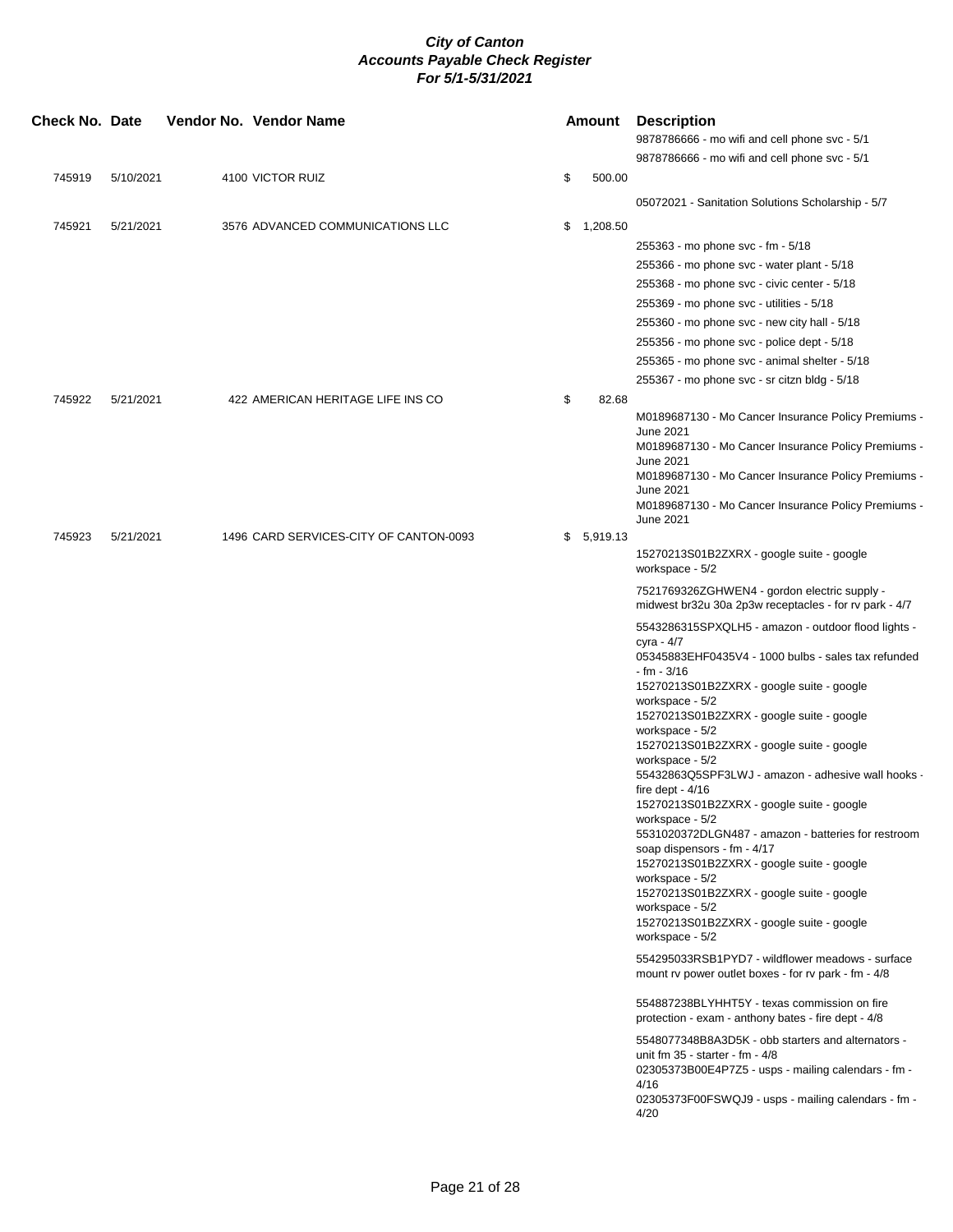| Check No. Date   |                        | Vendor No. Vendor Name |                  |                                                                             |    | Amount              | <b>Description</b><br>9878786666 - mo wifi and cell phone svc - 5/1                                                                                                                                                                                                                                                                                                                                                                                                                                                                                                                                                                                                                                                                                                                                                                                                                                                                                                                                                                                                                                                                                                                                                     |
|------------------|------------------------|------------------------|------------------|-----------------------------------------------------------------------------|----|---------------------|-------------------------------------------------------------------------------------------------------------------------------------------------------------------------------------------------------------------------------------------------------------------------------------------------------------------------------------------------------------------------------------------------------------------------------------------------------------------------------------------------------------------------------------------------------------------------------------------------------------------------------------------------------------------------------------------------------------------------------------------------------------------------------------------------------------------------------------------------------------------------------------------------------------------------------------------------------------------------------------------------------------------------------------------------------------------------------------------------------------------------------------------------------------------------------------------------------------------------|
|                  |                        |                        |                  |                                                                             |    |                     | 9878786666 - mo wifi and cell phone svc - 5/1                                                                                                                                                                                                                                                                                                                                                                                                                                                                                                                                                                                                                                                                                                                                                                                                                                                                                                                                                                                                                                                                                                                                                                           |
| 745919           | 5/10/2021              |                        | 4100 VICTOR RUIZ |                                                                             | \$ | 500.00              |                                                                                                                                                                                                                                                                                                                                                                                                                                                                                                                                                                                                                                                                                                                                                                                                                                                                                                                                                                                                                                                                                                                                                                                                                         |
|                  |                        |                        |                  |                                                                             |    |                     | 05072021 - Sanitation Solutions Scholarship - 5/7                                                                                                                                                                                                                                                                                                                                                                                                                                                                                                                                                                                                                                                                                                                                                                                                                                                                                                                                                                                                                                                                                                                                                                       |
| 745921           | 5/21/2021              |                        |                  | 3576 ADVANCED COMMUNICATIONS LLC                                            | \$ | 1,208.50            |                                                                                                                                                                                                                                                                                                                                                                                                                                                                                                                                                                                                                                                                                                                                                                                                                                                                                                                                                                                                                                                                                                                                                                                                                         |
|                  |                        |                        |                  |                                                                             |    |                     | 255363 - mo phone svc - fm - 5/18                                                                                                                                                                                                                                                                                                                                                                                                                                                                                                                                                                                                                                                                                                                                                                                                                                                                                                                                                                                                                                                                                                                                                                                       |
|                  |                        |                        |                  |                                                                             |    |                     | 255366 - mo phone svc - water plant - 5/18                                                                                                                                                                                                                                                                                                                                                                                                                                                                                                                                                                                                                                                                                                                                                                                                                                                                                                                                                                                                                                                                                                                                                                              |
|                  |                        |                        |                  |                                                                             |    |                     | 255368 - mo phone svc - civic center - 5/18                                                                                                                                                                                                                                                                                                                                                                                                                                                                                                                                                                                                                                                                                                                                                                                                                                                                                                                                                                                                                                                                                                                                                                             |
|                  |                        |                        |                  |                                                                             |    |                     | 255369 - mo phone svc - utilities - 5/18                                                                                                                                                                                                                                                                                                                                                                                                                                                                                                                                                                                                                                                                                                                                                                                                                                                                                                                                                                                                                                                                                                                                                                                |
|                  |                        |                        |                  |                                                                             |    |                     | 255360 - mo phone svc - new city hall - 5/18                                                                                                                                                                                                                                                                                                                                                                                                                                                                                                                                                                                                                                                                                                                                                                                                                                                                                                                                                                                                                                                                                                                                                                            |
|                  |                        |                        |                  |                                                                             |    |                     | 255356 - mo phone svc - police dept - 5/18                                                                                                                                                                                                                                                                                                                                                                                                                                                                                                                                                                                                                                                                                                                                                                                                                                                                                                                                                                                                                                                                                                                                                                              |
|                  |                        |                        |                  |                                                                             |    |                     | 255365 - mo phone svc - animal shelter - 5/18                                                                                                                                                                                                                                                                                                                                                                                                                                                                                                                                                                                                                                                                                                                                                                                                                                                                                                                                                                                                                                                                                                                                                                           |
|                  |                        |                        |                  |                                                                             |    |                     | 255367 - mo phone svc - sr citzn bldg - 5/18                                                                                                                                                                                                                                                                                                                                                                                                                                                                                                                                                                                                                                                                                                                                                                                                                                                                                                                                                                                                                                                                                                                                                                            |
| 745922<br>745923 | 5/21/2021<br>5/21/2021 |                        |                  | 422 AMERICAN HERITAGE LIFE INS CO<br>1496 CARD SERVICES-CITY OF CANTON-0093 | \$ | 82.68<br>\$5,919.13 | M0189687130 - Mo Cancer Insurance Policy Premiums -<br>June 2021<br>M0189687130 - Mo Cancer Insurance Policy Premiums -<br><b>June 2021</b><br>M0189687130 - Mo Cancer Insurance Policy Premiums -<br><b>June 2021</b><br>M0189687130 - Mo Cancer Insurance Policy Premiums -<br>June 2021                                                                                                                                                                                                                                                                                                                                                                                                                                                                                                                                                                                                                                                                                                                                                                                                                                                                                                                              |
|                  |                        |                        |                  |                                                                             |    |                     | 15270213S01B2ZXRX - google suite - google<br>workspace - 5/2                                                                                                                                                                                                                                                                                                                                                                                                                                                                                                                                                                                                                                                                                                                                                                                                                                                                                                                                                                                                                                                                                                                                                            |
|                  |                        |                        |                  |                                                                             |    |                     | 7521769326ZGHWEN4 - gordon electric supply -<br>midwest br32u 30a 2p3w receptacles - for rv park - 4/7                                                                                                                                                                                                                                                                                                                                                                                                                                                                                                                                                                                                                                                                                                                                                                                                                                                                                                                                                                                                                                                                                                                  |
|                  |                        |                        |                  |                                                                             |    |                     | 5543286315SPXQLH5 - amazon - outdoor flood lights -<br>cyra - 4/7<br>05345883EHF0435V4 - 1000 bulbs - sales tax refunded<br>- fm - 3/16<br>15270213S01B2ZXRX - google suite - google<br>workspace - 5/2<br>15270213S01B2ZXRX - google suite - google<br>workspace - 5/2<br>15270213S01B2ZXRX - google suite - google<br>workspace - 5/2<br>55432863Q5SPF3LWJ - amazon - adhesive wall hooks -<br>fire dept - $4/16$<br>15270213S01B2ZXRX - google suite - google<br>workspace - 5/2<br>5531020372DLGN487 - amazon - batteries for restroom<br>soap dispensors - fm - 4/17<br>15270213S01B2ZXRX - google suite - google<br>workspace - 5/2<br>15270213S01B2ZXRX - google suite - google<br>workspace - 5/2<br>15270213S01B2ZXRX - google suite - google<br>workspace - 5/2<br>554295033RSB1PYD7 - wildflower meadows - surface<br>mount rv power outlet boxes - for rv park - fm - 4/8<br>554887238BLYHHT5Y - texas commission on fire<br>protection - exam - anthony bates - fire dept - 4/8<br>5548077348B8A3D5K - obb starters and alternators -<br>unit fm $35 -$ starter - fm - $4/8$<br>02305373B00E4P7Z5 - usps - mailing calendars - fm -<br>4/16<br>02305373F00FSWQJ9 - usps - mailing calendars - fm -<br>4/20 |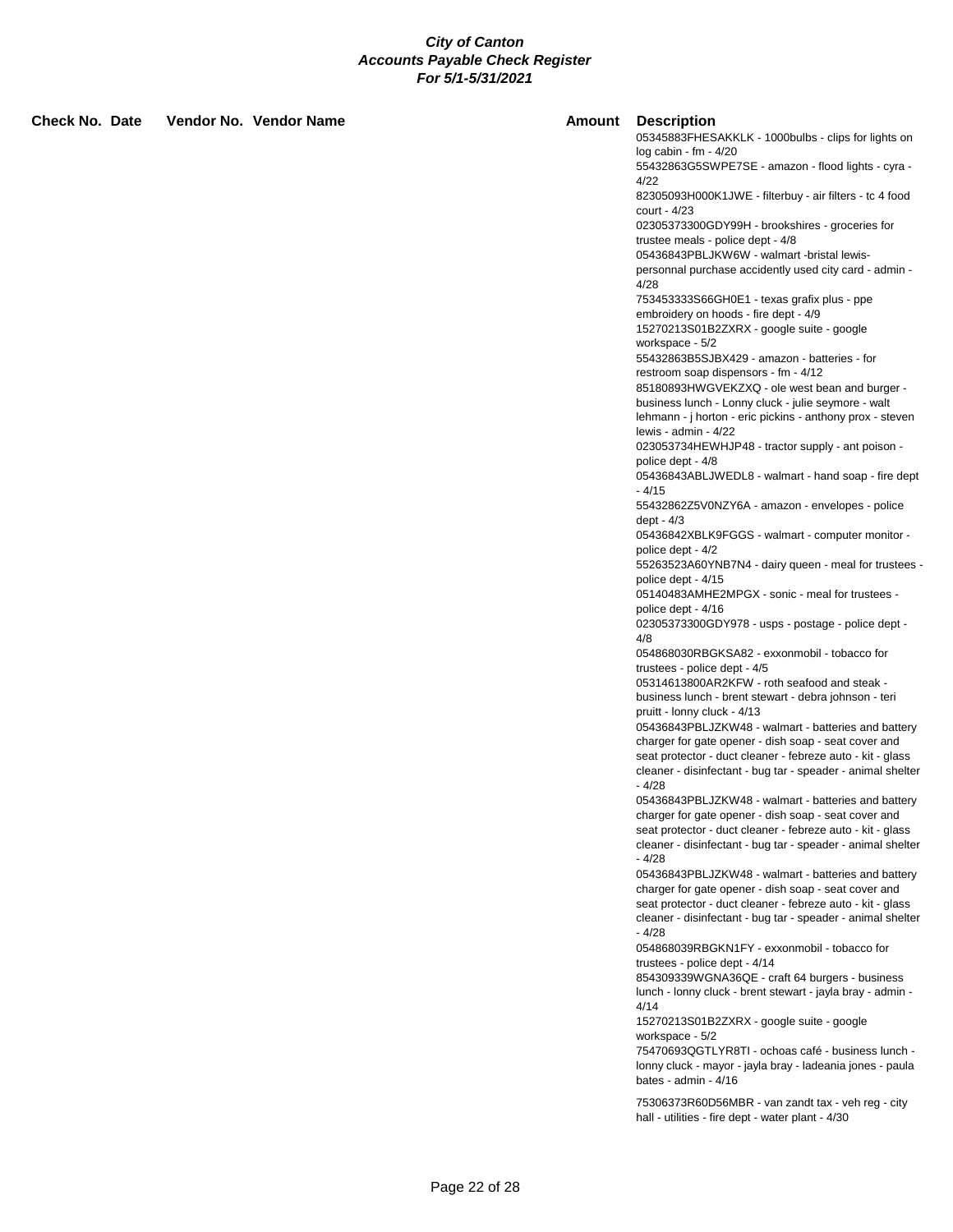**Check No. Date Vendor No. Vendor Name Amount Description**

05345883FHESAKKLK - 1000bulbs - clips for lights on log cabin - fm - 4/20 55432863G5SWPE7SE - amazon - flood lights - cyra - 4/22 82305093H000K1JWE - filterbuy - air filters - tc 4 food court - 4/23 02305373300GDY99H - brookshires - groceries for trustee meals - police dept - 4/8 05436843PBLJKW6W - walmart -bristal lewispersonnal purchase accidently used city card - admin - 4/28 753453333S66GH0E1 - texas grafix plus - ppe embroidery on hoods - fire dept - 4/9 15270213S01B2ZXRX - google suite - google workspace - 5/2 55432863B5SJBX429 - amazon - batteries - for restroom soap dispensors - fm - 4/12 85180893HWGVEKZXQ - ole west bean and burger business lunch - Lonny cluck - julie seymore - walt lehmann - j horton - eric pickins - anthony prox - steven lewis - admin - 4/22 023053734HEWHJP48 - tractor supply - ant poison police dept - 4/8 05436843ABLJWEDL8 - walmart - hand soap - fire dept - 4/15 55432862Z5V0NZY6A - amazon - envelopes - police dept - 4/3 05436842XBLK9FGGS - walmart - computer monitor police dept - 4/2 55263523A60YNB7N4 - dairy queen - meal for trustees police dept - 4/15 05140483AMHE2MPGX - sonic - meal for trustees police dept - 4/16 02305373300GDY978 - usps - postage - police dept - 4/8 054868030RBGKSA82 - exxonmobil - tobacco for trustees - police dept - 4/5 05314613800AR2KFW - roth seafood and steak business lunch - brent stewart - debra johnson - teri pruitt - lonny cluck - 4/13 05436843PBLJZKW48 - walmart - batteries and battery charger for gate opener - dish soap - seat cover and seat protector - duct cleaner - febreze auto - kit - glass cleaner - disinfectant - bug tar - speader - animal shelter - 4/28 05436843PBLJZKW48 - walmart - batteries and battery charger for gate opener - dish soap - seat cover and seat protector - duct cleaner - febreze auto - kit - glass cleaner - disinfectant - bug tar - speader - animal shelter - 4/28 05436843PBLJZKW48 - walmart - batteries and battery charger for gate opener - dish soap - seat cover and seat protector - duct cleaner - febreze auto - kit - glass cleaner - disinfectant - bug tar - speader - animal shelter - 4/28 054868039RBGKN1FY - exxonmobil - tobacco for trustees - police dept - 4/14 854309339WGNA36QE - craft 64 burgers - business lunch - lonny cluck - brent stewart - jayla bray - admin - 4/14 15270213S01B2ZXRX - google suite - google workspace - 5/2

75470693QGTLYR8TI - ochoas café - business lunch lonny cluck - mayor - jayla bray - ladeania jones - paula bates - admin - 4/16

75306373R60D56MBR - van zandt tax - veh reg - city hall - utilities - fire dept - water plant - 4/30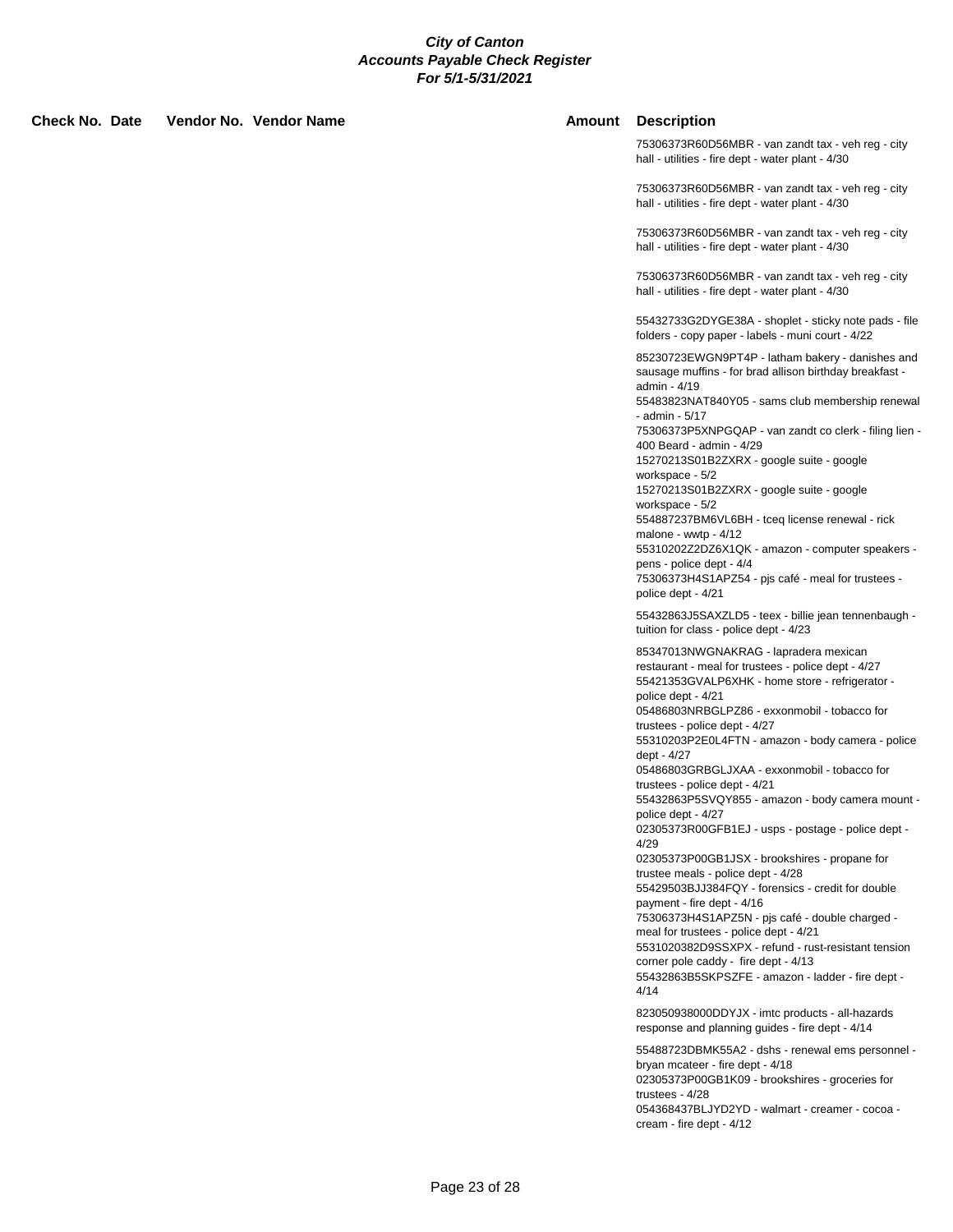**Check No. Date Vendor No. Vendor Name Amount Description**

75306373R60D56MBR - van zandt tax - veh reg - city hall - utilities - fire dept - water plant - 4/30

75306373R60D56MBR - van zandt tax - veh reg - city hall - utilities - fire dept - water plant - 4/30

75306373R60D56MBR - van zandt tax - veh reg - city hall - utilities - fire dept - water plant - 4/30

75306373R60D56MBR - van zandt tax - veh reg - city hall - utilities - fire dept - water plant - 4/30

55432733G2DYGE38A - shoplet - sticky note pads - file folders - copy paper - labels - muni court - 4/22

85230723EWGN9PT4P - latham bakery - danishes and sausage muffins - for brad allison birthday breakfast admin - 4/19

55483823NAT840Y05 - sams club membership renewal - admin - 5/17

75306373P5XNPGQAP - van zandt co clerk - filing lien - 400 Beard - admin - 4/29

15270213S01B2ZXRX - google suite - google workspace - 5/2

15270213S01B2ZXRX - google suite - google workspace - 5/2

554887237BM6VL6BH - tceq license renewal - rick malone - wwtp - 4/12

55310202Z2DZ6X1QK - amazon - computer speakers pens - police dept - 4/4

75306373H4S1APZ54 - pjs café - meal for trustees police dept - 4/21

55432863J5SAXZLD5 - teex - billie jean tennenbaugh tuition for class - police dept - 4/23

85347013NWGNAKRAG - lapradera mexican restaurant - meal for trustees - police dept - 4/27 55421353GVALP6XHK - home store - refrigerator police dept - 4/21 05486803NRBGLPZ86 - exxonmobil - tobacco for

trustees - police dept - 4/27

55310203P2E0L4FTN - amazon - body camera - police dept - 4/27

05486803GRBGLJXAA - exxonmobil - tobacco for trustees - police dept - 4/21

55432863P5SVQY855 - amazon - body camera mount police dept - 4/27

02305373R00GFB1EJ - usps - postage - police dept - 4/29

02305373P00GB1JSX - brookshires - propane for trustee meals - police dept - 4/28

55429503BJJ384FQY - forensics - credit for double payment - fire dept - 4/16

75306373H4S1APZ5N - pjs café - double charged meal for trustees - police dept - 4/21

5531020382D9SSXPX - refund - rust-resistant tension corner pole caddy - fire dept - 4/13

55432863B5SKPSZFE - amazon - ladder - fire dept - 4/14

823050938000DDYJX - imtc products - all-hazards response and planning guides - fire dept - 4/14

55488723DBMK55A2 - dshs - renewal ems personnel bryan mcateer - fire dept - 4/18 02305373P00GB1K09 - brookshires - groceries for trustees - 4/28 054368437BLJYD2YD - walmart - creamer - cocoa cream - fire dept - 4/12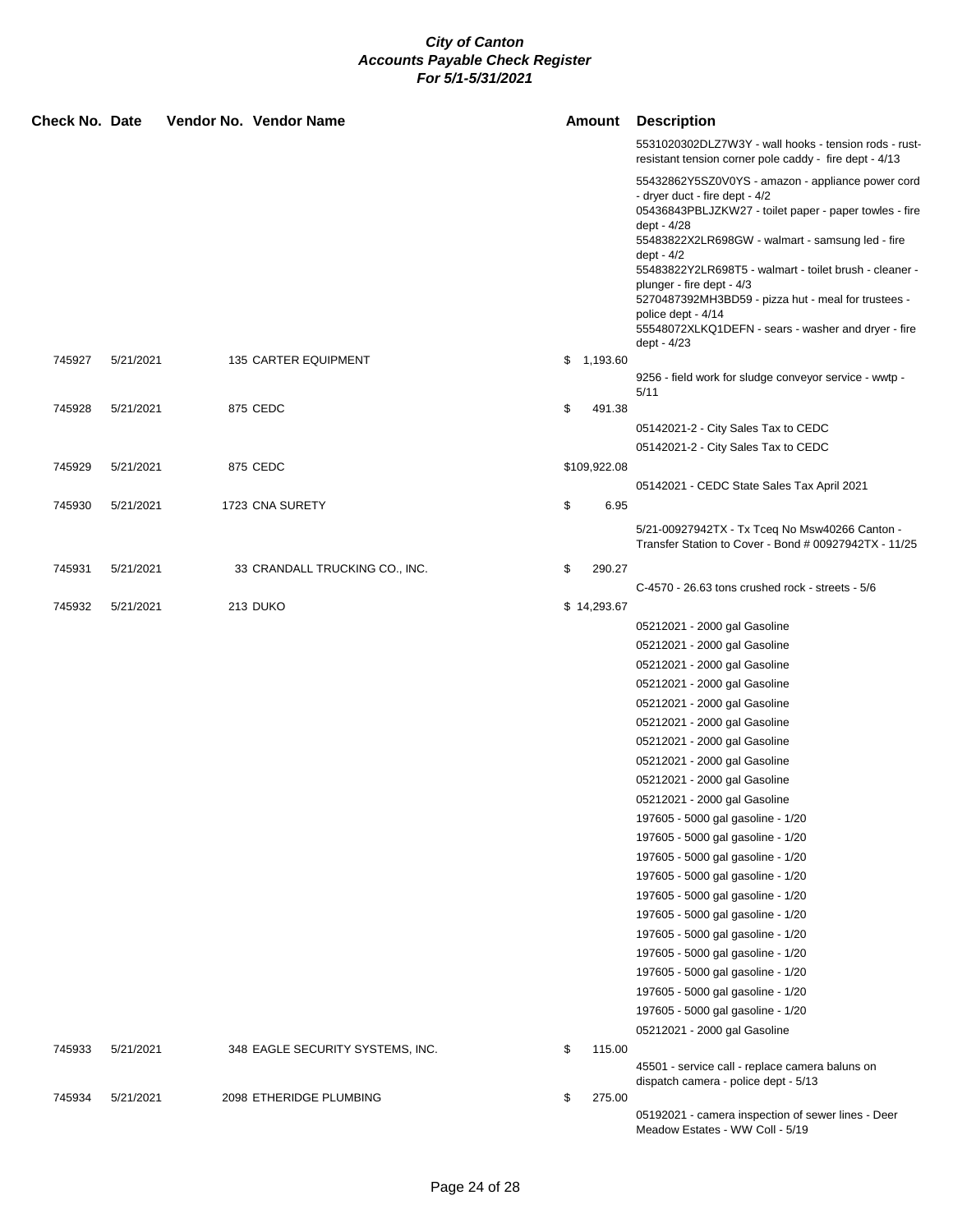| Check No. Date |           | Vendor No. Vendor Name           | <b>Amount</b> |              | <b>Description</b>                                                                                                                                                             |
|----------------|-----------|----------------------------------|---------------|--------------|--------------------------------------------------------------------------------------------------------------------------------------------------------------------------------|
|                |           |                                  |               |              | 5531020302DLZ7W3Y - wall hooks - tension rods - rust-<br>resistant tension corner pole caddy - fire dept - 4/13                                                                |
|                |           |                                  |               |              | 55432862Y5SZ0V0YS - amazon - appliance power cord<br>- dryer duct - fire dept - 4/2<br>05436843PBLJZKW27 - toilet paper - paper towles - fire<br>dept - 4/28                   |
|                |           |                                  |               |              | 55483822X2LR698GW - walmart - samsung led - fire                                                                                                                               |
|                |           |                                  |               |              | dept - 4/2<br>55483822Y2LR698T5 - walmart - toilet brush - cleaner -<br>plunger - fire dept - 4/3<br>5270487392MH3BD59 - pizza hut - meal for trustees -<br>police dept - 4/14 |
|                |           |                                  |               |              | 55548072XLKQ1DEFN - sears - washer and dryer - fire<br>dept - 4/23                                                                                                             |
| 745927         | 5/21/2021 | 135 CARTER EQUIPMENT             |               | \$1,193.60   |                                                                                                                                                                                |
|                |           |                                  |               |              | 9256 - field work for sludge conveyor service - wwtp -<br>5/11                                                                                                                 |
| 745928         | 5/21/2021 | 875 CEDC                         | \$            | 491.38       |                                                                                                                                                                                |
|                |           |                                  |               |              | 05142021-2 - City Sales Tax to CEDC                                                                                                                                            |
|                |           |                                  |               |              | 05142021-2 - City Sales Tax to CEDC                                                                                                                                            |
| 745929         | 5/21/2021 | 875 CEDC                         |               | \$109,922.08 |                                                                                                                                                                                |
|                |           |                                  |               |              | 05142021 - CEDC State Sales Tax April 2021                                                                                                                                     |
| 745930         | 5/21/2021 | 1723 CNA SURETY                  | \$            | 6.95         |                                                                                                                                                                                |
|                |           |                                  |               |              | 5/21-00927942TX - Tx Tceq No Msw40266 Canton -<br>Transfer Station to Cover - Bond # 00927942TX - 11/25                                                                        |
| 745931         | 5/21/2021 | 33 CRANDALL TRUCKING CO., INC.   | \$            | 290.27       |                                                                                                                                                                                |
|                |           |                                  |               |              | C-4570 - 26.63 tons crushed rock - streets - 5/6                                                                                                                               |
| 745932         | 5/21/2021 | 213 DUKO                         |               | \$14,293.67  |                                                                                                                                                                                |
|                |           |                                  |               |              | 05212021 - 2000 gal Gasoline                                                                                                                                                   |
|                |           |                                  |               |              | 05212021 - 2000 gal Gasoline                                                                                                                                                   |
|                |           |                                  |               |              | 05212021 - 2000 gal Gasoline                                                                                                                                                   |
|                |           |                                  |               |              | 05212021 - 2000 gal Gasoline                                                                                                                                                   |
|                |           |                                  |               |              | 05212021 - 2000 gal Gasoline                                                                                                                                                   |
|                |           |                                  |               |              | 05212021 - 2000 gal Gasoline                                                                                                                                                   |
|                |           |                                  |               |              | 05212021 - 2000 gal Gasoline                                                                                                                                                   |
|                |           |                                  |               |              | 05212021 - 2000 gal Gasoline                                                                                                                                                   |
|                |           |                                  |               |              | 05212021 - 2000 gal Gasoline                                                                                                                                                   |
|                |           |                                  |               |              | 05212021 - 2000 gal Gasoline                                                                                                                                                   |
|                |           |                                  |               |              | 197605 - 5000 gal gasoline - 1/20                                                                                                                                              |
|                |           |                                  |               |              | 197605 - 5000 gal gasoline - 1/20                                                                                                                                              |
|                |           |                                  |               |              | 197605 - 5000 gal gasoline - 1/20                                                                                                                                              |
|                |           |                                  |               |              | 197605 - 5000 gal gasoline - 1/20                                                                                                                                              |
|                |           |                                  |               |              | 197605 - 5000 gal gasoline - 1/20                                                                                                                                              |
|                |           |                                  |               |              | 197605 - 5000 gal gasoline - 1/20                                                                                                                                              |
|                |           |                                  |               |              | 197605 - 5000 gal gasoline - 1/20                                                                                                                                              |
|                |           |                                  |               |              | 197605 - 5000 gal gasoline - 1/20                                                                                                                                              |
|                |           |                                  |               |              | 197605 - 5000 gal gasoline - 1/20                                                                                                                                              |
|                |           |                                  |               |              | 197605 - 5000 gal gasoline - 1/20                                                                                                                                              |
|                |           |                                  |               |              | 197605 - 5000 gal gasoline - 1/20                                                                                                                                              |
|                |           |                                  |               |              | 05212021 - 2000 gal Gasoline                                                                                                                                                   |
| 745933         | 5/21/2021 | 348 EAGLE SECURITY SYSTEMS, INC. | \$            | 115.00       |                                                                                                                                                                                |
|                |           |                                  |               |              | 45501 - service call - replace camera baluns on<br>dispatch camera - police dept - 5/13                                                                                        |
| 745934         | 5/21/2021 | 2098 ETHERIDGE PLUMBING          | \$            | 275.00       |                                                                                                                                                                                |
|                |           |                                  |               |              | 05192021 - camera inspection of sewer lines - Deer<br>Meadow Estates - WW Coll - 5/19                                                                                          |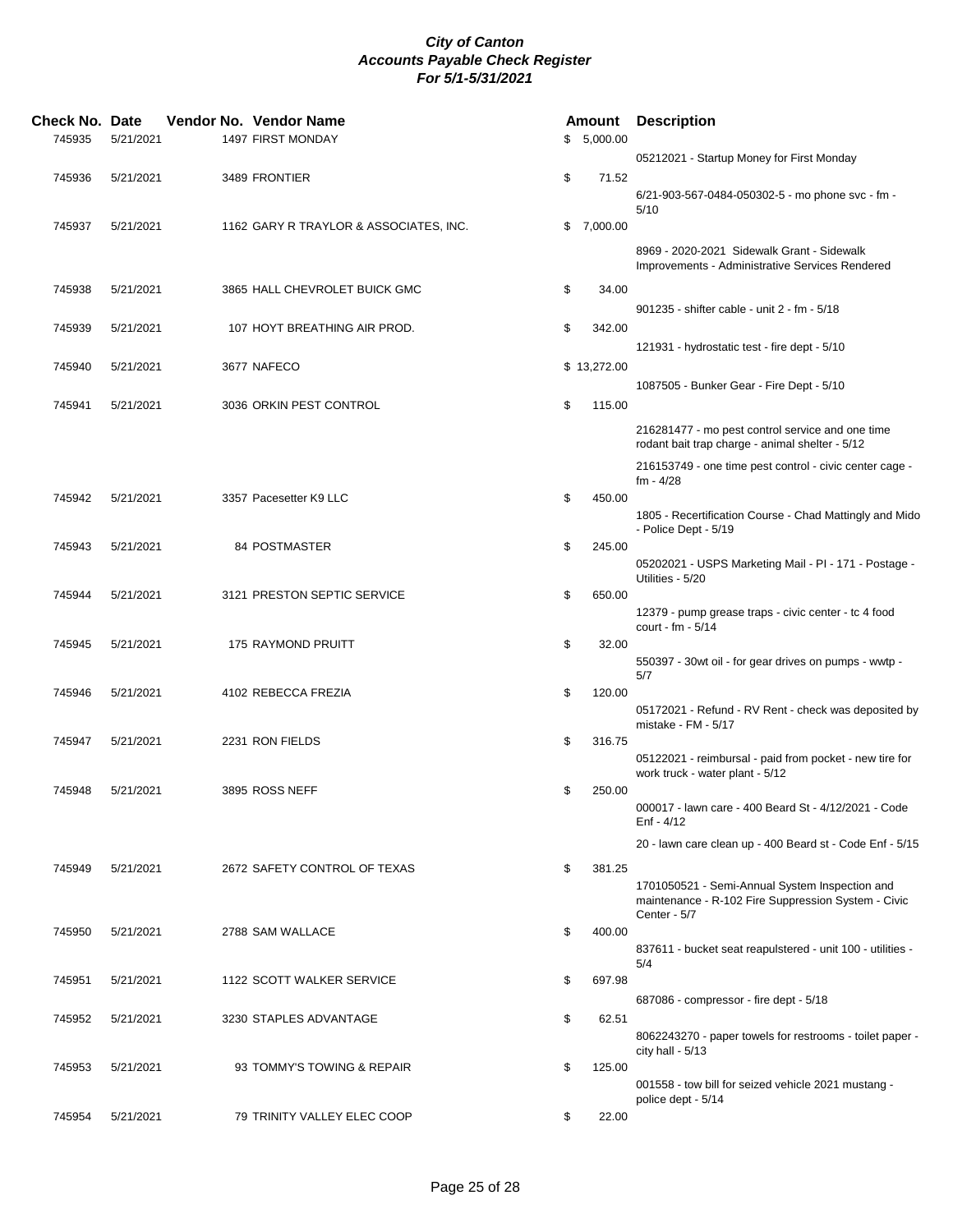| Check No. Date<br>745935 | 5/21/2021 | Vendor No. Vendor Name<br>1497 FIRST MONDAY |    | Amount<br>\$5,000.00 | <b>Description</b>                                                              |
|--------------------------|-----------|---------------------------------------------|----|----------------------|---------------------------------------------------------------------------------|
|                          |           |                                             |    |                      | 05212021 - Startup Money for First Monday                                       |
| 745936                   | 5/21/2021 | 3489 FRONTIER                               | \$ | 71.52                |                                                                                 |
|                          |           |                                             |    |                      | 6/21-903-567-0484-050302-5 - mo phone svc - fm -                                |
| 745937                   | 5/21/2021 | 1162 GARY R TRAYLOR & ASSOCIATES, INC.      |    | \$7,000.00           | 5/10                                                                            |
|                          |           |                                             |    |                      | 8969 - 2020-2021 Sidewalk Grant - Sidewalk                                      |
|                          |           |                                             |    |                      | Improvements - Administrative Services Rendered                                 |
| 745938                   | 5/21/2021 | 3865 HALL CHEVROLET BUICK GMC               | \$ | 34.00                |                                                                                 |
|                          |           |                                             |    |                      | 901235 - shifter cable - unit 2 - fm - 5/18                                     |
| 745939                   | 5/21/2021 | 107 HOYT BREATHING AIR PROD.                | \$ | 342.00               |                                                                                 |
| 745940                   | 5/21/2021 | 3677 NAFECO                                 |    | \$13,272.00          | 121931 - hydrostatic test - fire dept - 5/10                                    |
|                          |           |                                             |    |                      | 1087505 - Bunker Gear - Fire Dept - 5/10                                        |
| 745941                   | 5/21/2021 | 3036 ORKIN PEST CONTROL                     | \$ | 115.00               |                                                                                 |
|                          |           |                                             |    |                      | 216281477 - mo pest control service and one time                                |
|                          |           |                                             |    |                      | rodant bait trap charge - animal shelter - 5/12                                 |
|                          |           |                                             |    |                      | 216153749 - one time pest control - civic center cage -<br>$fm - 4/28$          |
| 745942                   | 5/21/2021 | 3357 Pacesetter K9 LLC                      | \$ | 450.00               |                                                                                 |
|                          |           |                                             |    |                      | 1805 - Recertification Course - Chad Mattingly and Mido<br>- Police Dept - 5/19 |
| 745943                   | 5/21/2021 | <b>84 POSTMASTER</b>                        | \$ | 245.00               |                                                                                 |
|                          |           |                                             |    |                      | 05202021 - USPS Marketing Mail - PI - 171 - Postage -<br>Utilities - 5/20       |
| 745944                   | 5/21/2021 | 3121 PRESTON SEPTIC SERVICE                 | \$ | 650.00               |                                                                                 |
|                          |           |                                             |    |                      | 12379 - pump grease traps - civic center - tc 4 food<br>court - fm - 5/14       |
| 745945                   | 5/21/2021 | 175 RAYMOND PRUITT                          | \$ | 32.00                |                                                                                 |
|                          |           |                                             |    |                      | 550397 - 30wt oil - for gear drives on pumps - wwtp -<br>5/7                    |
| 745946                   | 5/21/2021 | 4102 REBECCA FREZIA                         | \$ | 120.00               |                                                                                 |
|                          |           |                                             |    |                      | 05172021 - Refund - RV Rent - check was deposited by                            |
| 745947                   | 5/21/2021 | 2231 RON FIELDS                             | \$ | 316.75               | mistake - FM - 5/17                                                             |
|                          |           |                                             |    |                      | 05122021 - reimbursal - paid from pocket - new tire for                         |
| 745948                   | 5/21/2021 | 3895 ROSS NEFF                              | \$ | 250.00               | work truck - water plant - 5/12                                                 |
|                          |           |                                             |    |                      | 000017 - lawn care - 400 Beard St - 4/12/2021 - Code                            |
|                          |           |                                             |    |                      | Enf - 4/12                                                                      |
|                          |           |                                             |    |                      | 20 - lawn care clean up - 400 Beard st - Code Enf - 5/15                        |
| 745949                   | 5/21/2021 | 2672 SAFETY CONTROL OF TEXAS                | \$ | 381.25               | 1701050521 - Semi-Annual System Inspection and                                  |
|                          |           |                                             |    |                      | maintenance - R-102 Fire Suppression System - Civic                             |
| 745950                   | 5/21/2021 | 2788 SAM WALLACE                            | \$ | 400.00               | Center - 5/7                                                                    |
|                          |           |                                             |    |                      | 837611 - bucket seat reapulstered - unit 100 - utilities -                      |
|                          |           |                                             |    | 697.98               | 5/4                                                                             |
| 745951                   | 5/21/2021 | 1122 SCOTT WALKER SERVICE                   | \$ |                      | 687086 - compressor - fire dept - 5/18                                          |
| 745952                   | 5/21/2021 | 3230 STAPLES ADVANTAGE                      | \$ | 62.51                |                                                                                 |
|                          |           |                                             |    |                      | 8062243270 - paper towels for restrooms - toilet paper -<br>city hall - $5/13$  |
| 745953                   | 5/21/2021 | 93 TOMMY'S TOWING & REPAIR                  | \$ | 125.00               |                                                                                 |
|                          |           |                                             |    |                      | 001558 - tow bill for seized vehicle 2021 mustang -                             |
| 745954                   | 5/21/2021 | 79 TRINITY VALLEY ELEC COOP                 | \$ | 22.00                | police dept - 5/14                                                              |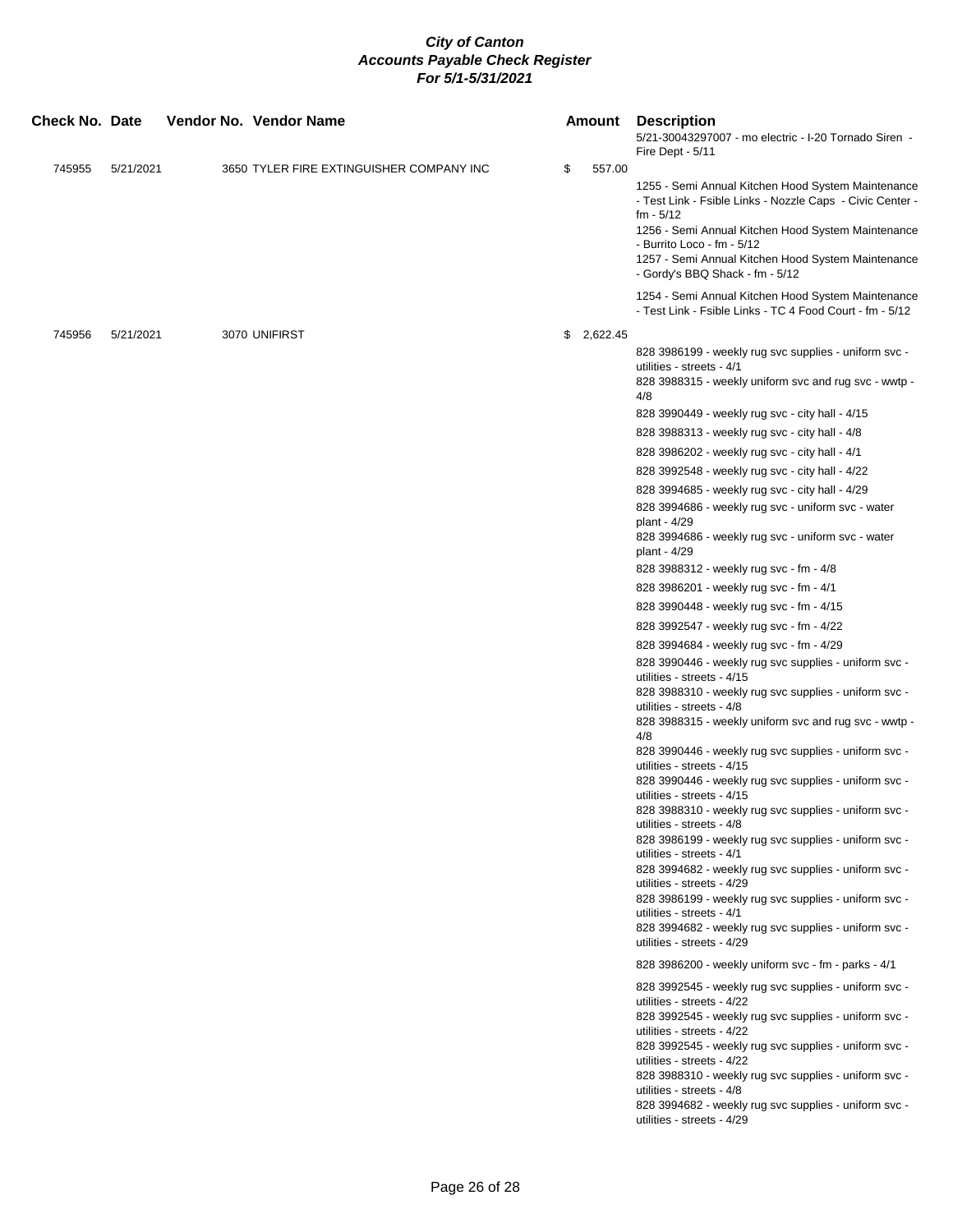| <b>Check No. Date</b> |           |  | Vendor No. Vendor Name                   | Amount       | <b>Description</b><br>5/21-30043297007 - mo electric - I-20 Tornado Siren -<br>Fire Dept - 5/11                                                                                                                                                                                                                                                                                                                                                                                                                                                                                                                                                                                                                                                                                                                                                                                                                                                                                                                                                                                                                                                                                                                                                                                                                                                                                                                                                                                                                                                                                                                                                                                                                                                                                                                                                                         |
|-----------------------|-----------|--|------------------------------------------|--------------|-------------------------------------------------------------------------------------------------------------------------------------------------------------------------------------------------------------------------------------------------------------------------------------------------------------------------------------------------------------------------------------------------------------------------------------------------------------------------------------------------------------------------------------------------------------------------------------------------------------------------------------------------------------------------------------------------------------------------------------------------------------------------------------------------------------------------------------------------------------------------------------------------------------------------------------------------------------------------------------------------------------------------------------------------------------------------------------------------------------------------------------------------------------------------------------------------------------------------------------------------------------------------------------------------------------------------------------------------------------------------------------------------------------------------------------------------------------------------------------------------------------------------------------------------------------------------------------------------------------------------------------------------------------------------------------------------------------------------------------------------------------------------------------------------------------------------------------------------------------------------|
| 745955                | 5/21/2021 |  | 3650 TYLER FIRE EXTINGUISHER COMPANY INC | \$<br>557.00 | 1255 - Semi Annual Kitchen Hood System Maintenance<br>- Test Link - Fsible Links - Nozzle Caps - Civic Center -<br>$fm - 5/12$<br>1256 - Semi Annual Kitchen Hood System Maintenance<br>- Burrito Loco - fm - 5/12<br>1257 - Semi Annual Kitchen Hood System Maintenance<br>- Gordy's BBQ Shack - fm - 5/12                                                                                                                                                                                                                                                                                                                                                                                                                                                                                                                                                                                                                                                                                                                                                                                                                                                                                                                                                                                                                                                                                                                                                                                                                                                                                                                                                                                                                                                                                                                                                             |
|                       |           |  |                                          |              | 1254 - Semi Annual Kitchen Hood System Maintenance<br>- Test Link - Fsible Links - TC 4 Food Court - fm - 5/12                                                                                                                                                                                                                                                                                                                                                                                                                                                                                                                                                                                                                                                                                                                                                                                                                                                                                                                                                                                                                                                                                                                                                                                                                                                                                                                                                                                                                                                                                                                                                                                                                                                                                                                                                          |
| 745956                | 5/21/2021 |  | 3070 UNIFIRST                            | \$2,622.45   | 828 3986199 - weekly rug svc supplies - uniform svc -<br>utilities - streets - 4/1<br>828 3988315 - weekly uniform svc and rug svc - wwtp -<br>4/8<br>828 3990449 - weekly rug svc - city hall - 4/15<br>828 3988313 - weekly rug svc - city hall - 4/8<br>828 3986202 - weekly rug svc - city hall - 4/1<br>828 3992548 - weekly rug svc - city hall - 4/22<br>828 3994685 - weekly rug svc - city hall - 4/29<br>828 3994686 - weekly rug svc - uniform svc - water<br>plant - 4/29<br>828 3994686 - weekly rug svc - uniform svc - water<br>plant - 4/29<br>828 3988312 - weekly rug svc - fm - 4/8<br>828 3986201 - weekly rug svc - fm - 4/1<br>828 3990448 - weekly rug svc - fm - 4/15<br>828 3992547 - weekly rug svc - fm - 4/22<br>828 3994684 - weekly rug svc - fm - 4/29<br>828 3990446 - weekly rug svc supplies - uniform svc -<br>utilities - streets - 4/15<br>828 3988310 - weekly rug svc supplies - uniform svc -<br>utilities - streets - 4/8<br>828 3988315 - weekly uniform svc and rug svc - wwtp -<br>4/8<br>828 3990446 - weekly rug svc supplies - uniform svc -<br>utilities - streets - 4/15<br>828 3990446 - weekly rug svc supplies - uniform svc -<br>utilities - streets - 4/15<br>828 3988310 - weekly rug svc supplies - uniform svc -<br>utilities - streets - 4/8<br>828 3986199 - weekly rug svc supplies - uniform svc -<br>utilities - streets - 4/1<br>828 3994682 - weekly rug svc supplies - uniform svc -<br>utilities - streets - 4/29<br>828 3986199 - weekly rug svc supplies - uniform svc -<br>utilities - streets - 4/1<br>828 3994682 - weekly rug svc supplies - uniform svc -<br>utilities - streets - 4/29<br>828 3986200 - weekly uniform svc - fm - parks - 4/1<br>828 3992545 - weekly rug svc supplies - uniform svc -<br>utilities - streets - 4/22<br>828 3992545 - weekly rug svc supplies - uniform svc - |
|                       |           |  |                                          |              | utilities - streets - 4/22<br>828 3992545 - weekly rug svc supplies - uniform svc -<br>utilities - streets - 4/22<br>828 3988310 - weekly rug svc supplies - uniform svc -<br>utilities - streets - 4/8<br>828 3994682 - weekly rug svc supplies - uniform svc -<br>utilities - streets - 4/29                                                                                                                                                                                                                                                                                                                                                                                                                                                                                                                                                                                                                                                                                                                                                                                                                                                                                                                                                                                                                                                                                                                                                                                                                                                                                                                                                                                                                                                                                                                                                                          |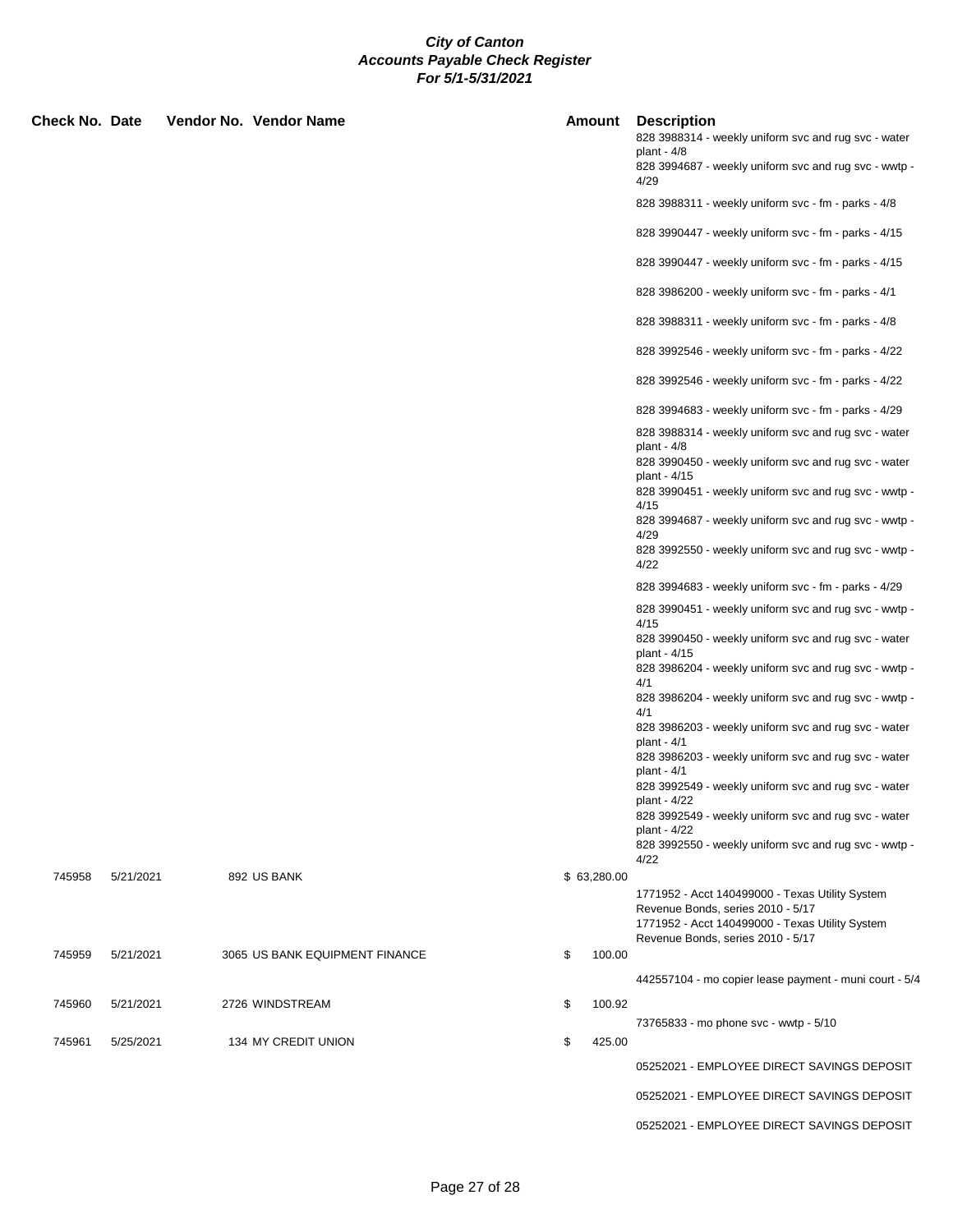| Check No. Date |           | Vendor No. Vendor Name         | Amount       | <b>Description</b><br>828 3988314 - weekly uniform svc and rug svc - water<br>plant - $4/8$<br>828 3994687 - weekly uniform svc and rug svc - wwtp -<br>4/29 |
|----------------|-----------|--------------------------------|--------------|--------------------------------------------------------------------------------------------------------------------------------------------------------------|
|                |           |                                |              | 828 3988311 - weekly uniform svc - fm - parks - 4/8                                                                                                          |
|                |           |                                |              | 828 3990447 - weekly uniform svc - fm - parks - 4/15                                                                                                         |
|                |           |                                |              | 828 3990447 - weekly uniform svc - fm - parks - 4/15                                                                                                         |
|                |           |                                |              | 828 3986200 - weekly uniform svc - fm - parks - 4/1                                                                                                          |
|                |           |                                |              | 828 3988311 - weekly uniform svc - fm - parks - 4/8                                                                                                          |
|                |           |                                |              | 828 3992546 - weekly uniform svc - fm - parks - 4/22                                                                                                         |
|                |           |                                |              | 828 3992546 - weekly uniform svc - fm - parks - 4/22                                                                                                         |
|                |           |                                |              | 828 3994683 - weekly uniform svc - fm - parks - 4/29                                                                                                         |
|                |           |                                |              | 828 3988314 - weekly uniform svc and rug svc - water<br>plant - $4/8$                                                                                        |
|                |           |                                |              | 828 3990450 - weekly uniform svc and rug svc - water<br>plant - 4/15                                                                                         |
|                |           |                                |              | 828 3990451 - weekly uniform svc and rug svc - wwtp -<br>4/15                                                                                                |
|                |           |                                |              | 828 3994687 - weekly uniform svc and rug svc - wwtp -<br>4/29                                                                                                |
|                |           |                                |              | 828 3992550 - weekly uniform svc and rug svc - wwtp -<br>4/22                                                                                                |
|                |           |                                |              | 828 3994683 - weekly uniform svc - fm - parks - 4/29                                                                                                         |
|                |           |                                |              | 828 3990451 - weekly uniform svc and rug svc - wwtp -<br>4/15                                                                                                |
|                |           |                                |              | 828 3990450 - weekly uniform svc and rug svc - water<br>plant - 4/15                                                                                         |
|                |           |                                |              | 828 3986204 - weekly uniform svc and rug svc - wwtp -<br>4/1                                                                                                 |
|                |           |                                |              | 828 3986204 - weekly uniform svc and rug svc - wwtp -<br>4/1                                                                                                 |
|                |           |                                |              | 828 3986203 - weekly uniform svc and rug svc - water<br>plant - $4/1$                                                                                        |
|                |           |                                |              | 828 3986203 - weekly uniform svc and rug svc - water<br>plant - $4/1$                                                                                        |
|                |           |                                |              | 828 3992549 - weekly uniform svc and rug svc - water<br>plant - 4/22                                                                                         |
|                |           |                                |              | 828 3992549 - weekly uniform svc and rug svc - water<br>plant - 4/22                                                                                         |
|                |           |                                |              | 828 3992550 - weekly uniform svc and rug svc - wwtp -<br>4/22                                                                                                |
| 745958         | 5/21/2021 | 892 US BANK                    | \$63,280.00  |                                                                                                                                                              |
|                |           |                                |              | 1771952 - Acct 140499000 - Texas Utility System<br>Revenue Bonds, series 2010 - 5/17                                                                         |
|                |           |                                |              | 1771952 - Acct 140499000 - Texas Utility System<br>Revenue Bonds, series 2010 - 5/17                                                                         |
| 745959         | 5/21/2021 | 3065 US BANK EQUIPMENT FINANCE | \$<br>100.00 |                                                                                                                                                              |
|                |           |                                |              | 442557104 - mo copier lease payment - muni court - 5/4                                                                                                       |
| 745960         | 5/21/2021 | 2726 WINDSTREAM                | \$<br>100.92 |                                                                                                                                                              |
| 745961         | 5/25/2021 | 134 MY CREDIT UNION            | \$<br>425.00 | 73765833 - mo phone svc - wwtp - 5/10                                                                                                                        |
|                |           |                                |              | 05252021 - EMPLOYEE DIRECT SAVINGS DEPOSIT                                                                                                                   |
|                |           |                                |              | 05252021 - EMPLOYEE DIRECT SAVINGS DEPOSIT                                                                                                                   |

05252021 - EMPLOYEE DIRECT SAVINGS DEPOSIT